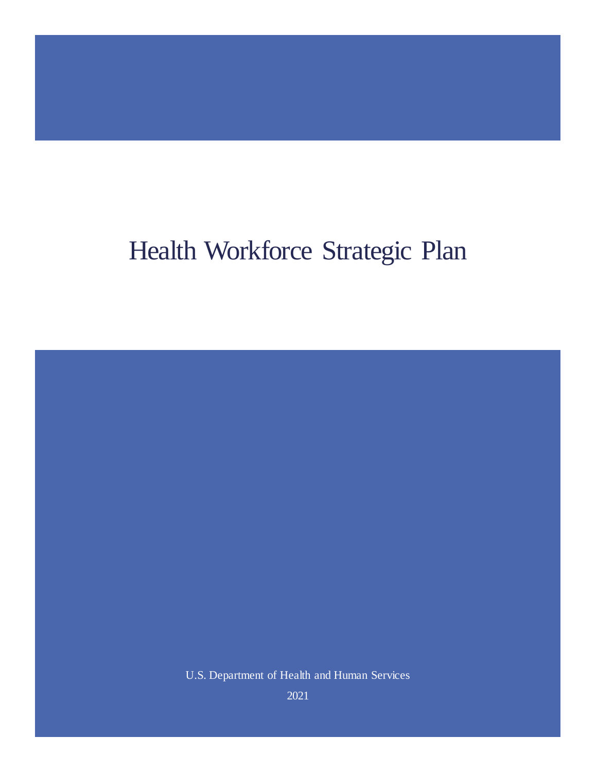# Health Workforce Strategic Plan

U.S. Department of Health and Human Services

2021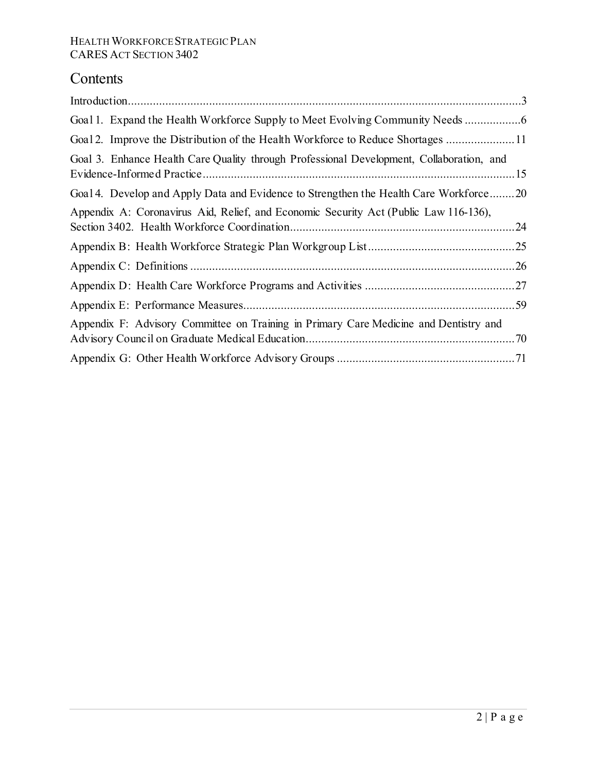# **Contents**

| Goal 1. Expand the Health Workforce Supply to Meet Evolving Community Needs              |  |
|------------------------------------------------------------------------------------------|--|
| Goal 2. Improve the Distribution of the Health Workforce to Reduce Shortages 11          |  |
| Goal 3. Enhance Health Care Quality through Professional Development, Collaboration, and |  |
| Goal 4. Develop and Apply Data and Evidence to Strengthen the Health Care Workforce20    |  |
| Appendix A: Coronavirus Aid, Relief, and Economic Security Act (Public Law 116-136),     |  |
|                                                                                          |  |
|                                                                                          |  |
|                                                                                          |  |
|                                                                                          |  |
| Appendix F: Advisory Committee on Training in Primary Care Medicine and Dentistry and    |  |
|                                                                                          |  |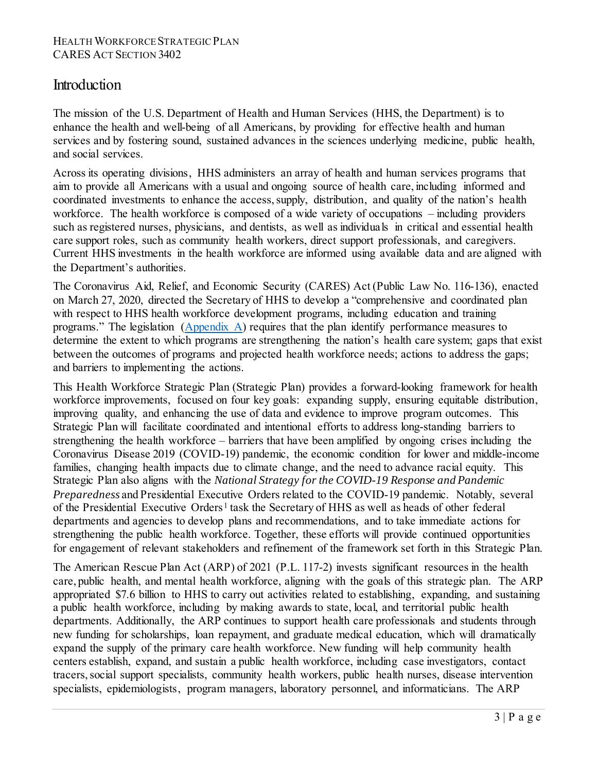### <span id="page-2-0"></span>Introduction

The mission of the U.S. Department of Health and Human Services (HHS, the Department) is to enhance the health and well-being of all Americans, by providing for effective health and human services and by fostering sound, sustained advances in the sciences underlying medicine, public health, and social services.

Across its operating divisions, HHS administers an array of health and human services programs that aim to provide all Americans with a usual and ongoing source of health care, including informed and coordinated investments to enhance the access, supply, distribution, and quality of the nation's health workforce. The health workforce is composed of a wide variety of occupations – including providers such as registered nurses, physicians, and dentists, as well as individuals in critical and essential health care support roles, such as community health workers, direct support professionals, and caregivers. Current HHS investments in the health workforce are informed using available data and are aligned with the Department's authorities.

The Coronavirus Aid, Relief, and Economic Security (CARES) Act (Public Law No. 116-136), enacted on March 27, 2020, directed the Secretary of HHS to develop a "comprehensive and coordinated plan with respect to HHS health workforce development programs, including education and training programs." The legislation [\(Appendix A\)](#page-23-0) requires that the plan identify performance measures to determine the extent to which programs are strengthening the nation's health care system; gaps that exist between the outcomes of programs and projected health workforce needs; actions to address the gaps; and barriers to implementing the actions.

This Health Workforce Strategic Plan (Strategic Plan) provides a forward-looking framework for health workforce improvements, focused on four key goals: expanding supply, ensuring equitable distribution, improving quality, and enhancing the use of data and evidence to improve program outcomes. This Strategic Plan will facilitate coordinated and intentional efforts to address long-standing barriers to strengthening the health workforce – barriers that have been amplified by ongoing crises including the Coronavirus Disease 2019 (COVID-19) pandemic, the economic condition for lower and middle-income families, changing health impacts due to climate change, and the need to advance racial equity. This Strategic Plan also aligns with the *National Strategy for the COVID-19 Response and Pandemic Preparedness* and Presidential Executive Orders related to the COVID-19 pandemic. Notably, several of the Presidential Executive Orders[1](#page-71-0) task the Secretary of HHS as well as heads of other federal departments and agencies to develop plans and recommendations, and to take immediate actions for strengthening the public health workforce. Together, these efforts will provide continued opportunities for engagement of relevant stakeholders and refinement of the framework set forth in this Strategic Plan.

The American Rescue Plan Act (ARP) of 2021 (P.L. 117-2) invests significant resources in the health care, public health, and mental health workforce, aligning with the goals of this strategic plan. The ARP appropriated \$7.6 billion to HHS to carry out activities related to establishing, expanding, and sustaining a public health workforce, including by making awards to state, local, and territorial public health departments. Additionally, the ARP continues to support health care professionals and students through new funding for scholarships, loan repayment, and graduate medical education, which will dramatically expand the supply of the primary care health workforce. New funding will help community health centers establish, expand, and sustain a public health workforce, including case investigators, contact tracers, social support specialists, community health workers, public health nurses, disease intervention specialists, epidemiologists, program managers, laboratory personnel, and informaticians. The ARP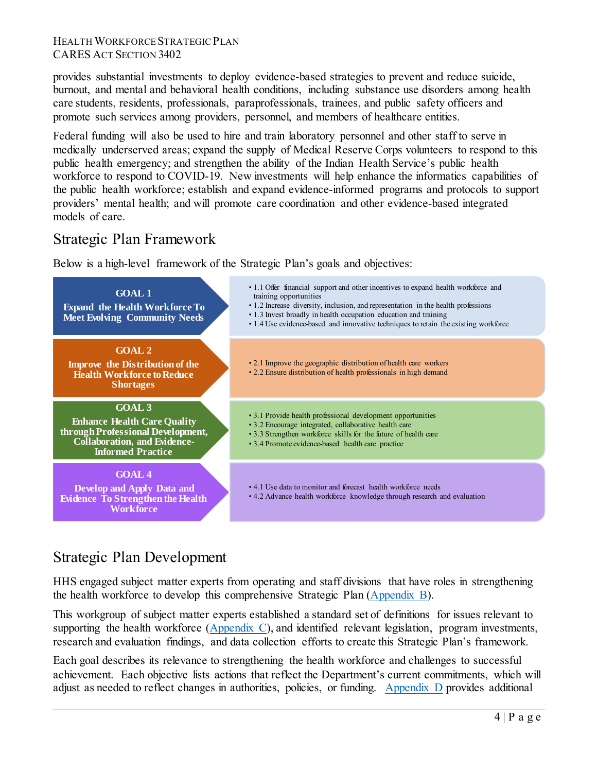provides substantial investments to deploy evidence-based strategies to prevent and reduce suicide, burnout, and mental and behavioral health conditions, including substance use disorders among health care students, residents, professionals, paraprofessionals, trainees, and public safety officers and promote such services among providers, personnel, and members of healthcare entities.

Federal funding will also be used to hire and train laboratory personnel and other staff to serve in medically underserved areas; expand the supply of Medical Reserve Corps volunteers to respond to this public health emergency; and strengthen the ability of the Indian Health Service's public health workforce to respond to COVID-19. New investments will help enhance the informatics capabilities of the public health workforce; establish and expand evidence-informed programs and protocols to support providers' mental health; and will promote care coordination and other evidence-based integrated models of care.

### Strategic Plan Framework

Below is a high-level framework of the Strategic Plan's goals and objectives:



# Strategic Plan Development

HHS engaged subject matter experts from operating and staff divisions that have roles in strengthening the health workforce to develop this comprehensive Strategic Plan [\(Appendix B\)](#page-24-0).

This workgroup of subject matter experts established a standard set of definitions for issues relevant to supporting the health workforce [\(Appendix C\)](#page-25-0), and identified relevant legislation, program investments, research and evaluation findings, and data collection efforts to create this Strategic Plan's framework.

Each goal describes its relevance to strengthening the health workforce and challenges to successful achievement. Each objective lists actions that reflect the Department's current commitments, which will adjust as needed to reflect changes in authorities, policies, or funding. [Appendix D](#page-26-0) provides additional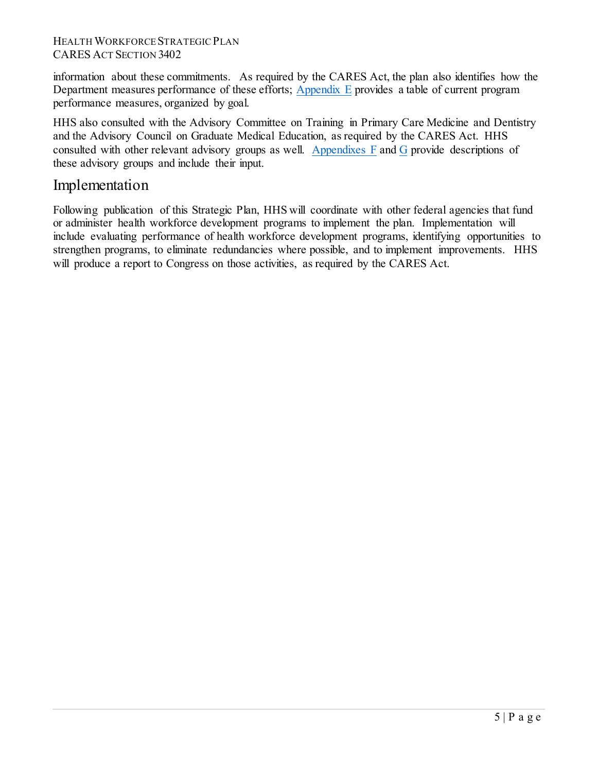information about these commitments. As required by the CARES Act, the plan also identifies how the Departmentmeasures performance of these efforts;  $\Delta$ ppendix  $E$  provides a table of current program performance measures, organized by goal.

HHS also consulted with the Advisory Committee on Training in Primary Care Medicine and Dentistry and the Advisory Council on Graduate Medical Education, as required by the CARES Act. HHS consulted with other relevant advisory groups as well. [Appendixes F](#page-69-0) and [G](#page-70-0) provide descriptions of these advisory groups and include their input.

### Implementation

Following publication of this Strategic Plan, HHS will coordinate with other federal agencies that fund or administer health workforce development programs to implement the plan. Implementation will include evaluating performance of health workforce development programs, identifying opportunities to strengthen programs, to eliminate redundancies where possible, and to implement improvements. HHS will produce a report to Congress on those activities, as required by the CARES Act.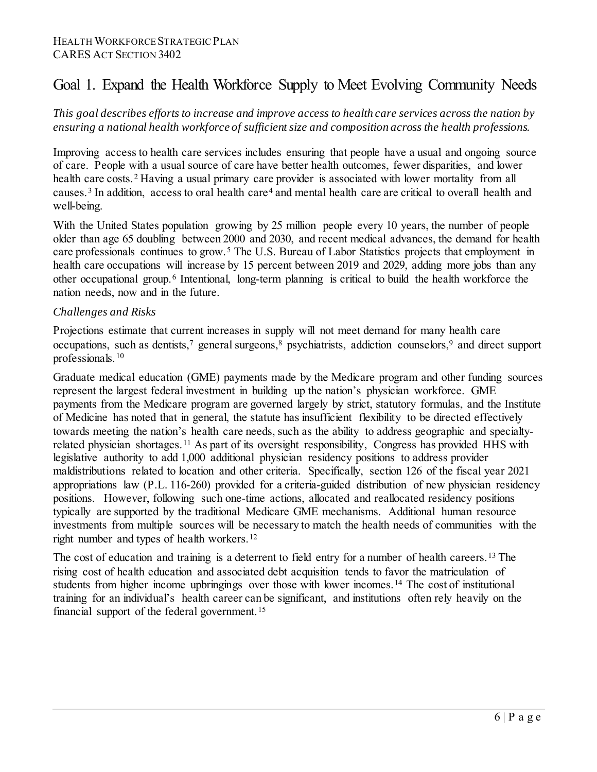# <span id="page-5-0"></span>Goal 1. Expand the Health Workforce Supply to Meet Evolving Community Needs

*This goal describes efforts to increase and improve access to health care services across the nation by ensuring a national health workforce of sufficient size and composition across the health professions.*

Improving access to health care services includes ensuring that people have a usual and ongoing source of care. People with a usual source of care have better health outcomes, fewer disparities, and lower health care costs.<sup>[2](#page-71-1)</sup> Having a usual primary care provider is associated with lower mortality from all causes.<sup>[3](#page-71-2)</sup> In addition, access to oral health care<sup>[4](#page-71-3)</sup> and mental health care are critical to overall health and well-being.

With the United States population growing by 25 million people every 10 years, the number of people older than age 65 doubling between 2000 and 2030, and recent medical advances, the demand for health care professionals continues to grow.<sup>[5](#page-71-4)</sup> The U.S. Bureau of Labor Statistics projects that employment in health care occupations will increase by 15 percent between 2019 and 2029, adding more jobs than any other occupational group.[6](#page-71-5) Intentional, long-term planning is critical to build the health workforce the nation needs, now and in the future.

#### *Challenges and Risks*

Projections estimate that current increases in supply will not meet demand for many health care occupations, such as dentists,<sup>7</sup> general surgeons,<sup>[8](#page-71-7)</sup> psychiatrists, addiction counselors,<sup>[9](#page-71-8)</sup> and direct support professionals.[10](#page-71-9)

Graduate medical education (GME) payments made by the Medicare program and other funding sources represent the largest federal investment in building up the nation's physician workforce. GME payments from the Medicare program are governed largely by strict, statutory formulas, and the Institute of Medicine has noted that in general, the statute has insufficient flexibility to be directed effectively towards meeting the nation's health care needs, such as the ability to address geographic and specialtyrelated physician shortages.[11](#page-72-0) As part of its oversight responsibility, Congress has provided HHS with legislative authority to add 1,000 additional physician residency positions to address provider maldistributions related to location and other criteria. Specifically, section 126 of the fiscal year 2021 appropriations law (P.L. 116-260) provided for a criteria-guided distribution of new physician residency positions. However, following such one-time actions, allocated and reallocated residency positions typically are supported by the traditional Medicare GME mechanisms. Additional human resource investments from multiple sources will be necessary to match the health needs of communities with the right number and types of health workers.<sup>[12](#page-72-1)</sup>

The cost of education and training is a deterrent to field entry for a number of health careers.<sup>[13](#page-72-2)</sup> The rising cost of health education and associated debt acquisition tends to favor the matriculation of students from higher income upbringings over those with lower incomes. [14](#page-72-3) The cost of institutional training for an individual's health career can be significant, and institutions often rely heavily on the financial support of the federal government.<sup>[15](#page-72-4)</sup>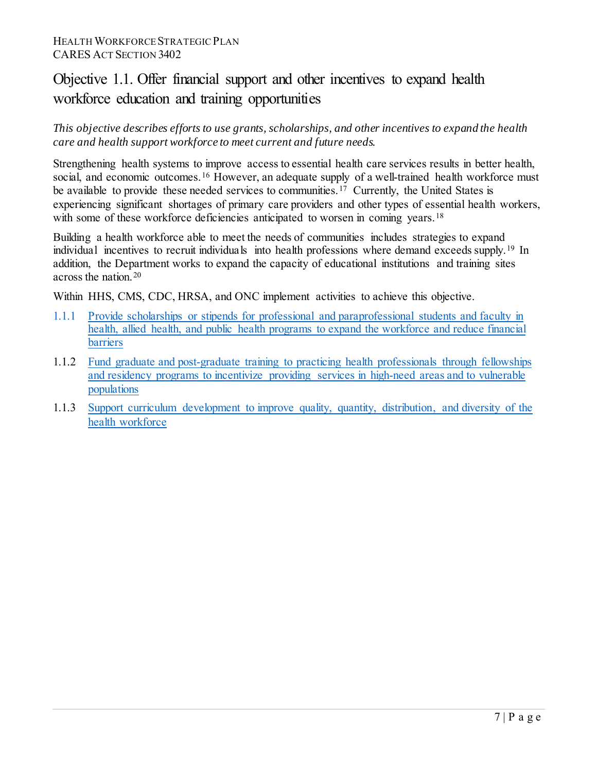# Objective 1.1. Offer financial support and other incentives to expand health workforce education and training opportunities

*This objective describes efforts to use grants, scholarships, and other incentives to expand the health care and health support workforce to meet current and future needs.*

Strengthening health systems to improve access to essential health care services results in better health, social, and economic outcomes.<sup>[16](#page-72-5)</sup> However, an adequate supply of a well-trained health workforce must be available to provide these needed services to communities.<sup>[17](#page-72-6)</sup> Currently, the United States is experiencing significant shortages of primary care providers and other types of essential health workers, with some of these workforce deficiencies anticipated to worsen in coming years.<sup>[18](#page-72-7)</sup>

Building a health workforce able to meet the needs of communities includes strategies to expand individual incentives to recruit individuals into health professions where demand exceeds supply.[19](#page-72-8) In addition, the Department works to expand the capacity of educational institutions and training sites across the nation.[20](#page-72-9)

Within HHS, CMS, CDC, HRSA, and ONC implement activities to achieve this objective.

- 1.1.1 [Provide scholarships or stipends for professional and paraprofessional students and faculty in](#page-26-1)  [health, allied health, and public health](#page-26-1) programs to expand the workforce and reduce financial barriers
- 1.1.2 [Fund graduate and post-graduate training to practicing health professionals through fellowships](#page-26-2)  [and residency programs to incentivize providing services in high-need areas and to vulnerable](#page-26-2)  [populations](#page-26-2)
- 1.1.3 [Support curriculum development t](#page-28-0)o improve quality, quantity, distribution, and diversity of the health workforce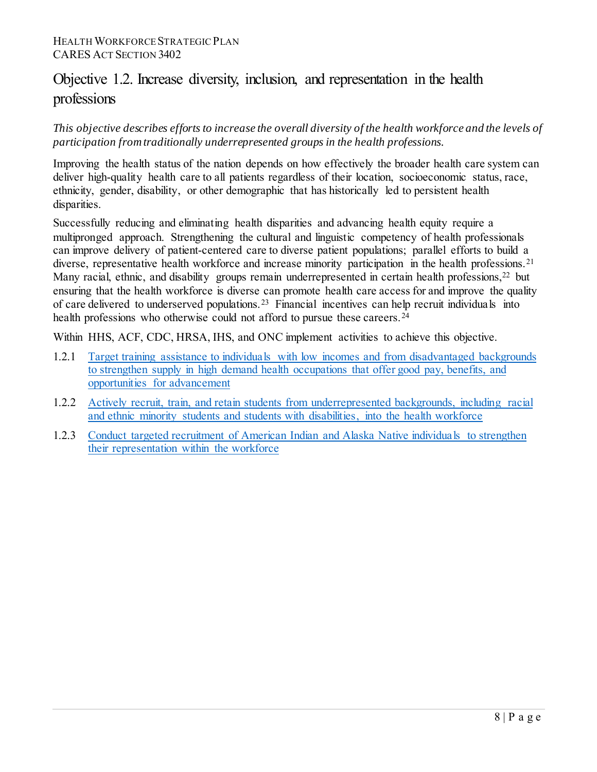# Objective 1.2. Increase diversity, inclusion, and representation in the health professions

### *This objective describes efforts to increase the overall diversity of the health workforce and the levels of participation from traditionally underrepresented groups in the health professions.*

Improving the health status of the nation depends on how effectively the broader health care system can deliver high-quality health care to all patients regardless of their location, socioeconomic status, race, ethnicity, gender, disability, or other demographic that has historically led to persistent health disparities.

Successfully reducing and eliminating health disparities and advancing health equity require a multipronged approach. Strengthening the cultural and linguistic competency of health professionals can improve delivery of patient-centered care to diverse patient populations; parallel efforts to build a diverse, representative health workforce and increase minority participation in the health professions.<sup>[21](#page-72-10)</sup> Many racial, ethnic, and disability groups remain underrepresented in certain health professions,<sup>[22](#page-72-11)</sup> but ensuring that the health workforce is diverse can promote health care access for and improve the quality of care delivered to underserved populations.[23](#page-73-0) Financial incentives can help recruit individuals into health professions who otherwise could not afford to pursue these careers.<sup>[24](#page-73-1)</sup>

Within HHS, ACF, CDC, HRSA, IHS, and ONC implement activities to achieve this objective.

- 1.2.1 [Target training assistance to individuals with low incomes and from disadvantaged backgrounds](#page-29-0)  [to strengthen supply in high demand health occupations that offer good pay, benefits, and](#page-29-0)  [opportunities for advancement](#page-29-0)
- 1.2.2 [Actively recruit, train, and retain students from underrepresented backgrounds, including racial](#page-30-0)  and ethnic minority students [and students with disabilities, into the health workforce](#page-30-0)
- 1.2.3 [Conduct targeted recruitment of American Indian and Alaska Native individuals to strengthen](#page-31-0)  [their representation within the workforce](#page-31-0)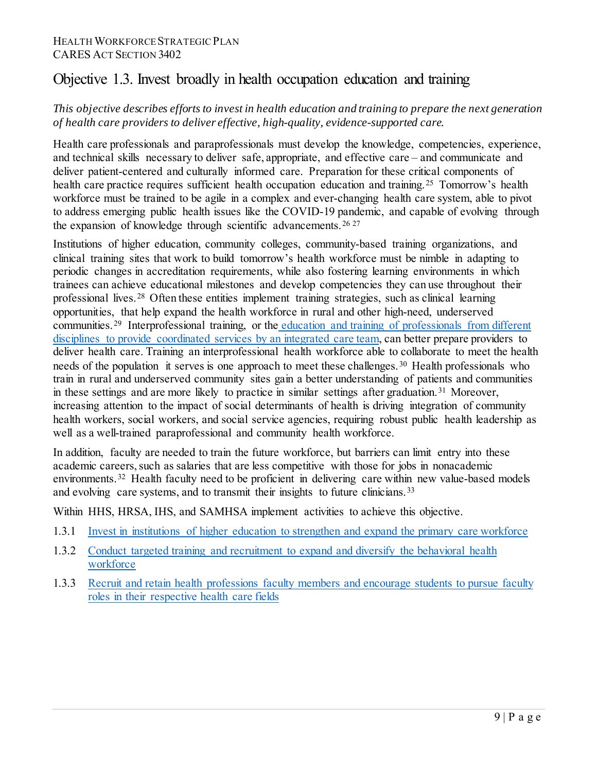### Objective 1.3. Invest broadly in health occupation education and training

### *This objective describes efforts to invest in health education and training to prepare the next generation of health care providers to deliver effective, high-quality, evidence-supported care.*

Health care professionals and paraprofessionals must develop the knowledge, competencies, experience, and technical skills necessary to deliver safe, appropriate, and effective care – and communicate and deliver patient-centered and culturally informed care. Preparation for these critical components of health care practice requires sufficient health occupation education and training.<sup>[25](#page-73-2)</sup> Tomorrow's health workforce must be trained to be agile in a complex and ever-changing health care system, able to pivot to address emerging public health issues like the COVID-19 pandemic, and capable of evolving through the expansion of knowledge through scientific advancements.<sup>[26](#page-73-3) [27](#page-73-4)</sup>

Institutions of higher education, community colleges, community-based training organizations, and clinical training sites that work to build tomorrow's health workforce must be nimble in adapting to periodic changes in accreditation requirements, while also fostering learning environments in which trainees can achieve educational milestones and develop competencies they can use throughout their professional lives.[28](#page-73-5) Often these entities implement training strategies, such as clinical learning opportunities, that help expand the health workforce in rural and other high-need, underserved communities.[29](#page-73-6) Interprofessional training, or the [education and training of professionals from different](https://aspe.hhs.gov/execsum/interdisciplinary-education-and-training-professionals-caring-persons-disabilities-current-approaches-and-implications-changing-health-care-system)  [disciplines to provide coordinated services by an integrated](https://aspe.hhs.gov/execsum/interdisciplinary-education-and-training-professionals-caring-persons-disabilities-current-approaches-and-implications-changing-health-care-system) care team, can better prepare providers to deliver health care. Training an interprofessional health workforce able to collaborate to meet the health needs of the population it serves is one approach to meet these challenges.[30](#page-73-7) Health professionals who train in rural and underserved community sites gain a better understanding of patients and communities in these settings and are more likely to practice in similar settings after graduation.<sup>[31](#page-73-8)</sup> Moreover, increasing attention to the impact of social determinants of health is driving integration of community health workers, social workers, and social service agencies, requiring robust public health leadership as well as a well-trained paraprofessional and community health workforce.

In addition, faculty are needed to train the future workforce, but barriers can limit entry into these academic careers, such as salaries that are less competitive with those for jobs in nonacademic environments.<sup>[32](#page-73-9)</sup> Health faculty need to be proficient in delivering care within new value-based models and evolving care systems, and to transmit their insights to future clinicians.<sup>[33](#page-73-10)</sup>

Within HHS, HRSA, IHS, and SAMHSA implement activities to achieve this objective.

- 1.3.1 [Invest in institutions of higher education to strengthen and expand the primary care workforce](#page-32-0)
- 1.3.2 [Conduct targeted training and recruitment to expand and diversify the behavioral health](#page-32-1)  [workforce](#page-32-1)
- 1.3.3 [Recruit and retain health professions faculty members and encourage students to pursue faculty](#page-33-0)  [roles in their respective health care fields](#page-33-0)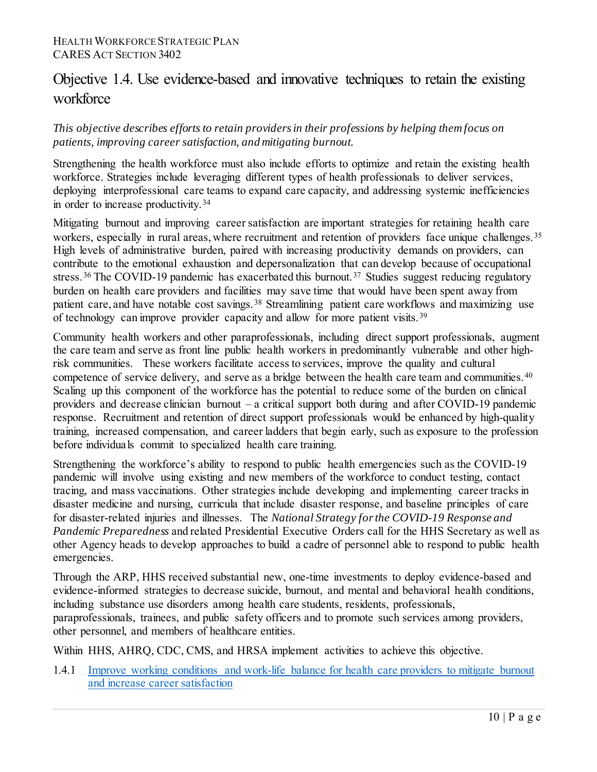# Objective 1.4. Use evidence-based and innovative techniques to retain the existing workforce

### *This objective describes efforts to retain providers in their professions by helping them focus on patients, improving career satisfaction, and mitigating burnout.*

Strengthening the health workforce must also include efforts to optimize and retain the existing health workforce. Strategies include leveraging different types of health professionals to deliver services, deploying interprofessional care teams to expand care capacity, and addressing systemic inefficiencies in order to increase productivity.<sup>[34](#page-74-0)</sup>

Mitigating burnout and improving career satisfaction are important strategies for retaining health care workers, especially in rural areas, where recruitment and retention of providers face unique challenges.<sup>[35](#page-74-1)</sup> High levels of administrative burden, paired with increasing productivity demands on providers, can contribute to the emotional exhaustion and depersonalization that can develop because of occupational stress.<sup>[36](#page-74-2)</sup> The COVID-19 pandemic has exacerbated this burnout.<sup>[37](#page-74-3)</sup> Studies suggest reducing regulatory burden on health care providers and facilities may save time that would have been spent away from patient care, and have notable cost savings.<sup>[38](#page-74-4)</sup> Streamlining patient care workflows and maximizing use of technology can improve provider capacity and allow for more patient visits.<sup>[39](#page-74-5)</sup>

Community health workers and other paraprofessionals, including direct support professionals, augment the care team and serve as front line public health workers in predominantly vulnerable and other highrisk communities. These workers facilitate access to services, improve the quality and cultural competence of service delivery, and serve as a bridge between the health care team and communities. [40](#page-74-6) Scaling up this component of the workforce has the potential to reduce some of the burden on clinical providers and decrease clinician burnout – a critical support both during and after COVID-19 pandemic response. Recruitment and retention of direct support professionals would be enhanced by high-quality training, increased compensation, and career ladders that begin early, such as exposure to the profession before individuals commit to specialized health care training.

Strengthening the workforce's ability to respond to public health emergencies such as the COVID-19 pandemic will involve using existing and new members of the workforce to conduct testing, contact tracing, and mass vaccinations. Other strategies include developing and implementing career tracks in disaster medicine and nursing, curricula that include disaster response, and baseline principles of care for disaster-related injuries and illnesses. The *National Strategy for the COVID-19 Response and Pandemic Preparedness* and related Presidential Executive Orders call for the HHS Secretary as well as other Agency heads to develop approaches to build a cadre of personnel able to respond to public health emergencies.

Through the ARP, HHS received substantial new, one-time investments to deploy evidence-based and evidence-informed strategies to decrease suicide, burnout, and mental and behavioral health conditions, including substance use disorders among health care students, residents, professionals, paraprofessionals, trainees, and public safety officers and to promote such services among providers, other personnel, and members of healthcare entities.

Within HHS, AHRQ, CDC, CMS, and HRSA implement activities to achieve this objective.

1.4.1 [Improve working conditions and work-life balance for health care providers to mitigate burnout](#page-33-1)  [and increase career satisfaction](#page-33-1)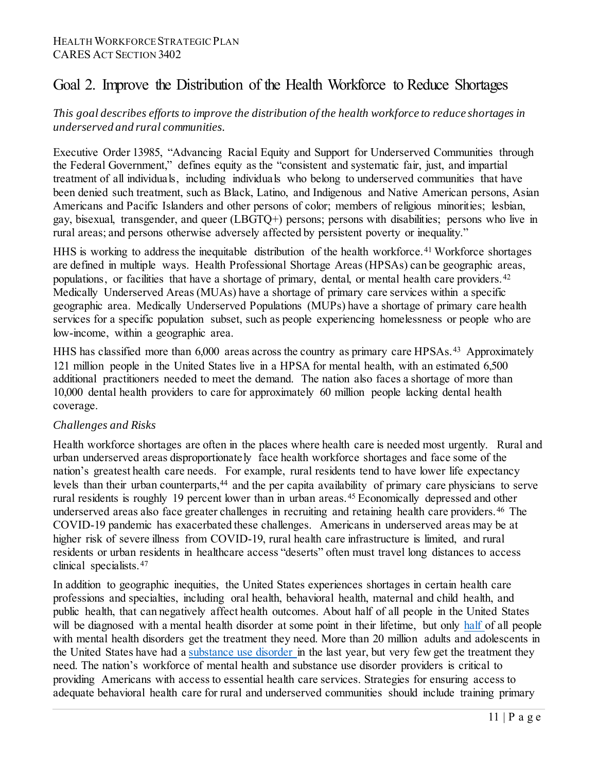# <span id="page-10-0"></span>Goal 2. Improve the Distribution of the Health Workforce to Reduce Shortages

### *This goal describes efforts to improve the distribution of the health workforce to reduce shortages in underserved and rural communities.*

Executive Order 13985, "Advancing Racial Equity and Support for Underserved Communities through the Federal Government," defines equity as the "consistent and systematic fair, just, and impartial treatment of all individuals, including individuals who belong to underserved communities that have been denied such treatment, such as Black, Latino, and Indigenous and Native American persons, Asian Americans and Pacific Islanders and other persons of color; members of religious minorities; lesbian, gay, bisexual, transgender, and queer (LBGTQ+) persons; persons with disabilities; persons who live in rural areas; and persons otherwise adversely affected by persistent poverty or inequality."

HHS is working to address the inequitable distribution of the health workforce.<sup>[41](#page-74-7)</sup> Workforce shortages are defined in multiple ways. Health Professional Shortage Areas (HPSAs) can be geographic areas, populations, or facilities that have a shortage of primary, dental, or mental health care providers.<sup>[42](#page-74-8)</sup> Medically Underserved Areas (MUAs) have a shortage of primary care services within a specific geographic area. Medically Underserved Populations (MUPs) have a shortage of primary care health services for a specific population subset, such as people experiencing homelessness or people who are low-income, within a geographic area.

HHS has classified more than 6,000 areas across the country as primary care HPSAs.<sup>43</sup> Approximately 121 million people in the United States live in a HPSA for mental health, with an estimated 6,500 additional practitioners needed to meet the demand. The nation also faces a shortage of more than 10,000 dental health providers to care for approximately 60 million people lacking dental health coverage.

#### *Challenges and Risks*

Health workforce shortages are often in the places where health care is needed most urgently. Rural and urban underserved areas disproportionately face health workforce shortages and face some of the nation's greatest health care needs. For example, rural residents tend to have lower life expectancy levels than their urban counterparts,<sup>[44](#page-74-10)</sup> and the per capita availability of primary care physicians to serve rural residents is roughly 19 percent lower than in urban areas.<sup>[45](#page-75-0)</sup> Economically depressed and other underserved areas also face greater challenges in recruiting and retaining health care providers.<sup>[46](#page-75-1)</sup> The COVID-19 pandemic has exacerbated these challenges. Americans in underserved areas may be at higher risk of severe illness from COVID-19, rural health care infrastructure is limited, and rural residents or urban residents in healthcare access "deserts" often must travel long distances to access clinical specialists. [47](#page-75-2)

In addition to geographic inequities, the United States experiences shortages in certain health care professions and specialties, including oral health, behavioral health, maternal and child health, and public health, that can negatively affect health outcomes. About half of all people in the United States will be diagnosed with a mental health disorder at some point in their lifetime, but only [half o](https://health.gov/healthypeople/objectives-and-data/browse-objectives/mental-health-and-mental-disorders)f all people with mental health disorders get the treatment they need. More than 20 million adults and adolescents in the United States have had a [substance use disorder i](https://health.gov/healthypeople/objectives-and-data/browse-objectives/drug-and-alcohol-use)n the last year, but very few get the treatment they need. The nation's workforce of mental health and substance use disorder providers is critical to providing Americans with access to essential health care services. Strategies for ensuring access to adequate behavioral health care for rural and underserved communities should include training primary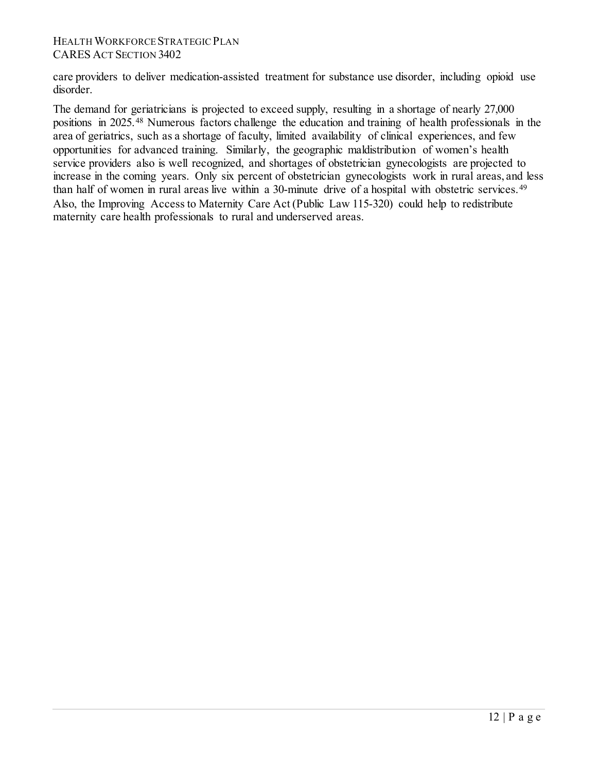care providers to deliver medication-assisted treatment for substance use disorder, including opioid use disorder.

The demand for geriatricians is projected to exceed supply, resulting in a shortage of nearly 27,000 positions in 2025.[48](#page-75-3) Numerous factors challenge the education and training of health professionals in the area of geriatrics, such as a shortage of faculty, limited availability of clinical experiences, and few opportunities for advanced training. Similarly, the geographic maldistribution of women's health service providers also is well recognized, and shortages of obstetrician gynecologists are projected to increase in the coming years. Only six percent of obstetrician gynecologists work in rural areas, and less than half of women in rural areas live within a 30-minute drive of a hospital with obstetric services.<sup>[49](#page-75-4)</sup> Also, the Improving Access to Maternity Care Act (Public Law 115-320) could help to redistribute maternity care health professionals to rural and underserved areas.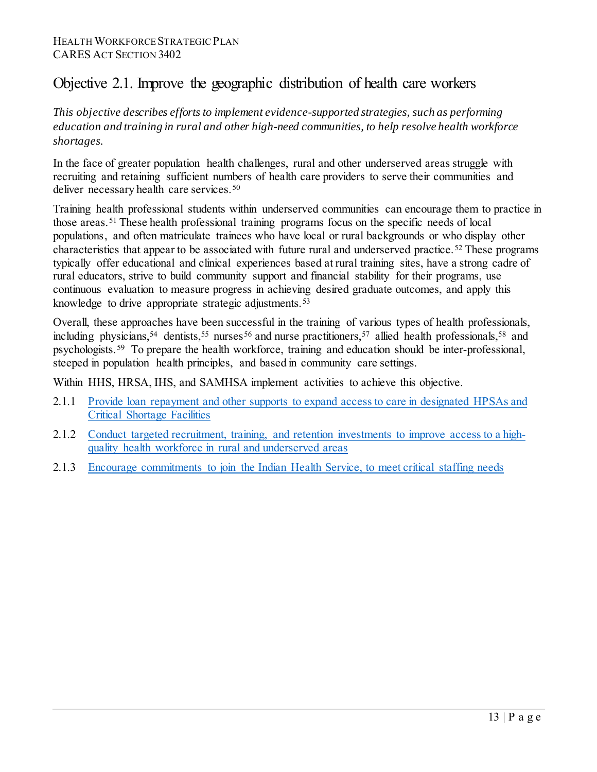# Objective 2.1. Improve the geographic distribution of health care workers

*This objective describes efforts to implement evidence-supported strategies, such as performing education and training in rural and other high-need communities, to help resolve health workforce shortages.*

In the face of greater population health challenges, rural and other underserved areas struggle with recruiting and retaining sufficient numbers of health care providers to serve their communities and deliver necessary health care services.<sup>[50](#page-75-5)</sup>

Training health professional students within underserved communities can encourage them to practice in those areas.[51](#page-75-6) These health professional training programs focus on the specific needs of local populations, and often matriculate trainees who have local or rural backgrounds or who display other characteristics that appear to be associated with future rural and underserved practice.[52](#page-75-7) These programs typically offer educational and clinical experiences based at rural training sites, have a strong cadre of rural educators, strive to build community support and financial stability for their programs, use continuous evaluation to measure progress in achieving desired graduate outcomes, and apply this knowledge to drive appropriate strategic adjustments.<sup>[53](#page-75-8)</sup>

Overall, these approaches have been successful in the training of various types of health professionals, including physicians,<sup>[54](#page-75-9)</sup> dentists,<sup>55</sup> nurses<sup>[56](#page-76-0)</sup> and nurse practitioners,<sup>[57](#page-76-1)</sup> allied health professionals,<sup>58</sup> and psychologists.[59](#page-76-3) To prepare the health workforce, training and education should be inter-professional, steeped in population health principles, and based in community care settings.

Within HHS, HRSA, IHS, and SAMHSA implement activities to achieve this objective.

- 2.1.1 Provide loan repayment and other supports to expand access to care in designated HPSAs and [Critical Shortage Facilities](#page-35-0)
- 2.1.2 [Conduct targeted recruitment, training, and retention investments to improve access to a high](#page-36-0)[quality health workforce in rural and underserved areas](#page-36-0)
- 2.1.3 [Encourage commitments to join the Indian Health Service,](#page-37-0) to meet critical staffing needs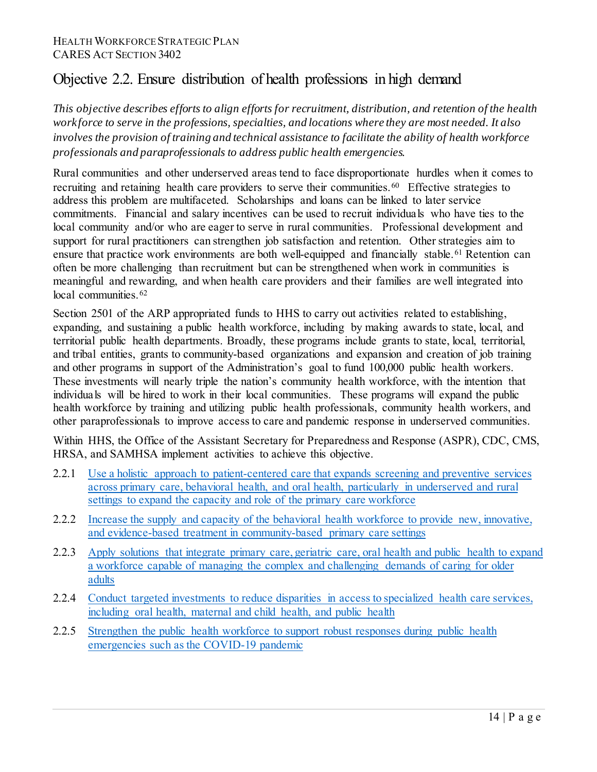# Objective 2.2. Ensure distribution of health professions in high demand

*This objective describes efforts to align efforts for recruitment, distribution, and retention of the health workforce to serve in the professions, specialties, and locations where they are most needed. It also involves the provision of training and technical assistance to facilitate the ability of health workforce professionals and paraprofessionals to address public health emergencies.*

Rural communities and other underserved areas tend to face disproportionate hurdles when it comes to recruiting and retaining health care providers to serve their communities.<sup>60</sup> Effective strategies to address this problem are multifaceted. Scholarships and loans can be linked to later service commitments. Financial and salary incentives can be used to recruit individuals who have ties to the local community and/or who are eager to serve in rural communities. Professional development and support for rural practitioners can strengthen job satisfaction and retention. Other strategies aim to ensure that practice work environments are both well-equipped and financially stable.<sup>[61](#page-76-5)</sup> Retention can often be more challenging than recruitment but can be strengthened when work in communities is meaningful and rewarding, and when health care providers and their families are well integrated into local communities.<sup>[62](#page-76-6)</sup>

Section 2501 of the ARP appropriated funds to HHS to carry out activities related to establishing, expanding, and sustaining a public health workforce, including by making awards to state, local, and territorial public health departments. Broadly, these programs include grants to state, local, territorial, and tribal entities, grants to community-based organizations and expansion and creation of job training and other programs in support of the Administration's goal to fund 100,000 public health workers. These investments will nearly triple the nation's community health workforce, with the intention that individuals will be hired to work in their local communities. These programs will expand the public health workforce by training and utilizing public health professionals, community health workers, and other paraprofessionals to improve access to care and pandemic response in underserved communities.

Within HHS, the Office of the Assistant Secretary for Preparedness and Response (ASPR), CDC, CMS, HRSA, and SAMHSA implement activities to achieve this objective.

- 2.2.1 [Use a holistic approach to patient-centered care that expands screening and preventive services](#page-37-1)  [across primary care, behavioral health, and oral health, particularly in underserved and rural](#page-37-1)  [settings](#page-37-1) to expand the capacity and role of the primary care workforce
- 2.2.2 [Increase the supply and capacity of the behavioral health workforce to provide new, innovative,](#page-39-0)  [and evidence-based treatment in community-based primary care settings](#page-39-0)
- 2.2.3 [Apply solutions that integrate primary care, geriatric care, oral health and public health](#page-41-0) to expand a workforce capable of managing the complex and challenging demands of caring for older adults
- 2.2.4 [Conduct targeted investments to reduce disparities in access to specialized health care services,](#page-41-1)  [including oral health, maternal and child health, and public health](#page-41-1)
- 2.2.5 Strengthen the public health workforce to support robust responses during public health [emergencies such as the COVID-19 pandemic](#page-42-0)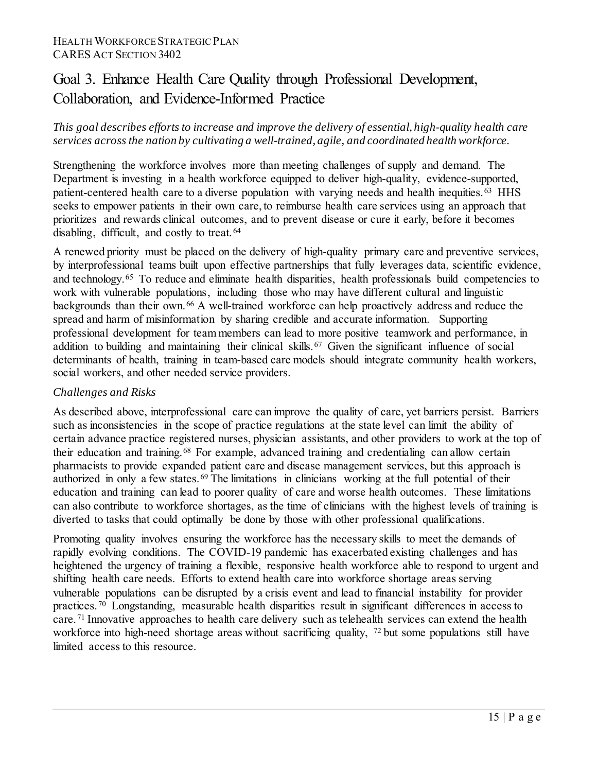# <span id="page-14-0"></span>Goal 3. Enhance Health Care Quality through Professional Development, Collaboration, and Evidence-Informed Practice

### *This goal describes efforts to increase and improve the delivery of essential, high-quality health care services across the nation by cultivating a well-trained, agile, and coordinated health workforce.*

Strengthening the workforce involves more than meeting challenges of supply and demand. The Department is investing in a health workforce equipped to deliver high-quality, evidence-supported, patient-centered health care to a diverse population with varying needs and health inequities.<sup>[63](#page-76-7)</sup> HHS seeks to empower patients in their own care, to reimburse health care services using an approach that prioritizes and rewards clinical outcomes, and to prevent disease or cure it early, before it becomes disabling, difficult, and costly to treat.<sup>[64](#page-76-8)</sup>

A renewed priority must be placed on the delivery of high-quality primary care and preventive services, by interprofessional teams built upon effective partnerships that fully leverages data, scientific evidence, and technology.[65](#page-76-9) To reduce and eliminate health disparities, health professionals build competencies to work with vulnerable populations, including those who may have different cultural and linguistic backgrounds than their own.[66](#page-76-10) A well-trained workforce can help proactively address and reduce the spread and harm of misinformation by sharing credible and accurate information. Supporting professional development for team members can lead to more positive teamwork and performance, in addition to building and maintaining their clinical skills.<sup>[67](#page-76-11)</sup> Given the significant influence of social determinants of health, training in team-based care models should integrate community health workers, social workers, and other needed service providers.

### *Challenges and Risks*

As described above, interprofessional care can improve the quality of care, yet barriers persist. Barriers such as inconsistencies in the scope of practice regulations at the state level can limit the ability of certain advance practice registered nurses, physician assistants, and other providers to work at the top of their education and training.[68](#page-76-12) For example, advanced training and credentialing can allow certain pharmacists to provide expanded patient care and disease management services, but this approach is authorized in only a few states.[69](#page-76-13) The limitations in clinicians working at the full potential of their education and training can lead to poorer quality of care and worse health outcomes. These limitations can also contribute to workforce shortages, as the time of clinicians with the highest levels of training is diverted to tasks that could optimally be done by those with other professional qualifications.

Promoting quality involves ensuring the workforce has the necessary skills to meet the demands of rapidly evolving conditions. The COVID-19 pandemic has exacerbated existing challenges and has heightened the urgency of training a flexible, responsive health workforce able to respond to urgent and shifting health care needs. Efforts to extend health care into workforce shortage areas serving vulnerable populations can be disrupted by a crisis event and lead to financial instability for provider practices.[70](#page-77-0) Longstanding, measurable health disparities result in significant differences in access to care.[71](#page-77-1) Innovative approaches to health care delivery such as telehealth services can extend the health workforce into high-need shortage areas without sacrificing quality, <sup>[72](#page-77-2)</sup> but some populations still have limited access to this resource.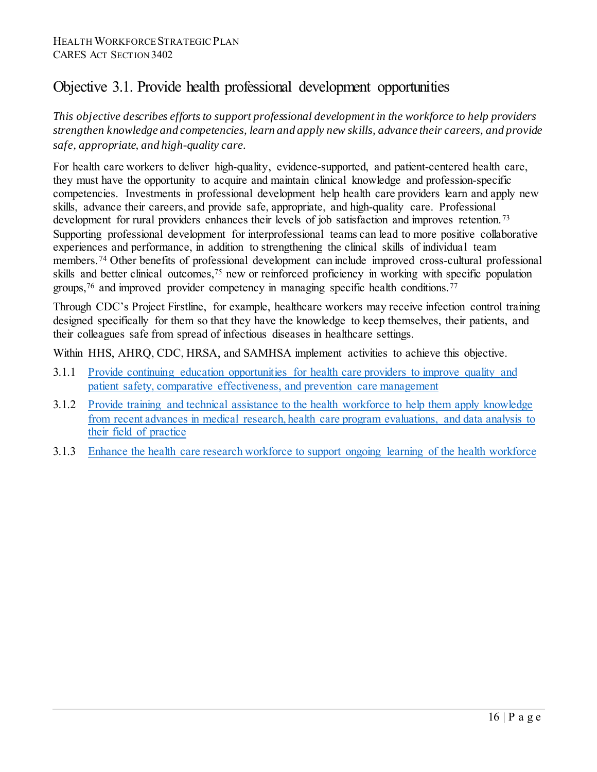# Objective 3.1. Provide health professional development opportunities

*This objective describes efforts to support professional development in the workforce to help providers strengthen knowledge and competencies, learn and apply new skills, advance their careers, and provide safe, appropriate, and high-quality care.*

For health care workers to deliver high-quality, evidence-supported, and patient-centered health care, they must have the opportunity to acquire and maintain clinical knowledge and profession-specific competencies. Investments in professional development help health care providers learn and apply new skills, advance their careers, and provide safe, appropriate, and high-quality care. Professional development for rural providers enhances their levels of job satisfaction and improves retention.<sup>[73](#page-77-3)</sup> Supporting professional development for interprofessional teams can lead to more positive collaborative experiences and performance, in addition to strengthening the clinical skills of individual team members. [74](#page-77-4) Other benefits of professional development can include improved cross-cultural professional skills and better clinical outcomes,<sup>[75](#page-77-5)</sup> new or reinforced proficiency in working with specific population groups,<sup>[76](#page-77-6)</sup> and improved provider competency in managing specific health conditions.<sup>[77](#page-77-7)</sup>

Through CDC's Project Firstline, for example, healthcare workers may receive infection control training designed specifically for them so that they have the knowledge to keep themselves, their patients, and their colleagues safe from spread of infectious diseases in healthcare settings.

Within HHS, AHRQ, CDC, HRSA, and SAMHSA implement activities to achieve this objective.

- 3.1.1 [Provide continuing education opportunities for health care providers to improve quality and](#page-43-0)  [patient safety, comparative effectiveness, and prevention care management](#page-43-0)
- 3.1.2 [Provide training and technical assistance to the health workforce to help them apply knowledge](#page-44-0)  [from recent advances in medical research, health care program evaluations, and data analysis to](#page-44-0)  [their field of practice](#page-44-0)
- 3.1.3 [Enhance the health care research workforce to support ongoing learning of the health workforce](#page-46-0)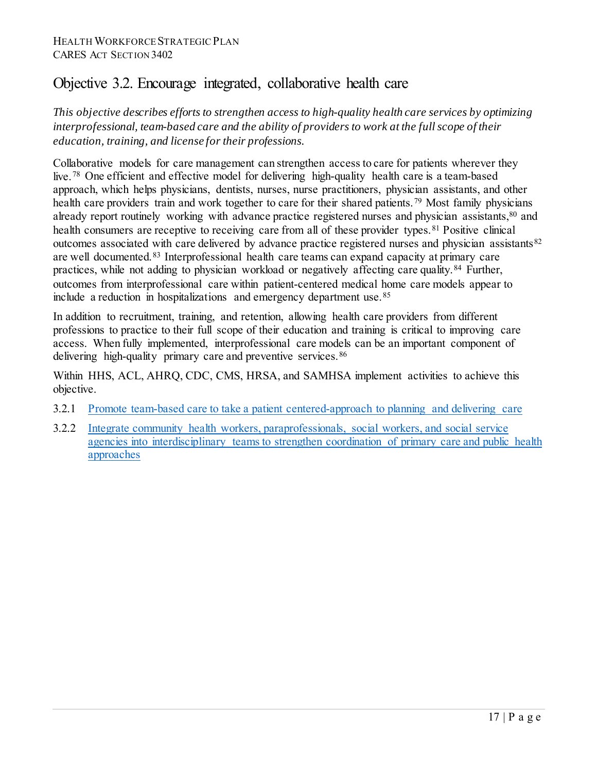### Objective 3.2. Encourage integrated, collaborative health care

*This objective describes efforts to strengthen access to high-quality health care services by optimizing interprofessional, team-based care and the ability of providers to work at the full scope of their education, training, and license for their professions.*

Collaborative models for care management can strengthen access to care for patients wherever they live. [78](#page-77-8) One efficient and effective model for delivering high-quality health care is a team-based approach, which helps physicians, dentists, nurses, nurse practitioners, physician assistants, and other health care providers train and work together to care for their shared patients.<sup>[79](#page-77-9)</sup> Most family physicians already report routinely working with advance practice registered nurses and physician assistants, <sup>80</sup> and health consumers are receptive to receiving care from all of these provider types.<sup>[81](#page-77-11)</sup> Positive clinical outcomes associated with care delivered by advance practice registered nurses and physician assistants<sup>[82](#page-77-12)</sup> are well documented.[83](#page-78-0) Interprofessional health care teams can expand capacity at primary care practices, while not adding to physician workload or negatively affecting care quality.[84](#page-78-1) Further, outcomes from interprofessional care within patient-centered medical home care models appear to include a reduction in hospitalizations and emergency department use.[85](#page-78-2)

In addition to recruitment, training, and retention, allowing health care providers from different professions to practice to their full scope of their education and training is critical to improving care access. When fully implemented, interprofessional care models can be an important component of delivering high-quality primary care and preventive services.<sup>[86](#page-78-3)</sup>

Within HHS, ACL, AHRQ, CDC, CMS, HRSA, and SAMHSA implement activities to achieve this objective.

- 3.2.1 [Promote team-based care to take a patient centered-approach to planning and delivering care](#page-47-0)
- 3.2.2 [Integrate community health workers, paraprofessionals, social workers, and social service](#page-47-1)  [agencies into interdisciplinary teams](#page-47-1) to strengthen coordination of primary care and public health approaches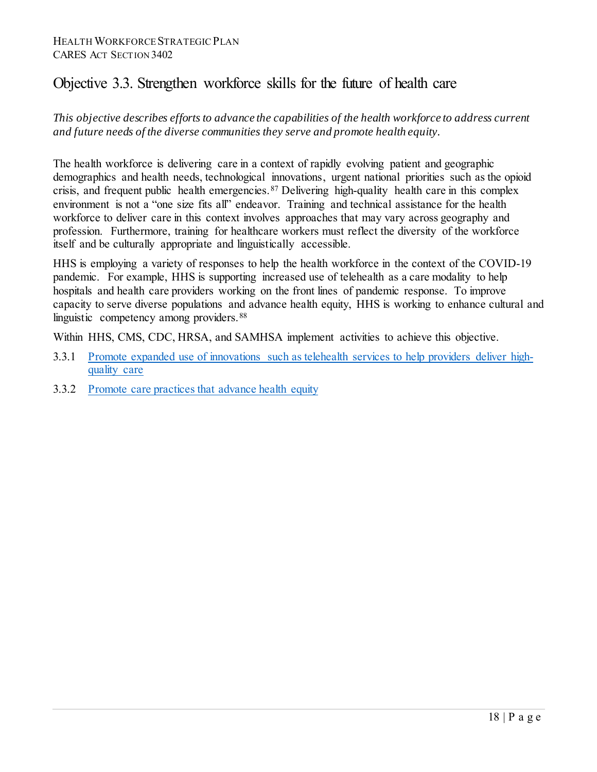### Objective 3.3. Strengthen workforce skills for the future of health care

*This objective describes efforts to advance the capabilities of the health workforce to address current and future needs of the diverse communities they serve and promote health equity.*

The health workforce is delivering care in a context of rapidly evolving patient and geographic demographics and health needs, technological innovations, urgent national priorities such as the opioid crisis, and frequent public health emergencies.[87](#page-78-4) Delivering high-quality health care in this complex environment is not a "one size fits all" endeavor. Training and technical assistance for the health workforce to deliver care in this context involves approaches that may vary across geography and profession. Furthermore, training for healthcare workers must reflect the diversity of the workforce itself and be culturally appropriate and linguistically accessible.

HHS is employing a variety of responses to help the health workforce in the context of the COVID-19 pandemic. For example, HHS is supporting increased use of telehealth as a care modality to help hospitals and health care providers working on the front lines of pandemic response. To improve capacity to serve diverse populations and advance health equity, HHS is working to enhance cultural and linguistic competency among providers.<sup>88</sup>

Within HHS, CMS, CDC, HRSA, and SAMHSA implement activities to achieve this objective.

- 3.3.1 [Promote expanded use of innovations such as telehealth services to help providers deliver high](#page-49-0)[quality care](#page-49-0)
- 3.3.2 [Promote care practices that advance health equity](#page-50-0)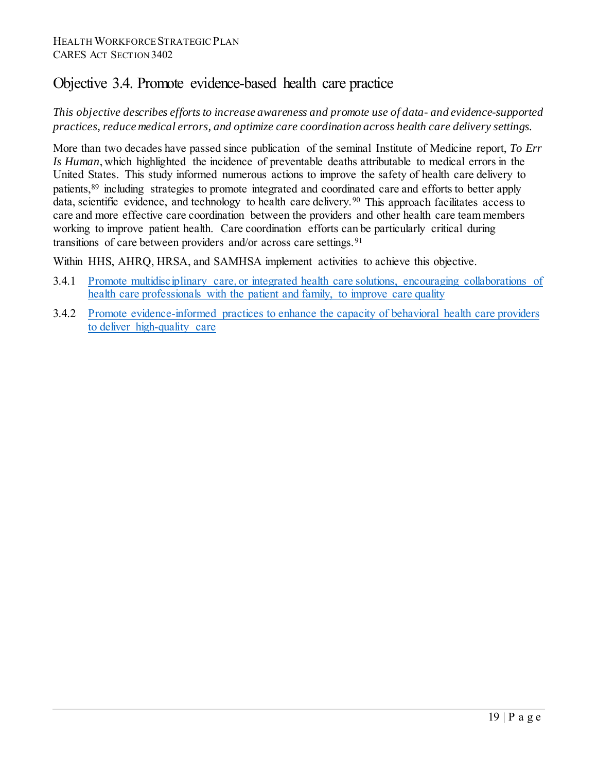### Objective 3.4. Promote evidence-based health care practice

### *This objective describes efforts to increase awareness and promote use of data- and evidence-supported practices, reduce medical errors, and optimize care coordination across health care delivery settings.*

More than two decades have passed since publication of the seminal Institute of Medicine report, *To Err Is Human*, which highlighted the incidence of preventable deaths attributable to medical errors in the United States. This study informed numerous actions to improve the safety of health care delivery to patients,[89](#page-78-6) including strategies to promote integrated and coordinated care and efforts to better apply data, scientific evidence, and technology to health care delivery.<sup>[90](#page-78-7)</sup> This approach facilitates access to care and more effective care coordination between the providers and other health care team members working to improve patient health. Care coordination efforts can be particularly critical during transitions of care between providers and/or across care settings.<sup>[91](#page-78-8)</sup>

Within HHS, AHRQ, HRSA, and SAMHSA implement activities to achieve this objective.

- 3.4.1 [Promote multidisciplinary care, or integrated health care solutions, encouraging collaborations of](#page-51-0)  [health care professionals with the patient and family,](#page-51-0) to improve care quality
- 3.4.2 [Promote evidence-informed practices to enhance the capacity of behavioral health care providers](#page-52-0)  [to deliver high-quality](#page-52-0) care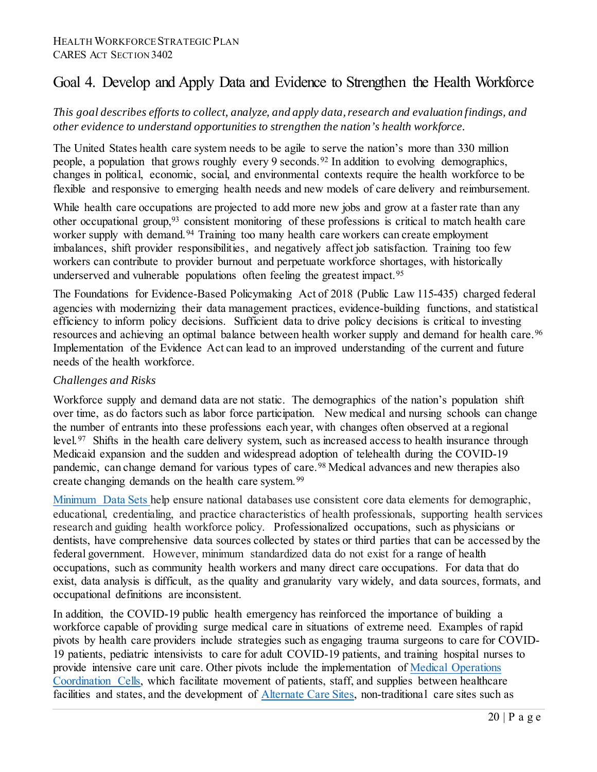# <span id="page-19-0"></span>Goal 4. Develop and Apply Data and Evidence to Strengthen the Health Workforce

*This goal describes efforts to collect, analyze, and apply data, research and evaluation findings, and other evidence to understand opportunities to strengthen the nation's health workforce.*

The United States health care system needs to be agile to serve the nation's more than 330 million people, a population that grows roughly every 9 seconds.[92](#page-78-9) In addition to evolving demographics, changes in political, economic, social, and environmental contexts require the health workforce to be flexible and responsive to emerging health needs and new models of care delivery and reimbursement.

While health care occupations are projected to add more new jobs and grow at a faster rate than any other occupational group,  $93$  consistent monitoring of these professions is critical to match health care worker supply with demand.<sup>[94](#page-78-11)</sup> Training too many health care workers can create employment imbalances, shift provider responsibilities, and negatively affect job satisfaction. Training too few workers can contribute to provider burnout and perpetuate workforce shortages, with historically underserved and vulnerable populations often feeling the greatest impact.<sup>[95](#page-78-12)</sup>

The Foundations for Evidence-Based Policymaking Act of 2018 (Public Law 115-435) charged federal agencies with modernizing their data management practices, evidence-building functions, and statistical efficiency to inform policy decisions. Sufficient data to drive policy decisions is critical to investing resources and achieving an optimal balance between health worker supply and demand for health care.<sup>[96](#page-78-13)</sup> Implementation of the Evidence Act can lead to an improved understanding of the current and future needs of the health workforce.

### *Challenges and Risks*

Workforce supply and demand data are not static. The demographics of the nation's population shift over time, as do factors such as labor force participation. New medical and nursing schools can change the number of entrants into these professions each year, with changes often observed at a regional level.[97](#page-79-0) Shifts in the health care delivery system, such as increased access to health insurance through Medicaid expansion and the sudden and widespread adoption of telehealth during the COVID-19 pandemic, can change demand for various types of care.<sup>[98](#page-79-1)</sup> Medical advances and new therapies also create changing demands on the health care system.<sup>[99](#page-79-2)</sup>

[Minimum Data Sets h](https://www.cms.gov/Research-Statistics-Data-and-Systems/Computer-Data-and-Systems/Minimum-Data-Set-3-0-Public-Reports)elp ensure national databases use consistent core data elements for demographic, educational, credentialing, and practice characteristics of health professionals, supporting health services research and guiding health workforce policy. Professionalized occupations, such as physicians or dentists, have comprehensive data sources collected by states or third parties that can be accessed by the federal government. However, minimum standardized data do not exist for a range of health occupations, such as community health workers and many direct care occupations. For data that do exist, data analysis is difficult, as the quality and granularity vary widely, and data sources, formats, and occupational definitions are inconsistent.

In addition, the COVID-19 public health emergency has reinforced the importance of building a workforce capable of providing surge medical care in situations of extreme need. Examples of rapid pivots by health care providers include strategies such as engaging trauma surgeons to care for COVID-19 patients, pediatric intensivists to care for adult COVID-19 patients, and training hospital nurses to provide intensive care unit care. Other pivots include the implementation of [Medical Operations](https://asprtracie.hhs.gov/technical-resources/resource/8354/establishing-medical-operations-coordination-cells-moccs-for-covid-19)  [Coordination Cells,](https://asprtracie.hhs.gov/technical-resources/resource/8354/establishing-medical-operations-coordination-cells-moccs-for-covid-19) which facilitate movement of patients, staff, and supplies between healthcare facilities and states, and the development of [Alternate Care Sites,](https://www.cdc.gov/coronavirus/2019-ncov/hcp/alternative-care-sites.html) non-traditional care sites such as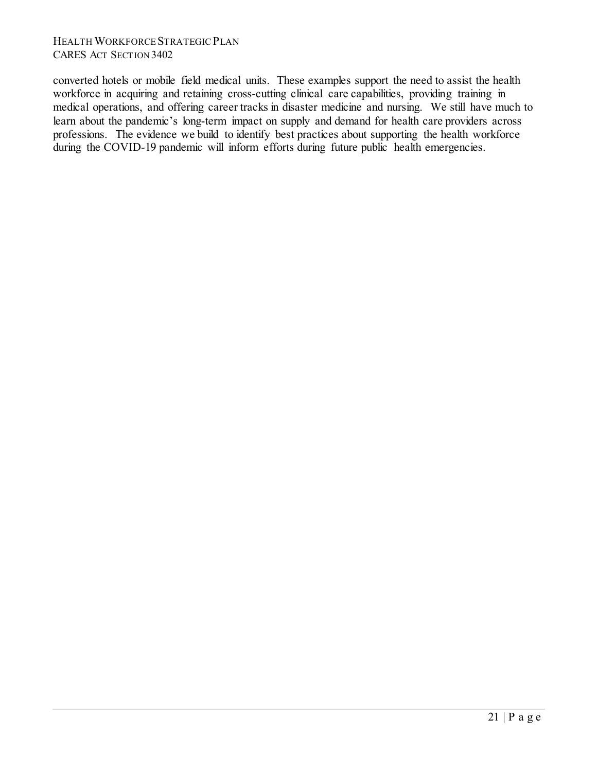converted hotels or mobile field medical units. These examples support the need to assist the health workforce in acquiring and retaining cross-cutting clinical care capabilities, providing training in medical operations, and offering career tracks in disaster medicine and nursing. We still have much to learn about the pandemic's long-term impact on supply and demand for health care providers across professions. The evidence we build to identify best practices about supporting the health workforce during the COVID-19 pandemic will inform efforts during future public health emergencies.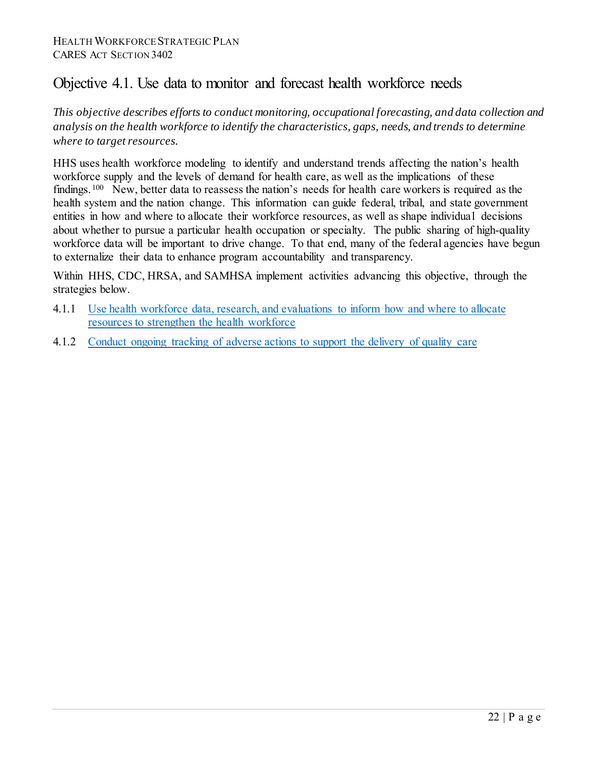### Objective 4.1. Use data to monitor and forecast health workforce needs

*This objective describes efforts to conduct monitoring, occupational forecasting, and data collection and analysis on the health workforce to identify the characteristics, gaps, needs, and trends to determine where to target resources.*

HHS uses health workforce modeling to identify and understand trends affecting the nation's health workforce supply and the levels of demand for health care, as well as the implications of these findings.<sup>[100](#page-79-3)</sup> New, better data to reassess the nation's needs for health care workers is required as the health system and the nation change. This information can guide federal, tribal, and state government entities in how and where to allocate their workforce resources, as well as shape individual decisions about whether to pursue a particular health occupation or specialty. The public sharing of high-quality workforce data will be important to drive change. To that end, many of the federal agencies have begun to externalize their data to enhance program accountability and transparency.

Within HHS, CDC, HRSA, and SAMHSA implement activities advancing this objective, through the strategies below.

- 4.1.1 Use [health workforce data, research, and evaluations to inform how and where to allocate](#page-52-1)  [resources to strengthen the health workforce](#page-52-1)
- 4.1.2 [Conduct ongoing tracking of adverse actions to support the delivery of quality care](#page-54-0)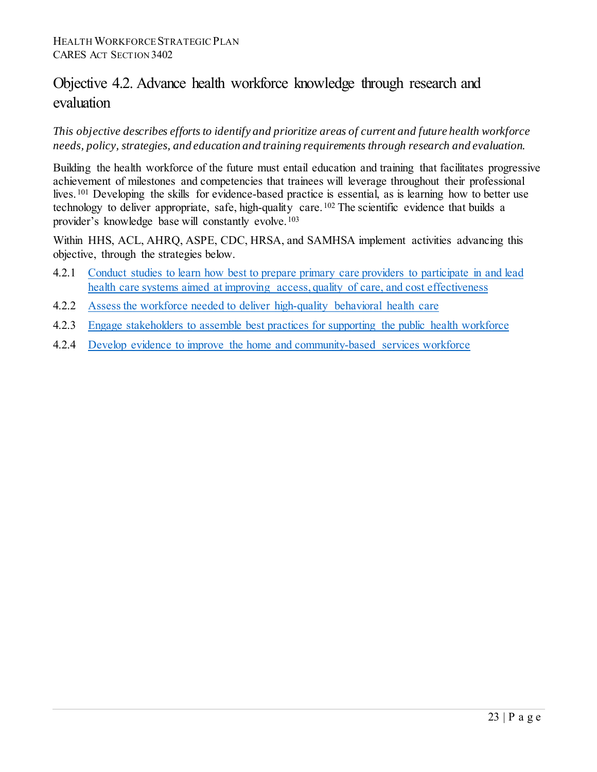# Objective 4.2. Advance health workforce knowledge through research and evaluation

*This objective describes efforts to identify and prioritize areas of current and future health workforce needs, policy, strategies, and education and training requirements through research and evaluation.*

Building the health workforce of the future must entail education and training that facilitates progressive achievement of milestones and competencies that trainees will leverage throughout their professional lives. <sup>[101](#page-79-4)</sup> Developing the skills for evidence-based practice is essential, as is learning how to better use technology to deliver appropriate, safe, high-quality care.<sup>[102](#page-79-5)</sup> The scientific evidence that builds a provider's knowledge base will constantly evolve.[103](#page-79-6)

Within HHS, ACL, AHRQ, ASPE, CDC, HRSA, and SAMHSA implement activities advancing this objective, through the strategies below.

- 4.2.1 Conduct studies to learn how best to prepare primary care providers to participate in and lead [health care systems aimed at improving access, quality of care, and cost effectiveness](#page-54-1)
- 4.2.2 [Assess the workforce needed to deliver high-quality](#page-55-0) behavioral health care
- 4.2.3 [Engage stakeholders to assemble best practices for supporting the public health workforce](#page-56-0)
- 4.2.4 [Develop evidence to improve the home and community-based services workforce](#page-56-1)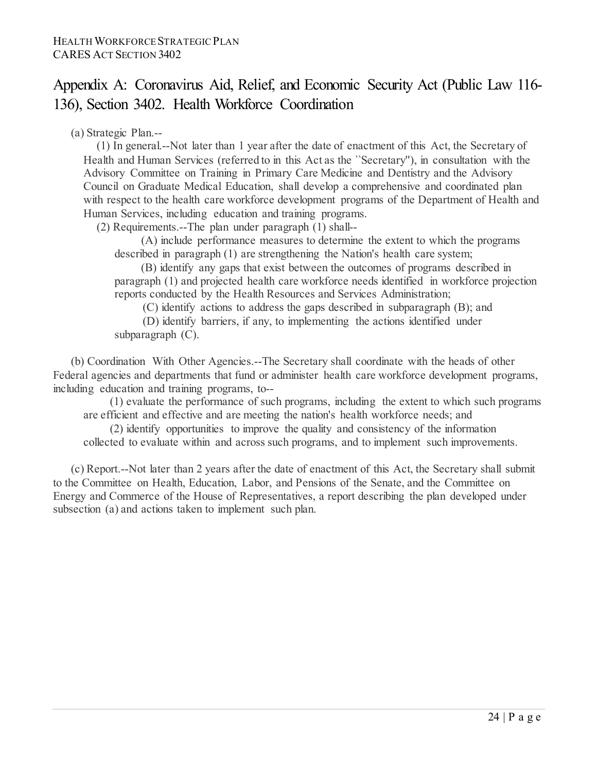# <span id="page-23-0"></span>Appendix A: Coronavirus Aid, Relief, and Economic Security Act (Public Law 116- 136), Section 3402. Health Workforce Coordination

(a) Strategic Plan.--

(1) In general.--Not later than 1 year after the date of enactment of this Act, the Secretary of Health and Human Services (referred to in this Act as the ``Secretary''), in consultation with the Advisory Committee on Training in Primary Care Medicine and Dentistry and the Advisory Council on Graduate Medical Education, shall develop a comprehensive and coordinated plan with respect to the health care workforce development programs of the Department of Health and Human Services, including education and training programs.

(2) Requirements.--The plan under paragraph (1) shall--

(A) include performance measures to determine the extent to which the programs described in paragraph (1) are strengthening the Nation's health care system;

(B) identify any gaps that exist between the outcomes of programs described in paragraph (1) and projected health care workforce needs identified in workforce projection reports conducted by the Health Resources and Services Administration;

(C) identify actions to address the gaps described in subparagraph (B); and

(D) identify barriers, if any, to implementing the actions identified under subparagraph (C).

(b) Coordination With Other Agencies.--The Secretary shall coordinate with the heads of other Federal agencies and departments that fund or administer health care workforce development programs, including education and training programs, to--

(1) evaluate the performance of such programs, including the extent to which such programs are efficient and effective and are meeting the nation's health workforce needs; and

(2) identify opportunities to improve the quality and consistency of the information collected to evaluate within and across such programs, and to implement such improvements.

(c) Report.--Not later than 2 years after the date of enactment of this Act, the Secretary shall submit to the Committee on Health, Education, Labor, and Pensions of the Senate, and the Committee on Energy and Commerce of the House of Representatives, a report describing the plan developed under subsection (a) and actions taken to implement such plan.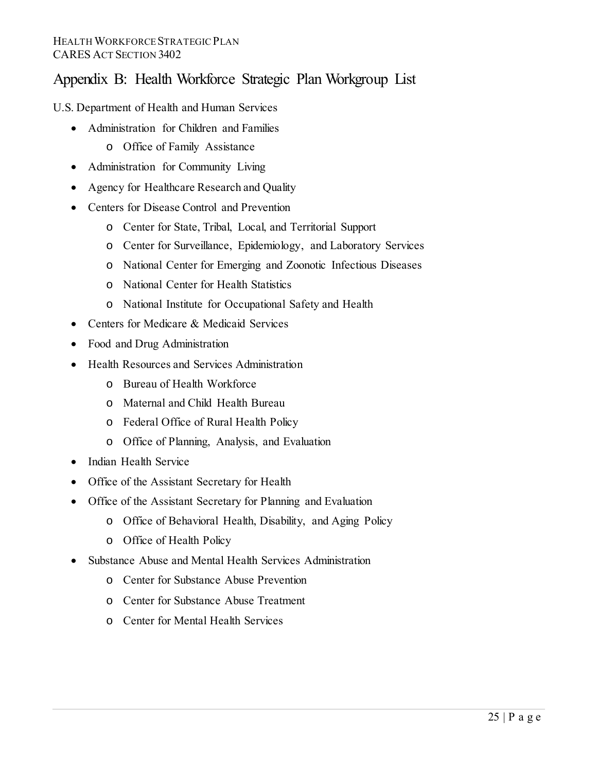# <span id="page-24-0"></span>Appendix B: Health Workforce Strategic Plan Workgroup List

U.S. Department of Health and Human Services

- Administration for Children and Families
	- o Office of Family Assistance
- Administration for Community Living
- Agency for Healthcare Research and Quality
- Centers for Disease Control and Prevention
	- o Center for State, Tribal, Local, and Territorial Support
	- o Center for Surveillance, Epidemiology, and Laboratory Services
	- o National Center for Emerging and Zoonotic Infectious Diseases
	- o National Center for Health Statistics
	- o National Institute for Occupational Safety and Health
- Centers for Medicare & Medicaid Services
- Food and Drug Administration
- Health Resources and Services Administration
	- o Bureau of Health Workforce
	- o Maternal and Child Health Bureau
	- o Federal Office of Rural Health Policy
	- o Office of Planning, Analysis, and Evaluation
- Indian Health Service
- Office of the Assistant Secretary for Health
- Office of the Assistant Secretary for Planning and Evaluation
	- o Office of Behavioral Health, Disability, and Aging Policy
	- o Office of Health Policy
- Substance Abuse and Mental Health Services Administration
	- o Center for Substance Abuse Prevention
	- o Center for Substance Abuse Treatment
	- o Center for Mental Health Services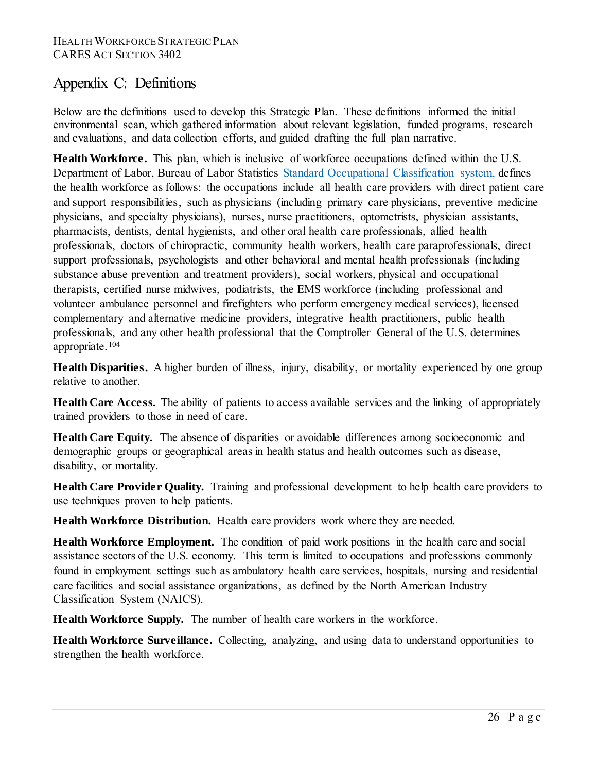# <span id="page-25-0"></span>Appendix C: Definitions

Below are the definitions used to develop this Strategic Plan. These definitions informed the initial environmental scan, which gathered information about relevant legislation, funded programs, research and evaluations, and data collection efforts, and guided drafting the full plan narrative.

**Health Workforce.** This plan, which is inclusive of workforce occupations defined within the U.S. Department of Labor, Bureau of Labor Statistics [Standard Occupational Classification system,](https://www.bls.gov/soc/) defines the health workforce as follows: the occupations include all health care providers with direct patient care and support responsibilities, such as physicians (including primary care physicians, preventive medicine physicians, and specialty physicians), nurses, nurse practitioners, optometrists, physician assistants, pharmacists, dentists, dental hygienists, and other oral health care professionals, allied health professionals, doctors of chiropractic, community health workers, health care paraprofessionals, direct support professionals, psychologists and other behavioral and mental health professionals (including substance abuse prevention and treatment providers), social workers, physical and occupational therapists, certified nurse midwives, podiatrists, the EMS workforce (including professional and volunteer ambulance personnel and firefighters who perform emergency medical services), licensed complementary and alternative medicine providers, integrative health practitioners, public health professionals, and any other health professional that the Comptroller General of the U.S. determines appropriate.[104](#page-79-7)

**Health Disparities.** A higher burden of illness, injury, disability, or mortality experienced by one group relative to another.

**Health Care Access.** The ability of patients to access available services and the linking of appropriately trained providers to those in need of care.

**Health Care Equity.** The absence of disparities or avoidable differences among socioeconomic and demographic groups or geographical areas in health status and health outcomes such as disease, disability, or mortality.

**Health Care Provider Quality.** Training and professional development to help health care providers to use techniques proven to help patients.

**Health Workforce Distribution.** Health care providers work where they are needed.

**Health Workforce Employment.** The condition of paid work positions in the health care and social assistance sectors of the U.S. economy. This term is limited to occupations and professions commonly found in employment settings such as ambulatory health care services, hospitals, nursing and residential care facilities and social assistance organizations, as defined by the North American Industry Classification System (NAICS).

**Health Workforce Supply.** The number of health care workers in the workforce.

**Health Workforce Surveillance.** Collecting, analyzing, and using data to understand opportunities to strengthen the health workforce.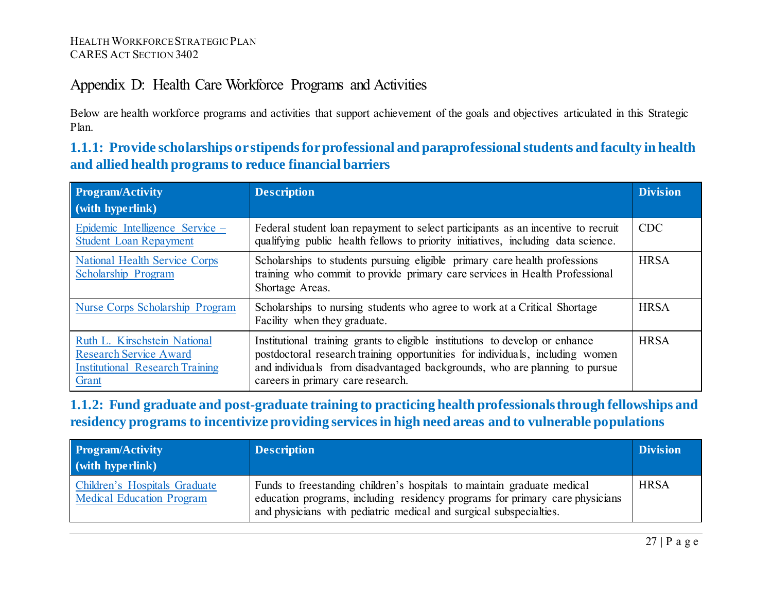# Appendix D: Health Care Workforce Programs and Activities

Below are health workforce programs and activities that support achievement of the goals and objectives articulated in this Strategic Plan.

**1.1.1: Provide scholarships or stipends for professional and paraprofessional students and faculty in health and allied health programs to reduce financial barriers**

<span id="page-26-0"></span>

| <b>Program/Activity</b><br>(with hyperlink)                                                                      | <b>Description</b>                                                                                                                                                                                                                                                               | <b>Division</b> |
|------------------------------------------------------------------------------------------------------------------|----------------------------------------------------------------------------------------------------------------------------------------------------------------------------------------------------------------------------------------------------------------------------------|-----------------|
| Epidemic Intelligence Service –<br><b>Student Loan Repayment</b>                                                 | Federal student loan repayment to select participants as an incentive to recruit<br>qualifying public health fellows to priority initiatives, including data science.                                                                                                            | <b>CDC</b>      |
| <b>National Health Service Corps</b><br>Scholarship Program                                                      | Scholarships to students pursuing eligible primary care health professions<br>training who commit to provide primary care services in Health Professional<br>Shortage Areas.                                                                                                     | <b>HRSA</b>     |
| Nurse Corps Scholarship Program                                                                                  | Scholarships to nursing students who agree to work at a Critical Shortage<br>Facility when they graduate.                                                                                                                                                                        | <b>HRSA</b>     |
| Ruth L. Kirschstein National<br><b>Research Service Award</b><br><b>Institutional Research Training</b><br>Grant | Institutional training grants to eligible institutions to develop or enhance<br>postdoctoral research training opportunities for individuals, including women<br>and individuals from disadvantaged backgrounds, who are planning to pursue<br>careers in primary care research. | <b>HRSA</b>     |

<span id="page-26-1"></span>**1.1.2: Fund graduate and post-graduate training to practicing health professionals through fellowships and residency programs to incentivize providing services in high need areas and to vulnerable populations**

<span id="page-26-2"></span>

| <b>Program/Activity</b><br>(with hyperlink)                       | <b>Description</b>                                                                                                                                                                                                            | <b>Division</b> |
|-------------------------------------------------------------------|-------------------------------------------------------------------------------------------------------------------------------------------------------------------------------------------------------------------------------|-----------------|
| Children's Hospitals Graduate<br><b>Medical Education Program</b> | Funds to freestanding children's hospitals to maintain graduate medical<br>education programs, including residency programs for primary care physicians<br>and physicians with pediatric medical and surgical subspecialties. | <b>HRSA</b>     |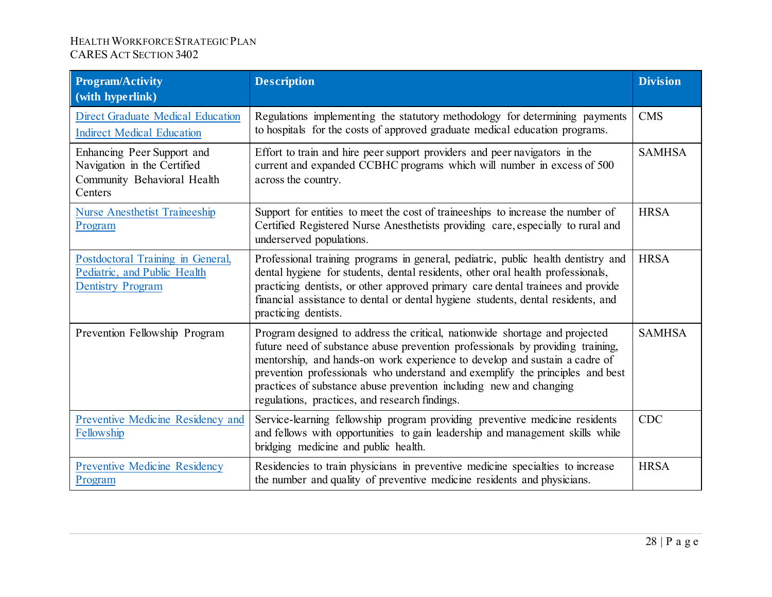| <b>Program/Activity</b><br>(with hyperlink)                                                         | <b>Description</b>                                                                                                                                                                                                                                                                                                                                                                                                                                   | <b>Division</b> |
|-----------------------------------------------------------------------------------------------------|------------------------------------------------------------------------------------------------------------------------------------------------------------------------------------------------------------------------------------------------------------------------------------------------------------------------------------------------------------------------------------------------------------------------------------------------------|-----------------|
| <b>Direct Graduate Medical Education</b><br><b>Indirect Medical Education</b>                       | Regulations implementing the statutory methodology for determining payments<br>to hospitals for the costs of approved graduate medical education programs.                                                                                                                                                                                                                                                                                           | <b>CMS</b>      |
| Enhancing Peer Support and<br>Navigation in the Certified<br>Community Behavioral Health<br>Centers | Effort to train and hire peer support providers and peer navigators in the<br>current and expanded CCBHC programs which will number in excess of 500<br>across the country.                                                                                                                                                                                                                                                                          | <b>SAMHSA</b>   |
| <b>Nurse Anesthetist Traineeship</b><br>Program                                                     | Support for entities to meet the cost of traineeships to increase the number of<br>Certified Registered Nurse Anesthetists providing care, especially to rural and<br>underserved populations.                                                                                                                                                                                                                                                       | <b>HRSA</b>     |
| Postdoctoral Training in General,<br>Pediatric, and Public Health<br><b>Dentistry Program</b>       | Professional training programs in general, pediatric, public health dentistry and<br>dental hygiene for students, dental residents, other oral health professionals,<br>practicing dentists, or other approved primary care dental trainees and provide<br>financial assistance to dental or dental hygiene students, dental residents, and<br>practicing dentists.                                                                                  | <b>HRSA</b>     |
| Prevention Fellowship Program                                                                       | Program designed to address the critical, nationwide shortage and projected<br>future need of substance abuse prevention professionals by providing training,<br>mentorship, and hands-on work experience to develop and sustain a cadre of<br>prevention professionals who understand and exemplify the principles and best<br>practices of substance abuse prevention including new and changing<br>regulations, practices, and research findings. | <b>SAMHSA</b>   |
| Preventive Medicine Residency and<br>Fellowship                                                     | Service-learning fellowship program providing preventive medicine residents<br>and fellows with opportunities to gain leadership and management skills while<br>bridging medicine and public health.                                                                                                                                                                                                                                                 | <b>CDC</b>      |
| <b>Preventive Medicine Residency</b><br>Program                                                     | Residencies to train physicians in preventive medicine specialties to increase<br>the number and quality of preventive medicine residents and physicians.                                                                                                                                                                                                                                                                                            | <b>HRSA</b>     |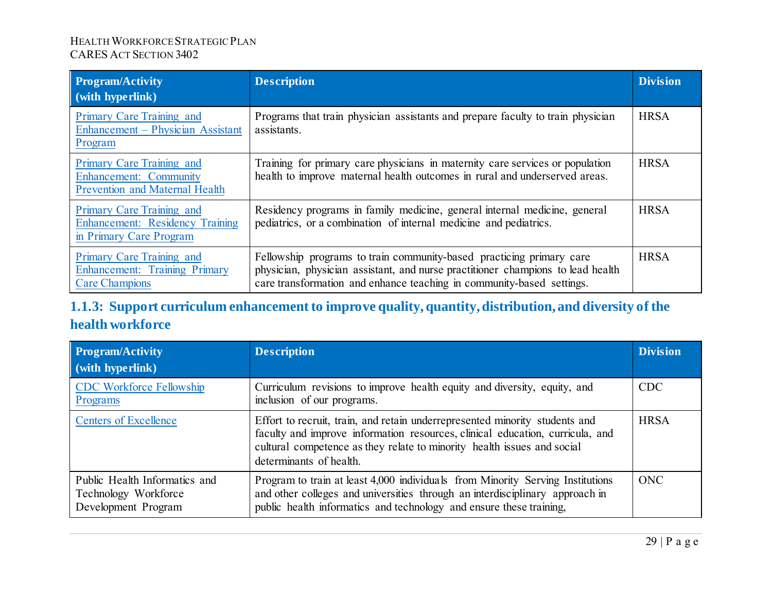| <b>Program/Activity</b><br>$\dot{a}$ (with hyperlink)                                               | <b>Description</b>                                                                                                                                                                                                               | <b>Division</b> |
|-----------------------------------------------------------------------------------------------------|----------------------------------------------------------------------------------------------------------------------------------------------------------------------------------------------------------------------------------|-----------------|
| Primary Care Training and<br>Enhancement – Physician Assistant<br>Program                           | Programs that train physician assistants and prepare faculty to train physician<br>assistants.                                                                                                                                   | <b>HRSA</b>     |
| Primary Care Training and<br><b>Enhancement: Community</b><br><b>Prevention and Maternal Health</b> | Training for primary care physicians in maternity care services or population<br>health to improve maternal health outcomes in rural and underserved areas.                                                                      | <b>HRSA</b>     |
| Primary Care Training and<br><b>Enhancement: Residency Training</b><br>in Primary Care Program      | Residency programs in family medicine, general internal medicine, general<br>pediatrics, or a combination of internal medicine and pediatrics.                                                                                   | <b>HRSA</b>     |
| Primary Care Training and<br>Enhancement: Training Primary<br><b>Care Champions</b>                 | Fellowship programs to train community-based practicing primary care<br>physician, physician assistant, and nurse practitioner champions to lead health<br>care transformation and enhance teaching in community-based settings. | <b>HRSA</b>     |

# **1.1.3: Support curriculum enhancement to improve quality, quantity, distribution, and diversity of the health workforce**

<span id="page-28-0"></span>

| Program/Activity<br>(with hyperlink)                                         | <b>Description</b>                                                                                                                                                                                                                                                 | <b>Division</b> |
|------------------------------------------------------------------------------|--------------------------------------------------------------------------------------------------------------------------------------------------------------------------------------------------------------------------------------------------------------------|-----------------|
| <b>CDC Workforce Fellowship</b><br>Programs                                  | Curriculum revisions to improve health equity and diversity, equity, and<br>inclusion of our programs.                                                                                                                                                             | <b>CDC</b>      |
| <b>Centers of Excellence</b>                                                 | Effort to recruit, train, and retain underrepresented minority students and<br>faculty and improve information resources, clinical education, curricula, and<br>cultural competence as they relate to minority health issues and social<br>determinants of health. | <b>HRSA</b>     |
| Public Health Informatics and<br>Technology Workforce<br>Development Program | Program to train at least 4,000 individuals from Minority Serving Institutions<br>and other colleges and universities through an interdisciplinary approach in<br>public health informatics and technology and ensure these training,                              | <b>ONC</b>      |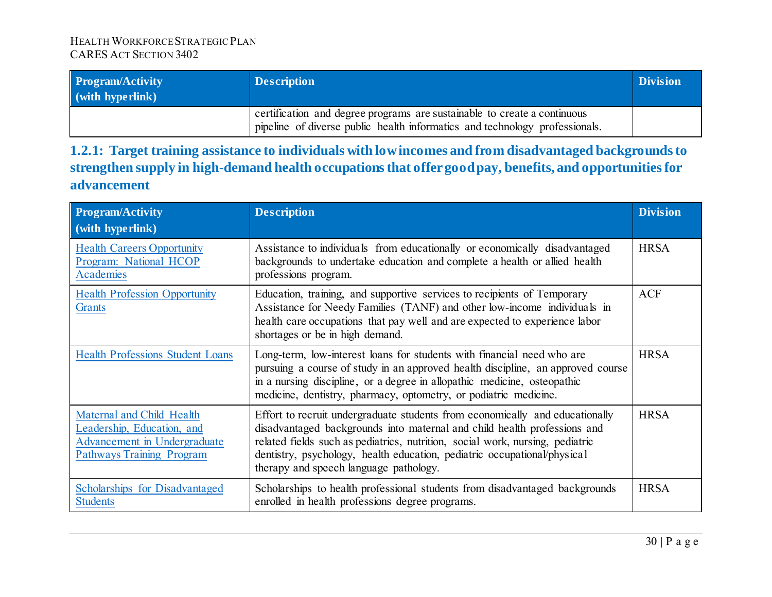| <b>Program/Activity</b><br>(with hyperlink) | <b>Description</b>                                                                                                                                      | <b>Division</b> |
|---------------------------------------------|---------------------------------------------------------------------------------------------------------------------------------------------------------|-----------------|
|                                             | certification and degree programs are sustainable to create a continuous<br>pipeline of diverse public health informatics and technology professionals. |                 |

**1.2.1: Target training assistance to individuals with low incomes and from disadvantaged backgrounds to strengthen supply in high-demand health occupations that offer good pay, benefits, and opportunities for advancement** 

<span id="page-29-0"></span>

| <b>Program/Activity</b><br>$\vert$ (with hyperlink)                                                                         | <b>Description</b>                                                                                                                                                                                                                                                                                                                                              | <b>Division</b> |
|-----------------------------------------------------------------------------------------------------------------------------|-----------------------------------------------------------------------------------------------------------------------------------------------------------------------------------------------------------------------------------------------------------------------------------------------------------------------------------------------------------------|-----------------|
| <b>Health Careers Opportunity</b><br>Program: National HCOP<br><b>Academies</b>                                             | Assistance to individuals from educationally or economically disadvantaged<br>backgrounds to undertake education and complete a health or allied health<br>professions program.                                                                                                                                                                                 | <b>HRSA</b>     |
| <b>Health Profession Opportunity</b><br>Grants                                                                              | Education, training, and supportive services to recipients of Temporary<br>Assistance for Needy Families (TANF) and other low-income individuals in<br>health care occupations that pay well and are expected to experience labor<br>shortages or be in high demand.                                                                                            | <b>ACF</b>      |
| <b>Health Professions Student Loans</b>                                                                                     | Long-term, low-interest loans for students with financial need who are<br>pursuing a course of study in an approved health discipline, an approved course<br>in a nursing discipline, or a degree in allopathic medicine, osteopathic<br>medicine, dentistry, pharmacy, optometry, or podiatric medicine.                                                       | <b>HRSA</b>     |
| Maternal and Child Health<br>Leadership, Education, and<br>Advancement in Undergraduate<br><b>Pathways Training Program</b> | Effort to recruit undergraduate students from economically and educationally<br>disadvantaged backgrounds into maternal and child health professions and<br>related fields such as pediatrics, nutrition, social work, nursing, pediatric<br>dentistry, psychology, health education, pediatric occupational/physical<br>therapy and speech language pathology. | <b>HRSA</b>     |
| Scholarships for Disadvantaged<br><b>Students</b>                                                                           | Scholarships to health professional students from disadvantaged backgrounds<br>enrolled in health professions degree programs.                                                                                                                                                                                                                                  | <b>HRSA</b>     |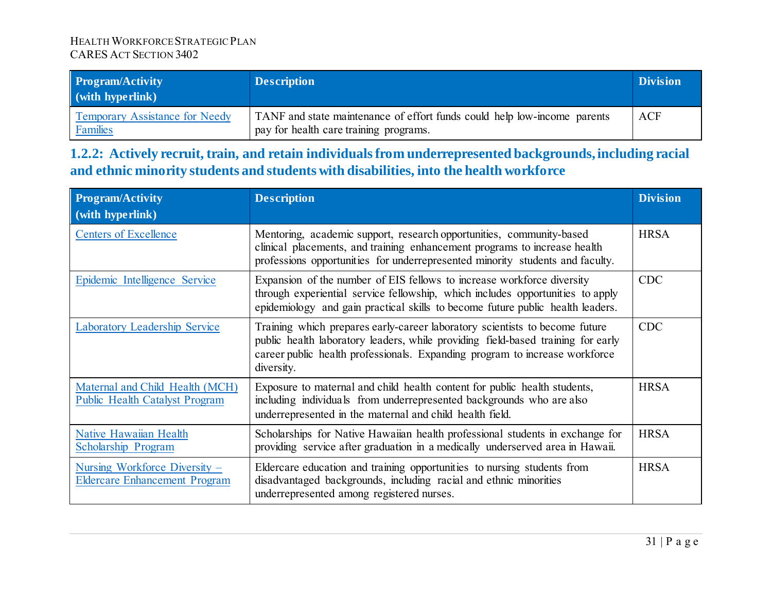| <b>Program/Activity</b><br>(with hyperlink)       | <b>Description</b>                                                                                                 | <b>Division</b> |
|---------------------------------------------------|--------------------------------------------------------------------------------------------------------------------|-----------------|
| <b>Temporary Assistance for Needy</b><br>Families | TANF and state maintenance of effort funds could help low-income parents<br>pay for health care training programs. | ACF             |

**1.2.2: Actively recruit, train, and retain individuals from underrepresented backgrounds, including racial and ethnic minority students and students with disabilities, into the health workforce**

<span id="page-30-0"></span>

| <b>Program/Activity</b><br>(with hyperlink)                              | <b>Description</b>                                                                                                                                                                                                                                           | <b>Division</b> |
|--------------------------------------------------------------------------|--------------------------------------------------------------------------------------------------------------------------------------------------------------------------------------------------------------------------------------------------------------|-----------------|
| <b>Centers of Excellence</b>                                             | Mentoring, academic support, research opportunities, community-based<br>clinical placements, and training enhancement programs to increase health<br>professions opportunities for underrepresented minority students and faculty.                           | <b>HRSA</b>     |
| Epidemic Intelligence Service                                            | Expansion of the number of EIS fellows to increase workforce diversity<br>through experiential service fellowship, which includes opportunities to apply<br>epidemiology and gain practical skills to become future public health leaders.                   | <b>CDC</b>      |
| <b>Laboratory Leadership Service</b>                                     | Training which prepares early-career laboratory scientists to become future<br>public health laboratory leaders, while providing field-based training for early<br>career public health professionals. Expanding program to increase workforce<br>diversity. | <b>CDC</b>      |
| Maternal and Child Health (MCH)<br><b>Public Health Catalyst Program</b> | Exposure to maternal and child health content for public health students,<br>including individuals from underrepresented backgrounds who are also<br>underrepresented in the maternal and child health field.                                                | <b>HRSA</b>     |
| <b>Native Hawaiian Health</b><br>Scholarship Program                     | Scholarships for Native Hawaiian health professional students in exchange for<br>providing service after graduation in a medically underserved area in Hawaii.                                                                                               | <b>HRSA</b>     |
| Nursing Workforce Diversity -<br><b>Eldercare Enhancement Program</b>    | Eldercare education and training opportunities to nursing students from<br>disadvantaged backgrounds, including racial and ethnic minorities<br>underrepresented among registered nurses.                                                                    | <b>HRSA</b>     |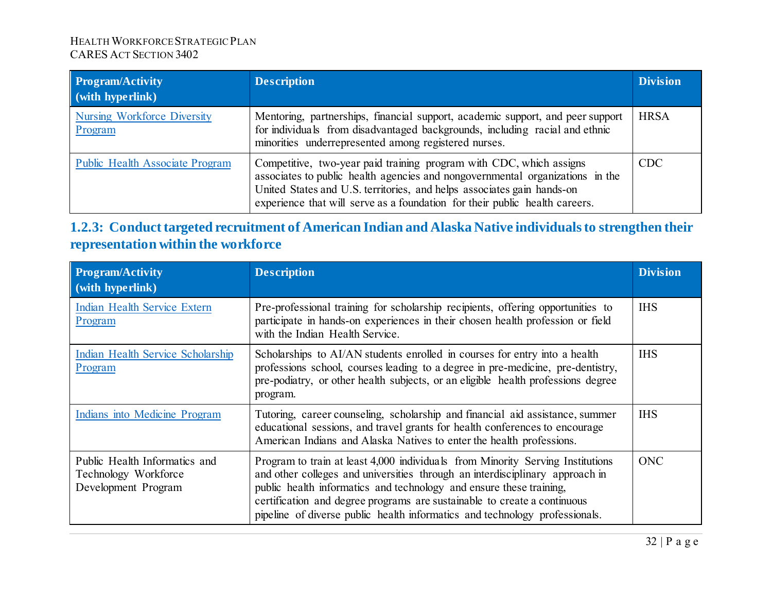| <b>Program/Activity</b><br>(with hyperlink)   | <b>Description</b>                                                                                                                                                                                                                                                                                            | <b>Division</b> |
|-----------------------------------------------|---------------------------------------------------------------------------------------------------------------------------------------------------------------------------------------------------------------------------------------------------------------------------------------------------------------|-----------------|
| <b>Nursing Workforce Diversity</b><br>Program | Mentoring, partnerships, financial support, academic support, and peer support<br>for individuals from disadvantaged backgrounds, including racial and ethnic<br>minorities underrepresented among registered nurses.                                                                                         | <b>HRSA</b>     |
| <b>Public Health Associate Program</b>        | Competitive, two-year paid training program with CDC, which assigns<br>associates to public health agencies and nongovernmental organizations in the<br>United States and U.S. territories, and helps associates gain hands-on<br>experience that will serve as a foundation for their public health careers. | <b>CDC</b>      |

# **1.2.3: Conduct targeted recruitment of American Indian and Alaska Native individuals to strengthen their representation within the workforce**

<span id="page-31-0"></span>

| <b>Program/Activity</b><br>$\vert$ (with hyperlink)                          | <b>Description</b>                                                                                                                                                                                                                                                                                                                                                                               | <b>Division</b> |
|------------------------------------------------------------------------------|--------------------------------------------------------------------------------------------------------------------------------------------------------------------------------------------------------------------------------------------------------------------------------------------------------------------------------------------------------------------------------------------------|-----------------|
| <b>Indian Health Service Extern</b><br>Program                               | Pre-professional training for scholarship recipients, offering opportunities to<br>participate in hands-on experiences in their chosen health profession or field<br>with the Indian Health Service.                                                                                                                                                                                             | <b>IHS</b>      |
| Indian Health Service Scholarship<br>Program                                 | Scholarships to AI/AN students enrolled in courses for entry into a health<br>professions school, courses leading to a degree in pre-medicine, pre-dentistry,<br>pre-podiatry, or other health subjects, or an eligible health professions degree<br>program.                                                                                                                                    | <b>IHS</b>      |
| Indians into Medicine Program                                                | Tutoring, career counseling, scholarship and financial aid assistance, summer<br>educational sessions, and travel grants for health conferences to encourage<br>American Indians and Alaska Natives to enter the health professions.                                                                                                                                                             | <b>IHS</b>      |
| Public Health Informatics and<br>Technology Workforce<br>Development Program | Program to train at least 4,000 individuals from Minority Serving Institutions<br>and other colleges and universities through an interdisciplinary approach in<br>public health informatics and technology and ensure these training,<br>certification and degree programs are sustainable to create a continuous<br>pipeline of diverse public health informatics and technology professionals. | <b>ONC</b>      |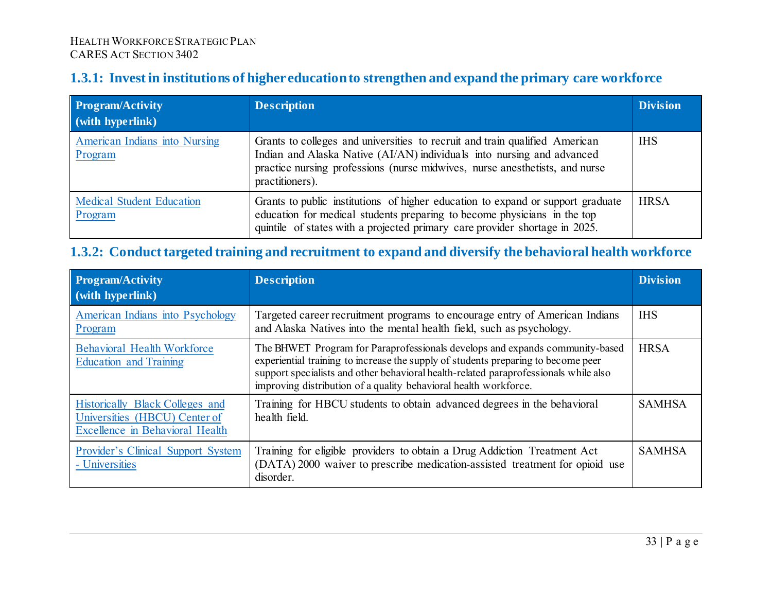### **1.3.1: Invest in institutions of higher education to strengthen and expand the primary care workforce**

| <b>Program/Activity</b><br>$\frac{1}{2}$ (with hyperlink) | <b>Description</b>                                                                                                                                                                                                                                      | <b>Division</b> |
|-----------------------------------------------------------|---------------------------------------------------------------------------------------------------------------------------------------------------------------------------------------------------------------------------------------------------------|-----------------|
| American Indians into Nursing<br>Program                  | Grants to colleges and universities to recruit and train qualified American<br>Indian and Alaska Native (AI/AN) individuals into nursing and advanced<br>practice nursing professions (nurse midwives, nurse anesthetists, and nurse<br>practitioners). | <b>IHS</b>      |
| <b>Medical Student Education</b><br>Program               | Grants to public institutions of higher education to expand or support graduate<br>education for medical students preparing to become physicians in the top<br>quintile of states with a projected primary care provider shortage in 2025.              | <b>HRSA</b>     |

### **1.3.2: Conduct targeted training and recruitment to expand and diversify the behavioral health workforce**

<span id="page-32-1"></span><span id="page-32-0"></span>

| Program/Activity<br>$\sim$ (with hyperlink)                                                         | <b>Description</b>                                                                                                                                                                                                                                                                                                            | <b>Division</b> |
|-----------------------------------------------------------------------------------------------------|-------------------------------------------------------------------------------------------------------------------------------------------------------------------------------------------------------------------------------------------------------------------------------------------------------------------------------|-----------------|
| American Indians into Psychology<br>Program                                                         | Targeted career recruitment programs to encourage entry of American Indians<br>and Alaska Natives into the mental health field, such as psychology.                                                                                                                                                                           | <b>IHS</b>      |
| <b>Behavioral Health Workforce</b><br><b>Education and Training</b>                                 | The BHWET Program for Paraprofessionals develops and expands community-based<br>experiential training to increase the supply of students preparing to become peer<br>support specialists and other behavioral health-related paraprofessionals while also<br>improving distribution of a quality behavioral health workforce. | <b>HRSA</b>     |
| Historically Black Colleges and<br>Universities (HBCU) Center of<br>Excellence in Behavioral Health | Training for HBCU students to obtain advanced degrees in the behavioral<br>health field.                                                                                                                                                                                                                                      | <b>SAMHSA</b>   |
| Provider's Clinical Support System<br>- Universities                                                | Training for eligible providers to obtain a Drug Addiction Treatment Act<br>(DATA) 2000 waiver to prescribe medication-assisted treatment for opioid use<br>disorder.                                                                                                                                                         | <b>SAMHSA</b>   |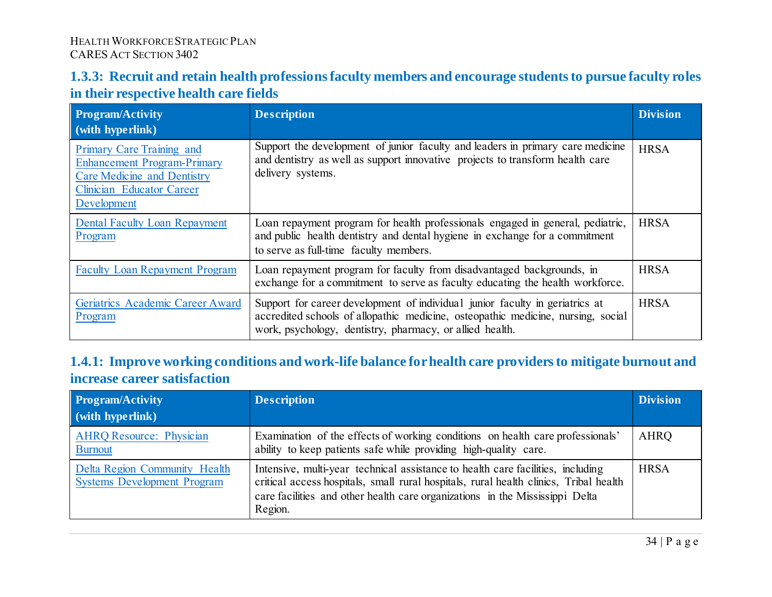### **1.3.3: Recruit and retain health professions faculty members and encourage students to pursue faculty roles in their respective health care fields**

| <b>Program/Activity</b><br>$\vert$ (with hyperlink)                                                                                               | <b>Description</b>                                                                                                                                                                                                           | <b>Division</b> |
|---------------------------------------------------------------------------------------------------------------------------------------------------|------------------------------------------------------------------------------------------------------------------------------------------------------------------------------------------------------------------------------|-----------------|
| Primary Care Training and<br><b>Enhancement Program-Primary</b><br><b>Care Medicine and Dentistry</b><br>Clinician Educator Career<br>Development | Support the development of junior faculty and leaders in primary care medicine<br>and dentistry as well as support innovative projects to transform health care<br>delivery systems.                                         | <b>HRSA</b>     |
| <b>Dental Faculty Loan Repayment</b><br>Program                                                                                                   | Loan repayment program for health professionals engaged in general, pediatric,<br>and public health dentistry and dental hygiene in exchange for a commitment<br>to serve as full-time faculty members.                      | <b>HRSA</b>     |
| <b>Faculty Loan Repayment Program</b>                                                                                                             | Loan repayment program for faculty from disadvantaged backgrounds, in<br>exchange for a commitment to serve as faculty educating the health workforce.                                                                       | <b>HRSA</b>     |
| Geriatrics Academic Career Award<br>Program                                                                                                       | Support for career development of individual junior faculty in geriatrics at<br>accredited schools of allopathic medicine, osteopathic medicine, nursing, social<br>work, psychology, dentistry, pharmacy, or allied health. | <b>HRSA</b>     |

### <span id="page-33-0"></span>**1.4.1: Improve working conditions and work-life balance for health care providers to mitigate burnout and increase career satisfaction**

<span id="page-33-1"></span>

| <b>Program/Activity</b><br>$\vert$ (with hyperlink)                 | <b>Description</b>                                                                                                                                                                                                                                                  | <b>Division</b> |
|---------------------------------------------------------------------|---------------------------------------------------------------------------------------------------------------------------------------------------------------------------------------------------------------------------------------------------------------------|-----------------|
| <b>AHRQ Resource: Physician</b><br><b>Burnout</b>                   | Examination of the effects of working conditions on health care professionals'<br>ability to keep patients safe while providing high-quality care.                                                                                                                  | AHRQ            |
| Delta Region Community Health<br><b>Systems Development Program</b> | Intensive, multi-year technical assistance to health care facilities, including<br>critical access hospitals, small rural hospitals, rural health clinics, Tribal health<br>care facilities and other health care organizations in the Mississippi Delta<br>Region. | <b>HRSA</b>     |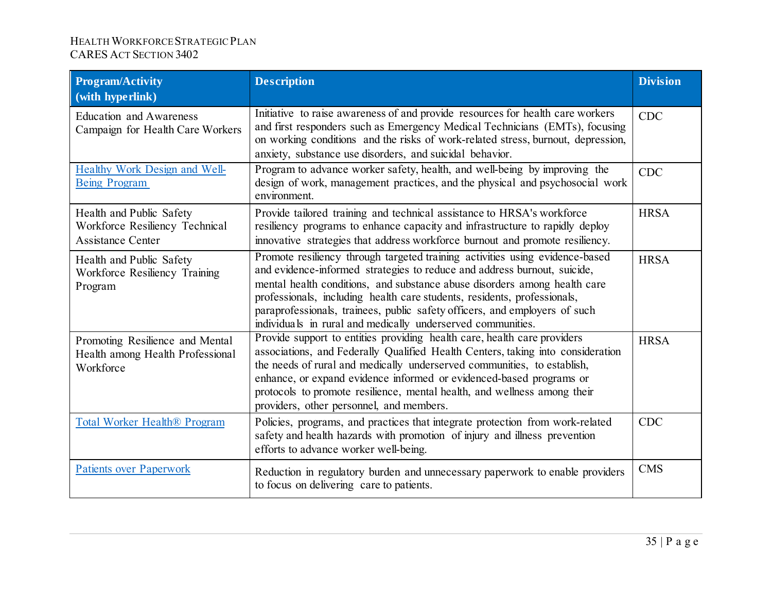| <b>Program/Activity</b><br>(with hyperlink)                                            | <b>Description</b>                                                                                                                                                                                                                                                                                                                                                                                                                                             | <b>Division</b> |
|----------------------------------------------------------------------------------------|----------------------------------------------------------------------------------------------------------------------------------------------------------------------------------------------------------------------------------------------------------------------------------------------------------------------------------------------------------------------------------------------------------------------------------------------------------------|-----------------|
| <b>Education and Awareness</b><br>Campaign for Health Care Workers                     | Initiative to raise awareness of and provide resources for health care workers<br>and first responders such as Emergency Medical Technicians (EMTs), focusing<br>on working conditions and the risks of work-related stress, burnout, depression,<br>anxiety, substance use disorders, and suicidal behavior.                                                                                                                                                  | <b>CDC</b>      |
| Healthy Work Design and Well-<br><b>Being Program</b>                                  | Program to advance worker safety, health, and well-being by improving the<br>design of work, management practices, and the physical and psychosocial work<br>environment.                                                                                                                                                                                                                                                                                      | <b>CDC</b>      |
| Health and Public Safety<br>Workforce Resiliency Technical<br><b>Assistance Center</b> | Provide tailored training and technical assistance to HRSA's workforce<br>resiliency programs to enhance capacity and infrastructure to rapidly deploy<br>innovative strategies that address workforce burnout and promote resiliency.                                                                                                                                                                                                                         | <b>HRSA</b>     |
| Health and Public Safety<br>Workforce Resiliency Training<br>Program                   | Promote resiliency through targeted training activities using evidence-based<br>and evidence-informed strategies to reduce and address burnout, suicide,<br>mental health conditions, and substance abuse disorders among health care<br>professionals, including health care students, residents, professionals,<br>paraprofessionals, trainees, public safety officers, and employers of such<br>individuals in rural and medically underserved communities. | <b>HRSA</b>     |
| Promoting Resilience and Mental<br>Health among Health Professional<br>Workforce       | Provide support to entities providing health care, health care providers<br>associations, and Federally Qualified Health Centers, taking into consideration<br>the needs of rural and medically underserved communities, to establish,<br>enhance, or expand evidence informed or evidenced-based programs or<br>protocols to promote resilience, mental health, and wellness among their<br>providers, other personnel, and members.                          | <b>HRSA</b>     |
| Total Worker Health <sup>®</sup> Program                                               | Policies, programs, and practices that integrate protection from work-related<br>safety and health hazards with promotion of injury and illness prevention<br>efforts to advance worker well-being.                                                                                                                                                                                                                                                            | <b>CDC</b>      |
| <b>Patients over Paperwork</b>                                                         | Reduction in regulatory burden and unnecessary paperwork to enable providers<br>to focus on delivering care to patients.                                                                                                                                                                                                                                                                                                                                       | <b>CMS</b>      |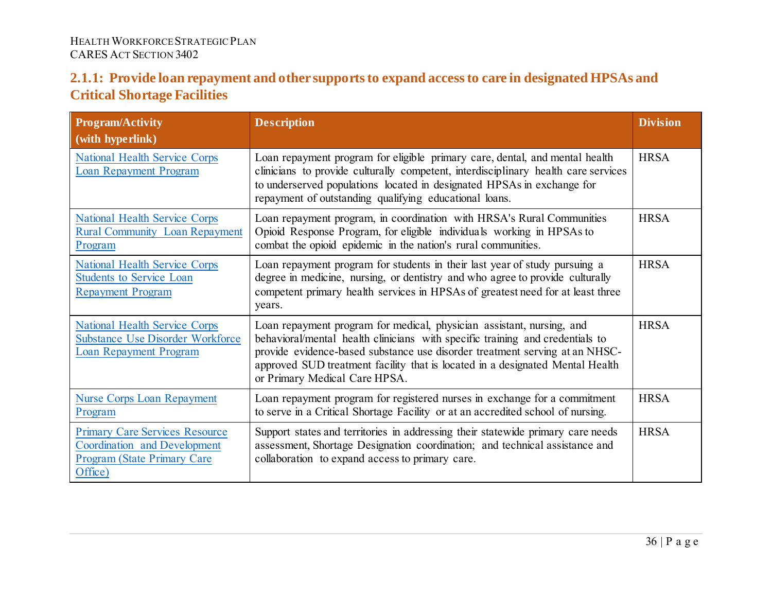### **2.1.1: Provide loan repayment and other supports to expand access to care in designated HPSAs and Critical Shortage Facilities**

<span id="page-35-0"></span>

| <b>Program/Activity</b><br>(with hyperlink)                                                                                   | <b>Description</b>                                                                                                                                                                                                                                                                                                                                      | <b>Division</b> |
|-------------------------------------------------------------------------------------------------------------------------------|---------------------------------------------------------------------------------------------------------------------------------------------------------------------------------------------------------------------------------------------------------------------------------------------------------------------------------------------------------|-----------------|
| <b>National Health Service Corps</b><br><b>Loan Repayment Program</b>                                                         | Loan repayment program for eligible primary care, dental, and mental health<br>clinicians to provide culturally competent, interdisciplinary health care services<br>to underserved populations located in designated HPSAs in exchange for<br>repayment of outstanding qualifying educational loans.                                                   | <b>HRSA</b>     |
| <b>National Health Service Corps</b><br><b>Rural Community Loan Repayment</b><br>Program                                      | Loan repayment program, in coordination with HRSA's Rural Communities<br>Opioid Response Program, for eligible individuals working in HPSAs to<br>combat the opioid epidemic in the nation's rural communities.                                                                                                                                         | <b>HRSA</b>     |
| <b>National Health Service Corps</b><br><b>Students to Service Loan</b><br><b>Repayment Program</b>                           | Loan repayment program for students in their last year of study pursuing a<br>degree in medicine, nursing, or dentistry and who agree to provide culturally<br>competent primary health services in HPSAs of greatest need for at least three<br>years.                                                                                                 | <b>HRSA</b>     |
| <b>National Health Service Corps</b><br><b>Substance Use Disorder Workforce</b><br><b>Loan Repayment Program</b>              | Loan repayment program for medical, physician assistant, nursing, and<br>behavioral/mental health clinicians with specific training and credentials to<br>provide evidence-based substance use disorder treatment serving at an NHSC-<br>approved SUD treatment facility that is located in a designated Mental Health<br>or Primary Medical Care HPSA. | <b>HRSA</b>     |
| <b>Nurse Corps Loan Repayment</b><br>Program                                                                                  | Loan repayment program for registered nurses in exchange for a commitment<br>to serve in a Critical Shortage Facility or at an accredited school of nursing.                                                                                                                                                                                            | <b>HRSA</b>     |
| <b>Primary Care Services Resource</b><br><b>Coordination and Development</b><br><b>Program (State Primary Care</b><br>Office) | Support states and territories in addressing their statewide primary care needs<br>assessment, Shortage Designation coordination; and technical assistance and<br>collaboration to expand access to primary care.                                                                                                                                       | <b>HRSA</b>     |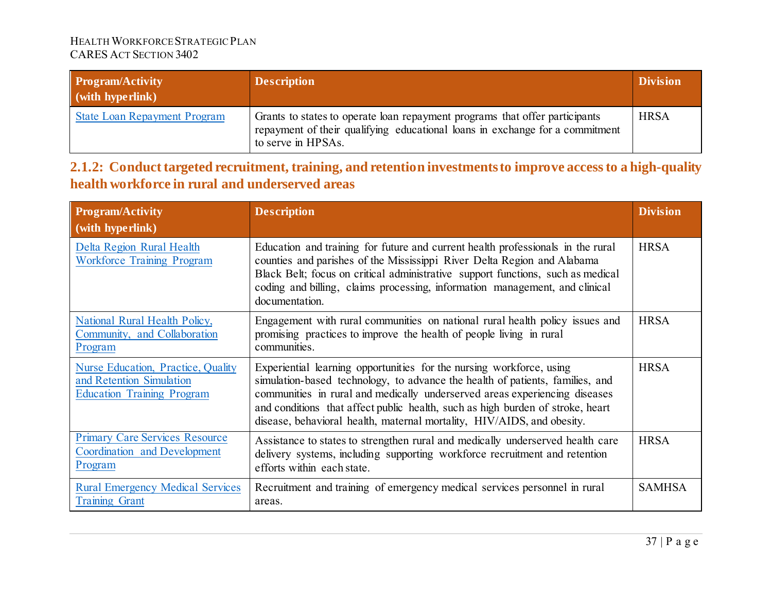| <b>Program/Activity</b><br>$\dot{\mathbf{w}}$ (with hyperlink) | <b>Description</b>                                                                                                                                                                | <b>Division</b> |
|----------------------------------------------------------------|-----------------------------------------------------------------------------------------------------------------------------------------------------------------------------------|-----------------|
| <b>State Loan Repayment Program</b>                            | Grants to states to operate loan repayment programs that offer participants<br>repayment of their qualifying educational loans in exchange for a commitment<br>to serve in HPSAs. | <b>HRSA</b>     |

### **2.1.2: Conduct targeted recruitment, training, and retention investments to improve access to a high-quality health workforce in rural and underserved areas**

| <b>Program/Activity</b><br>(with hyperlink)                                                         | <b>Description</b>                                                                                                                                                                                                                                                                                                                                                                              | <b>Division</b> |
|-----------------------------------------------------------------------------------------------------|-------------------------------------------------------------------------------------------------------------------------------------------------------------------------------------------------------------------------------------------------------------------------------------------------------------------------------------------------------------------------------------------------|-----------------|
| Delta Region Rural Health<br><b>Workforce Training Program</b>                                      | Education and training for future and current health professionals in the rural<br>counties and parishes of the Mississippi River Delta Region and Alabama<br>Black Belt; focus on critical administrative support functions, such as medical<br>coding and billing, claims processing, information management, and clinical<br>documentation.                                                  | <b>HRSA</b>     |
| National Rural Health Policy,<br>Community, and Collaboration<br>Program                            | Engagement with rural communities on national rural health policy issues and<br>promising practices to improve the health of people living in rural<br>communities.                                                                                                                                                                                                                             | <b>HRSA</b>     |
| Nurse Education, Practice, Quality<br>and Retention Simulation<br><b>Education Training Program</b> | Experiential learning opportunities for the nursing workforce, using<br>simulation-based technology, to advance the health of patients, families, and<br>communities in rural and medically underserved areas experiencing diseases<br>and conditions that affect public health, such as high burden of stroke, heart<br>disease, behavioral health, maternal mortality, HIV/AIDS, and obesity. | <b>HRSA</b>     |
| <b>Primary Care Services Resource</b><br>Coordination and Development<br>Program                    | Assistance to states to strengthen rural and medically underserved health care<br>delivery systems, including supporting workforce recruitment and retention<br>efforts within each state.                                                                                                                                                                                                      | <b>HRSA</b>     |
| <b>Rural Emergency Medical Services</b><br><b>Training Grant</b>                                    | Recruitment and training of emergency medical services personnel in rural<br>areas.                                                                                                                                                                                                                                                                                                             | <b>SAMHSA</b>   |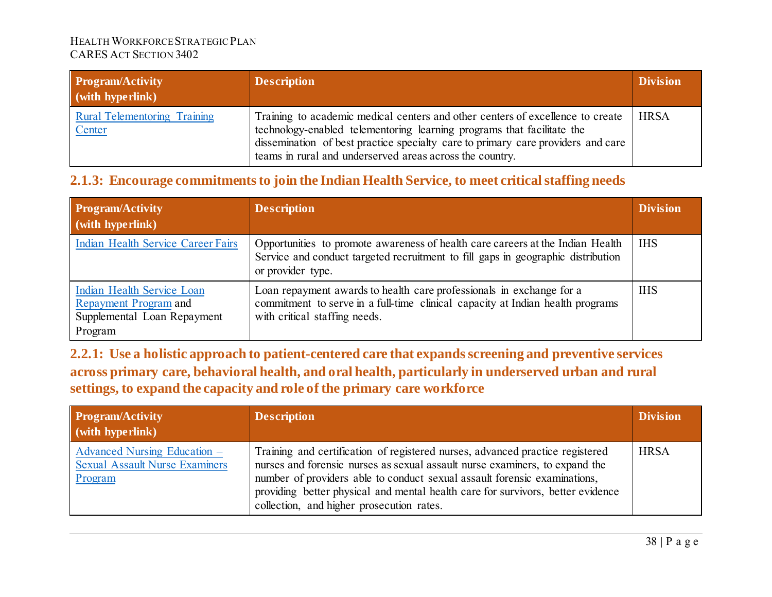| <b>Program/Activity</b><br>(with hyperlink)   | <b>Description</b>                                                                                                                                                                                                                                                                                       | <b>Division</b> |
|-----------------------------------------------|----------------------------------------------------------------------------------------------------------------------------------------------------------------------------------------------------------------------------------------------------------------------------------------------------------|-----------------|
| <b>Rural Telementoring Training</b><br>Center | Training to academic medical centers and other centers of excellence to create<br>technology-enabled telementoring learning programs that facilitate the<br>dissemination of best practice specialty care to primary care providers and care<br>teams in rural and underserved areas across the country. | <b>HRSA</b>     |

### **2.1.3: Encourage commitments to join the Indian Health Service, to meet critical staffing needs**

| <b>Program/Activity</b><br>$\sim$ (with hyperlink)                                            | <b>Description</b>                                                                                                                                                                      | <b>Division</b> |
|-----------------------------------------------------------------------------------------------|-----------------------------------------------------------------------------------------------------------------------------------------------------------------------------------------|-----------------|
| Indian Health Service Career Fairs                                                            | Opportunities to promote awareness of health care careers at the Indian Health<br>Service and conduct targeted recruitment to fill gaps in geographic distribution<br>or provider type. | <b>IHS</b>      |
| Indian Health Service Loan<br>Repayment Program and<br>Supplemental Loan Repayment<br>Program | Loan repayment awards to health care professionals in exchange for a<br>commitment to serve in a full-time clinical capacity at Indian health programs<br>with critical staffing needs. | <b>IHS</b>      |

**2.2.1: Use a holistic approach to patient-centered care that expands screening and preventive services across primary care, behavioral health, and oral health, particularly in underserved urban and rural settings, to expand the capacity and role of the primary care workforce**

| <b>Program/Activity</b><br>$\vert$ (with hyperlink)                              | <b>Description</b>                                                                                                                                                                                                                                                                                                                                                        | <b>Division</b> |
|----------------------------------------------------------------------------------|---------------------------------------------------------------------------------------------------------------------------------------------------------------------------------------------------------------------------------------------------------------------------------------------------------------------------------------------------------------------------|-----------------|
| Advanced Nursing Education –<br><b>Sexual Assault Nurse Examiners</b><br>Program | Training and certification of registered nurses, advanced practice registered<br>nurses and forensic nurses as sexual assault nurse examiners, to expand the<br>number of providers able to conduct sexual assault forensic examinations,<br>providing better physical and mental health care for survivors, better evidence<br>collection, and higher prosecution rates. | <b>HRSA</b>     |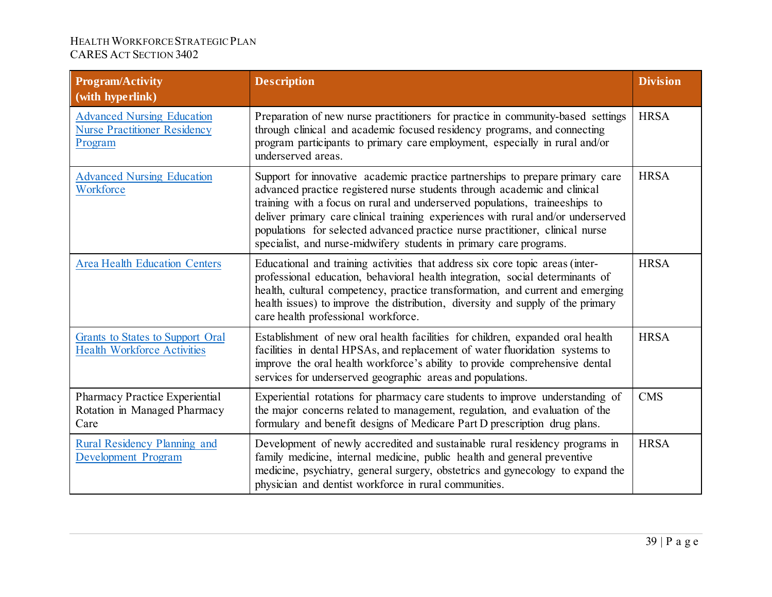| <b>Program/Activity</b><br>(with hyperlink)                                         | <b>Description</b>                                                                                                                                                                                                                                                                                                                                                                                                                                                                   | <b>Division</b> |
|-------------------------------------------------------------------------------------|--------------------------------------------------------------------------------------------------------------------------------------------------------------------------------------------------------------------------------------------------------------------------------------------------------------------------------------------------------------------------------------------------------------------------------------------------------------------------------------|-----------------|
| <b>Advanced Nursing Education</b><br><b>Nurse Practitioner Residency</b><br>Program | Preparation of new nurse practitioners for practice in community-based settings<br>through clinical and academic focused residency programs, and connecting<br>program participants to primary care employment, especially in rural and/or<br>underserved areas.                                                                                                                                                                                                                     | <b>HRSA</b>     |
| <b>Advanced Nursing Education</b><br>Workforce                                      | Support for innovative academic practice partnerships to prepare primary care<br>advanced practice registered nurse students through academic and clinical<br>training with a focus on rural and underserved populations, traineeships to<br>deliver primary care clinical training experiences with rural and/or underserved<br>populations for selected advanced practice nurse practitioner, clinical nurse<br>specialist, and nurse-midwifery students in primary care programs. | <b>HRSA</b>     |
| <b>Area Health Education Centers</b>                                                | Educational and training activities that address six core topic areas (inter-<br>professional education, behavioral health integration, social determinants of<br>health, cultural competency, practice transformation, and current and emerging<br>health issues) to improve the distribution, diversity and supply of the primary<br>care health professional workforce.                                                                                                           | <b>HRSA</b>     |
| Grants to States to Support Oral<br><b>Health Workforce Activities</b>              | Establishment of new oral health facilities for children, expanded oral health<br>facilities in dental HPSAs, and replacement of water fluoridation systems to<br>improve the oral health workforce's ability to provide comprehensive dental<br>services for underserved geographic areas and populations.                                                                                                                                                                          | <b>HRSA</b>     |
| Pharmacy Practice Experiential<br>Rotation in Managed Pharmacy<br>Care              | Experiential rotations for pharmacy care students to improve understanding of<br>the major concerns related to management, regulation, and evaluation of the<br>formulary and benefit designs of Medicare Part D prescription drug plans.                                                                                                                                                                                                                                            | <b>CMS</b>      |
| Rural Residency Planning and<br><b>Development Program</b>                          | Development of newly accredited and sustainable rural residency programs in<br>family medicine, internal medicine, public health and general preventive<br>medicine, psychiatry, general surgery, obstetrics and gynecology to expand the<br>physician and dentist workforce in rural communities.                                                                                                                                                                                   | <b>HRSA</b>     |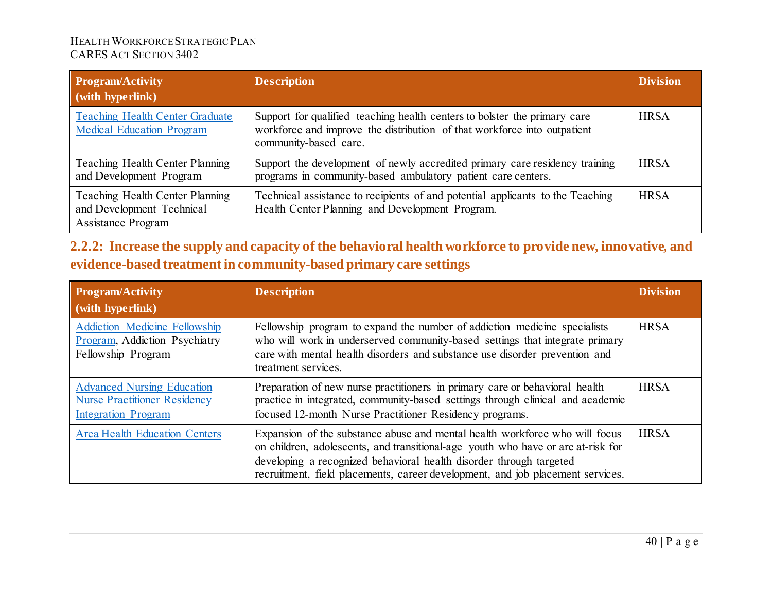| <b>Program/Activity</b><br>(with hyperlink)                                               | <b>Description</b>                                                                                                                                                             | <b>Division</b> |
|-------------------------------------------------------------------------------------------|--------------------------------------------------------------------------------------------------------------------------------------------------------------------------------|-----------------|
| <b>Teaching Health Center Graduate</b><br><b>Medical Education Program</b>                | Support for qualified teaching health centers to bolster the primary care<br>workforce and improve the distribution of that workforce into outpatient<br>community-based care. | <b>HRSA</b>     |
| Teaching Health Center Planning<br>and Development Program                                | Support the development of newly accredited primary care residency training<br>programs in community-based ambulatory patient care centers.                                    | <b>HRSA</b>     |
| Teaching Health Center Planning<br>and Development Technical<br><b>Assistance Program</b> | Technical assistance to recipients of and potential applicants to the Teaching<br>Health Center Planning and Development Program.                                              | <b>HRSA</b>     |

| 2.2.2: Increase the supply and capacity of the behavioral health workforce to provide new, innovative, and |  |
|------------------------------------------------------------------------------------------------------------|--|
| evidence-based treatment in community-based primary care settings                                          |  |

| <b>Program/Activity</b><br>(with hyperlink)                                                            | <b>Description</b>                                                                                                                                                                                                                                                                                                       | <b>Division</b> |
|--------------------------------------------------------------------------------------------------------|--------------------------------------------------------------------------------------------------------------------------------------------------------------------------------------------------------------------------------------------------------------------------------------------------------------------------|-----------------|
| <b>Addiction Medicine Fellowship</b><br>Program, Addiction Psychiatry<br>Fellowship Program            | Fellowship program to expand the number of addiction medicine specialists<br>who will work in underserved community-based settings that integrate primary<br>care with mental health disorders and substance use disorder prevention and<br>treatment services.                                                          | <b>HRSA</b>     |
| <b>Advanced Nursing Education</b><br><b>Nurse Practitioner Residency</b><br><b>Integration Program</b> | Preparation of new nurse practitioners in primary care or behavioral health<br>practice in integrated, community-based settings through clinical and academic<br>focused 12-month Nurse Practitioner Residency programs.                                                                                                 | <b>HRSA</b>     |
| <b>Area Health Education Centers</b>                                                                   | Expansion of the substance abuse and mental health workforce who will focus<br>on children, adolescents, and transitional-age youth who have or are at-risk for<br>developing a recognized behavioral health disorder through targeted<br>recruitment, field placements, career development, and job placement services. | <b>HRSA</b>     |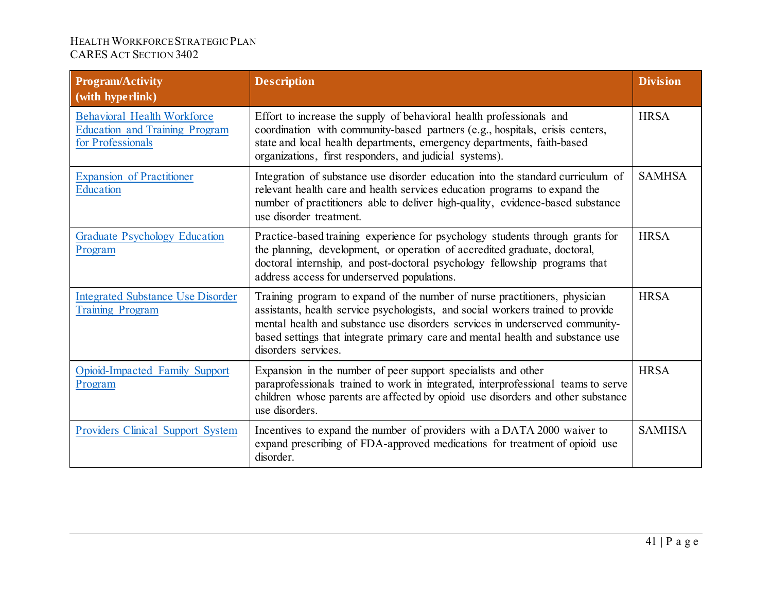| <b>Program/Activity</b><br>(with hyperlink)                                                      | <b>Description</b>                                                                                                                                                                                                                                                                                                                                     | <b>Division</b> |
|--------------------------------------------------------------------------------------------------|--------------------------------------------------------------------------------------------------------------------------------------------------------------------------------------------------------------------------------------------------------------------------------------------------------------------------------------------------------|-----------------|
| <b>Behavioral Health Workforce</b><br><b>Education and Training Program</b><br>for Professionals | Effort to increase the supply of behavioral health professionals and<br>coordination with community-based partners (e.g., hospitals, crisis centers,<br>state and local health departments, emergency departments, faith-based<br>organizations, first responders, and judicial systems).                                                              | <b>HRSA</b>     |
| <b>Expansion of Practitioner</b><br>Education                                                    | Integration of substance use disorder education into the standard curriculum of<br>relevant health care and health services education programs to expand the<br>number of practitioners able to deliver high-quality, evidence-based substance<br>use disorder treatment.                                                                              | <b>SAMHSA</b>   |
| <b>Graduate Psychology Education</b><br>Program                                                  | Practice-based training experience for psychology students through grants for<br>the planning, development, or operation of accredited graduate, doctoral,<br>doctoral internship, and post-doctoral psychology fellowship programs that<br>address access for underserved populations.                                                                | <b>HRSA</b>     |
| <b>Integrated Substance Use Disorder</b><br><b>Training Program</b>                              | Training program to expand of the number of nurse practitioners, physician<br>assistants, health service psychologists, and social workers trained to provide<br>mental health and substance use disorders services in underserved community-<br>based settings that integrate primary care and mental health and substance use<br>disorders services. | <b>HRSA</b>     |
| Opioid-Impacted Family Support<br>Program                                                        | Expansion in the number of peer support specialists and other<br>paraprofessionals trained to work in integrated, interprofessional teams to serve<br>children whose parents are affected by opioid use disorders and other substance<br>use disorders.                                                                                                | <b>HRSA</b>     |
| Providers Clinical Support System                                                                | Incentives to expand the number of providers with a DATA 2000 waiver to<br>expand prescribing of FDA-approved medications for treatment of opioid use<br>disorder.                                                                                                                                                                                     | <b>SAMHSA</b>   |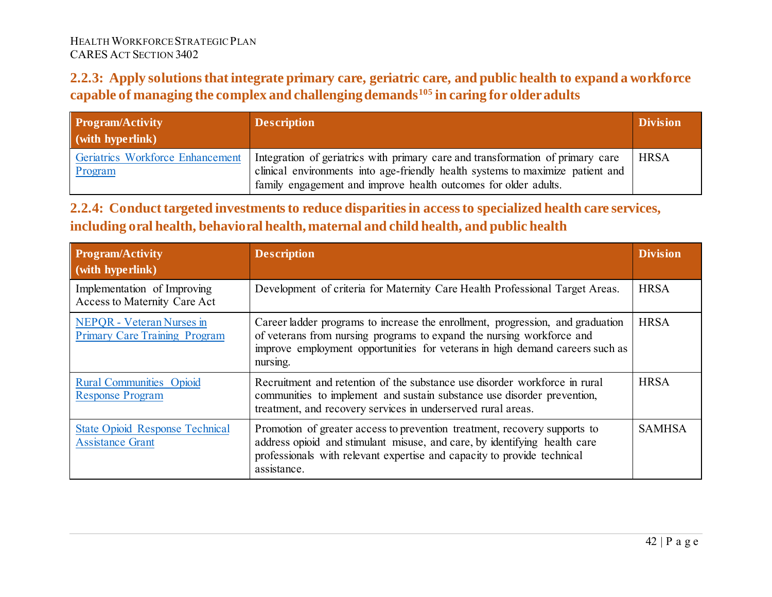### **2.2.3: Apply solutions that integrate primary care, geriatric care, and public health to expand a workforce capable of managing the complex and challenging demands[105](#page-79-0) in caring for older adults**

| <b>Program/Activity</b><br>(with hyperlink) | <b>Description</b>                                                                                                                                                                                                                  | <b>Division</b> |
|---------------------------------------------|-------------------------------------------------------------------------------------------------------------------------------------------------------------------------------------------------------------------------------------|-----------------|
| Geriatrics Workforce Enhancement<br>Program | Integration of geriatrics with primary care and transformation of primary care<br>clinical environments into age-friendly health systems to maximize patient and<br>family engagement and improve health outcomes for older adults. | <b>HRSA</b>     |

## **2.2.4: Conduct targeted investments to reduce disparities in access to specialized health care services, including oral health, behavioral health, maternal and child health, and public health**

| <b>Program/Activity</b><br>(with hyperlink)                       | <b>Description</b>                                                                                                                                                                                                                                  | <b>Division</b> |
|-------------------------------------------------------------------|-----------------------------------------------------------------------------------------------------------------------------------------------------------------------------------------------------------------------------------------------------|-----------------|
| Implementation of Improving<br>Access to Maternity Care Act       | Development of criteria for Maternity Care Health Professional Target Areas.                                                                                                                                                                        | <b>HRSA</b>     |
| NEPQR - Veteran Nurses in<br><b>Primary Care Training Program</b> | Career ladder programs to increase the enrollment, progression, and graduation<br>of veterans from nursing programs to expand the nursing workforce and<br>improve employment opportunities for veterans in high demand careers such as<br>nursing. | <b>HRSA</b>     |
| <b>Rural Communities Opioid</b><br><b>Response Program</b>        | Recruitment and retention of the substance use disorder workforce in rural<br>communities to implement and sustain substance use disorder prevention,<br>treatment, and recovery services in underserved rural areas.                               | <b>HRSA</b>     |
| <b>State Opioid Response Technical</b><br><b>Assistance Grant</b> | Promotion of greater access to prevention treatment, recovery supports to<br>address opioid and stimulant misuse, and care, by identifying health care<br>professionals with relevant expertise and capacity to provide technical<br>assistance.    | <b>SAMHSA</b>   |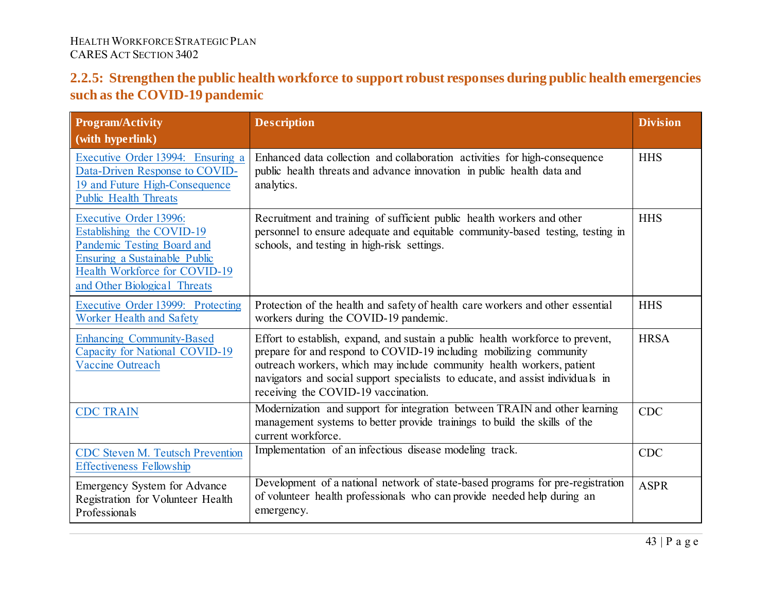### **2.2.5: Strengthen the public health workforce to support robust responses during public health emergencies such as the COVID-19 pandemic**

| <b>Program/Activity</b><br>(with hyperlink)                                                                                                                                                | <b>Description</b>                                                                                                                                                                                                                                                                                                                                      | <b>Division</b> |
|--------------------------------------------------------------------------------------------------------------------------------------------------------------------------------------------|---------------------------------------------------------------------------------------------------------------------------------------------------------------------------------------------------------------------------------------------------------------------------------------------------------------------------------------------------------|-----------------|
| Executive Order 13994: Ensuring a<br>Data-Driven Response to COVID-<br>19 and Future High-Consequence<br><b>Public Health Threats</b>                                                      | Enhanced data collection and collaboration activities for high-consequence<br>public health threats and advance innovation in public health data and<br>analytics.                                                                                                                                                                                      | <b>HHS</b>      |
| <b>Executive Order 13996:</b><br>Establishing the COVID-19<br>Pandemic Testing Board and<br>Ensuring a Sustainable Public<br>Health Workforce for COVID-19<br>and Other Biological Threats | Recruitment and training of sufficient public health workers and other<br>personnel to ensure adequate and equitable community-based testing, testing in<br>schools, and testing in high-risk settings.                                                                                                                                                 | <b>HHS</b>      |
| Executive Order 13999: Protecting<br>Worker Health and Safety                                                                                                                              | Protection of the health and safety of health care workers and other essential<br>workers during the COVID-19 pandemic.                                                                                                                                                                                                                                 | <b>HHS</b>      |
| <b>Enhancing Community-Based</b><br>Capacity for National COVID-19<br><b>Vaccine Outreach</b>                                                                                              | Effort to establish, expand, and sustain a public health workforce to prevent,<br>prepare for and respond to COVID-19 including mobilizing community<br>outreach workers, which may include community health workers, patient<br>navigators and social support specialists to educate, and assist individuals in<br>receiving the COVID-19 vaccination. | <b>HRSA</b>     |
| <b>CDC TRAIN</b>                                                                                                                                                                           | Modernization and support for integration between TRAIN and other learning<br>management systems to better provide trainings to build the skills of the<br>current workforce.                                                                                                                                                                           | <b>CDC</b>      |
| <b>CDC Steven M. Teutsch Prevention</b><br><b>Effectiveness Fellowship</b>                                                                                                                 | Implementation of an infectious disease modeling track.                                                                                                                                                                                                                                                                                                 | <b>CDC</b>      |
| Emergency System for Advance<br>Registration for Volunteer Health<br>Professionals                                                                                                         | Development of a national network of state-based programs for pre-registration<br>of volunteer health professionals who can provide needed help during an<br>emergency.                                                                                                                                                                                 | <b>ASPR</b>     |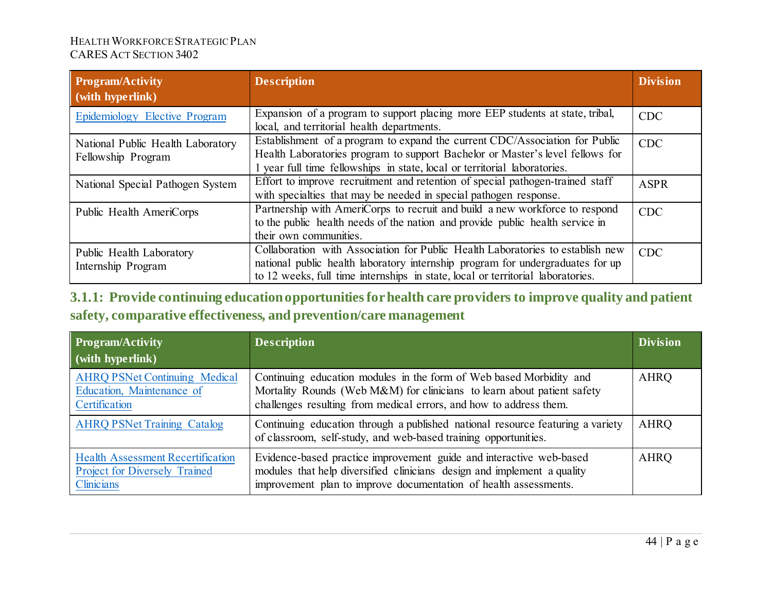| <b>Program/Activity</b>                                 | <b>Description</b>                                                                                                                                                                                                                                  | <b>Division</b> |
|---------------------------------------------------------|-----------------------------------------------------------------------------------------------------------------------------------------------------------------------------------------------------------------------------------------------------|-----------------|
| (with hyperlink)                                        |                                                                                                                                                                                                                                                     |                 |
| Epidemiology Elective Program                           | Expansion of a program to support placing more EEP students at state, tribal,<br>local, and territorial health departments.                                                                                                                         | <b>CDC</b>      |
| National Public Health Laboratory<br>Fellowship Program | Establishment of a program to expand the current CDC/Association for Public<br>Health Laboratories program to support Bachelor or Master's level fellows for                                                                                        | <b>CDC</b>      |
|                                                         | 1 year full time fellowships in state, local or territorial laboratories.                                                                                                                                                                           |                 |
| National Special Pathogen System                        | Effort to improve recruitment and retention of special pathogen-trained staff                                                                                                                                                                       | <b>ASPR</b>     |
|                                                         | with specialties that may be needed in special pathogen response.                                                                                                                                                                                   |                 |
| Public Health AmeriCorps                                | Partnership with AmeriCorps to recruit and build a new workforce to respond<br>to the public health needs of the nation and provide public health service in<br>their own communities.                                                              | <b>CDC</b>      |
| Public Health Laboratory<br>Internship Program          | Collaboration with Association for Public Health Laboratories to establish new<br>national public health laboratory internship program for undergraduates for up<br>to 12 weeks, full time internships in state, local or territorial laboratories. | <b>CDC</b>      |

**3.1.1: Provide continuing education opportunities for health care providers to improve quality and patient safety, comparative effectiveness, and prevention/care management**

| <b>Program/Activity</b>                                                                        | <b>Description</b>                                                                                                                                                                                                   | <b>Division</b> |
|------------------------------------------------------------------------------------------------|----------------------------------------------------------------------------------------------------------------------------------------------------------------------------------------------------------------------|-----------------|
| $\sim$ (with hyperlink)                                                                        |                                                                                                                                                                                                                      |                 |
| <b>AHRQ PSNet Continuing Medical</b><br>Education, Maintenance of<br>Certification             | Continuing education modules in the form of Web based Morbidity and<br>Mortality Rounds (Web M&M) for clinicians to learn about patient safety<br>challenges resulting from medical errors, and how to address them. | <b>AHRQ</b>     |
| <b>AHRQ PSNet Training Catalog</b>                                                             | Continuing education through a published national resource featuring a variety<br>of classroom, self-study, and web-based training opportunities.                                                                    | <b>AHRQ</b>     |
| <b>Health Assessment Recertification</b><br><b>Project for Diversely Trained</b><br>Clinicians | Evidence-based practice improvement guide and interactive web-based<br>modules that help diversified clinicians design and implement a quality<br>improvement plan to improve documentation of health assessments.   | <b>AHRQ</b>     |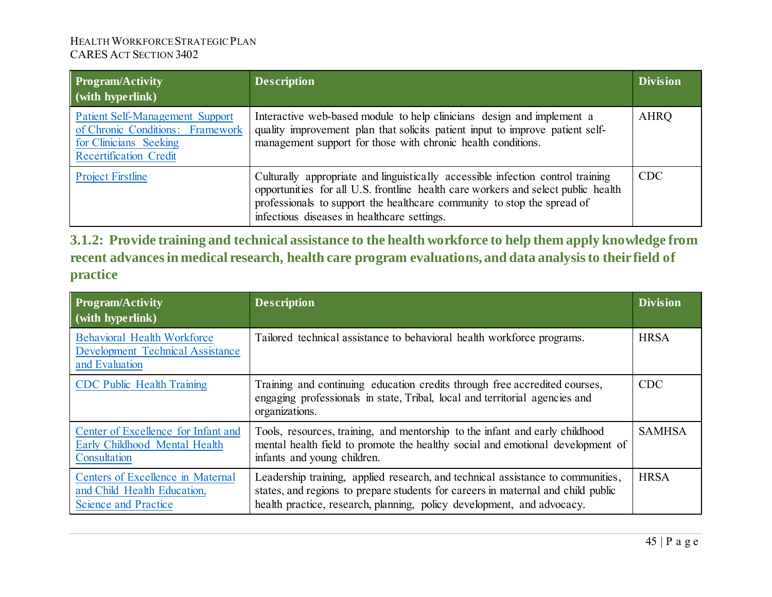| Program/Activity<br>$\mid$ (with hyperlink)                                                                                           | <b>Description</b>                                                                                                                                                                                                                                                                             | <b>Division</b> |
|---------------------------------------------------------------------------------------------------------------------------------------|------------------------------------------------------------------------------------------------------------------------------------------------------------------------------------------------------------------------------------------------------------------------------------------------|-----------------|
| <b>Patient Self-Management Support</b><br>of Chronic Conditions: Framework<br>for Clinicians Seeking<br><b>Recertification Credit</b> | Interactive web-based module to help clinicians design and implement a<br>quality improvement plan that solicits patient input to improve patient self-<br>management support for those with chronic health conditions.                                                                        | <b>AHRQ</b>     |
| <b>Project Firstline</b>                                                                                                              | Culturally appropriate and linguistically accessible infection control training<br>opportunities for all U.S. frontline health care workers and select public health<br>professionals to support the healthcare community to stop the spread of<br>infectious diseases in healthcare settings. | <b>CDC</b>      |

**3.1.2: Provide training and technical assistance to the health workforce to help them apply knowledge from recent advances in medical research, health care program evaluations, and data analysis to their field of practice** 

| <b>Program/Activity</b><br>$\vert$ (with hyperlink)                                             | <b>Description</b>                                                                                                                                                                                                                            | <b>Division</b> |
|-------------------------------------------------------------------------------------------------|-----------------------------------------------------------------------------------------------------------------------------------------------------------------------------------------------------------------------------------------------|-----------------|
| <b>Behavioral Health Workforce</b><br><b>Development Technical Assistance</b><br>and Evaluation | Tailored technical assistance to behavioral health workforce programs.                                                                                                                                                                        | <b>HRSA</b>     |
| <b>CDC</b> Public Health Training                                                               | Training and continuing education credits through free accredited courses,<br>engaging professionals in state, Tribal, local and territorial agencies and<br>organizations.                                                                   | <b>CDC</b>      |
| Center of Excellence for Infant and<br>Early Childhood Mental Health<br>Consultation            | Tools, resources, training, and mentorship to the infant and early childhood<br>mental health field to promote the healthy social and emotional development of<br>infants and young children.                                                 | <b>SAMHSA</b>   |
| Centers of Excellence in Maternal<br>and Child Health Education,<br><b>Science and Practice</b> | Leadership training, applied research, and technical assistance to communities,<br>states, and regions to prepare students for careers in maternal and child public<br>health practice, research, planning, policy development, and advocacy. | <b>HRSA</b>     |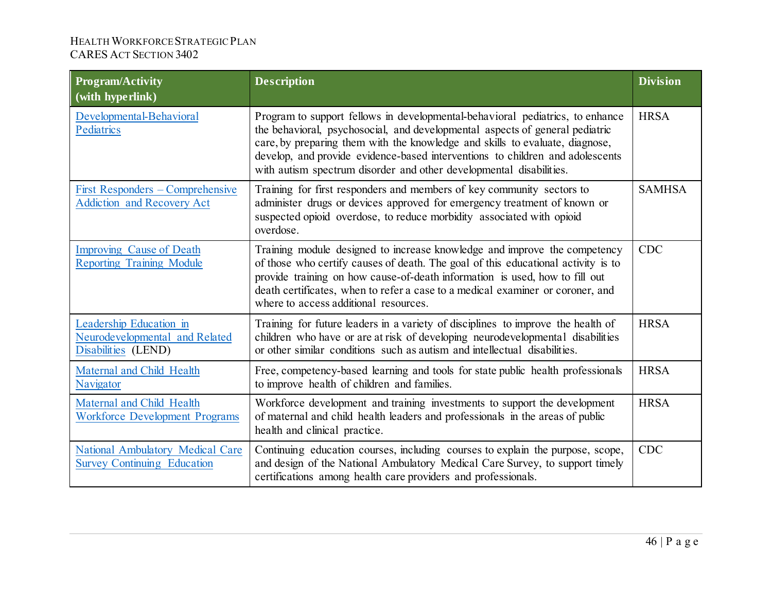| <b>Program/Activity</b><br>(with hyperlink)                                      | <b>Description</b>                                                                                                                                                                                                                                                                                                                                                                                    | <b>Division</b> |
|----------------------------------------------------------------------------------|-------------------------------------------------------------------------------------------------------------------------------------------------------------------------------------------------------------------------------------------------------------------------------------------------------------------------------------------------------------------------------------------------------|-----------------|
| Developmental-Behavioral<br>Pediatrics                                           | Program to support fellows in developmental-behavioral pediatrics, to enhance<br>the behavioral, psychosocial, and developmental aspects of general pediatric<br>care, by preparing them with the knowledge and skills to evaluate, diagnose,<br>develop, and provide evidence-based interventions to children and adolescents<br>with autism spectrum disorder and other developmental disabilities. | <b>HRSA</b>     |
| <b>First Responders - Comprehensive</b><br><b>Addiction and Recovery Act</b>     | Training for first responders and members of key community sectors to<br>administer drugs or devices approved for emergency treatment of known or<br>suspected opioid overdose, to reduce morbidity associated with opioid<br>overdose.                                                                                                                                                               | <b>SAMHSA</b>   |
| <b>Improving Cause of Death</b><br><b>Reporting Training Module</b>              | Training module designed to increase knowledge and improve the competency<br>of those who certify causes of death. The goal of this educational activity is to<br>provide training on how cause-of-death information is used, how to fill out<br>death certificates, when to refer a case to a medical examiner or coroner, and<br>where to access additional resources.                              | <b>CDC</b>      |
| Leadership Education in<br>Neurodevelopmental and Related<br>Disabilities (LEND) | Training for future leaders in a variety of disciplines to improve the health of<br>children who have or are at risk of developing neurodevelopmental disabilities<br>or other similar conditions such as autism and intellectual disabilities.                                                                                                                                                       | <b>HRSA</b>     |
| Maternal and Child Health<br>Navigator                                           | Free, competency-based learning and tools for state public health professionals<br>to improve health of children and families.                                                                                                                                                                                                                                                                        | <b>HRSA</b>     |
| Maternal and Child Health<br><b>Workforce Development Programs</b>               | Workforce development and training investments to support the development<br>of maternal and child health leaders and professionals in the areas of public<br>health and clinical practice.                                                                                                                                                                                                           | <b>HRSA</b>     |
| <b>National Ambulatory Medical Care</b><br><b>Survey Continuing Education</b>    | Continuing education courses, including courses to explain the purpose, scope,<br>and design of the National Ambulatory Medical Care Survey, to support timely<br>certifications among health care providers and professionals.                                                                                                                                                                       | <b>CDC</b>      |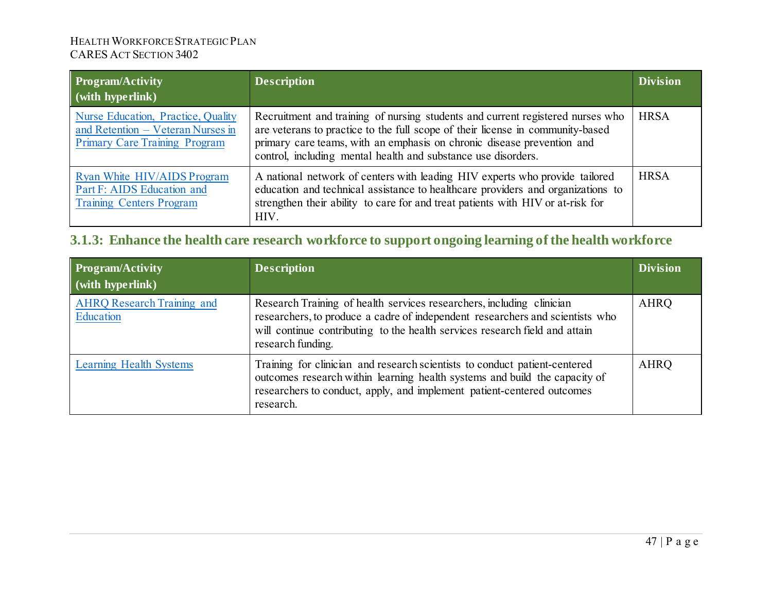| <b>Program/Activity</b><br>(with hyperlink)                                                              | <b>Description</b>                                                                                                                                                                                                                                                                                          | <b>Division</b> |
|----------------------------------------------------------------------------------------------------------|-------------------------------------------------------------------------------------------------------------------------------------------------------------------------------------------------------------------------------------------------------------------------------------------------------------|-----------------|
| Nurse Education, Practice, Quality<br>and Retention - Veteran Nurses in<br>Primary Care Training Program | Recruitment and training of nursing students and current registered nurses who<br>are veterans to practice to the full scope of their license in community-based<br>primary care teams, with an emphasis on chronic disease prevention and<br>control, including mental health and substance use disorders. | <b>HRSA</b>     |
| Ryan White HIV/AIDS Program<br>Part F: AIDS Education and<br><b>Training Centers Program</b>             | A national network of centers with leading HIV experts who provide tailored<br>education and technical assistance to healthcare providers and organizations to<br>strengthen their ability to care for and treat patients with HIV or at-risk for<br>HIV.                                                   | <b>HRSA</b>     |

# **3.1.3: Enhance the health care research workforce to support ongoing learning of the health workforce**

| <b>Program/Activity</b><br>$\mid$ (with hyperlink) | <b>Description</b>                                                                                                                                                                                                                                         | <b>Division</b> |
|----------------------------------------------------|------------------------------------------------------------------------------------------------------------------------------------------------------------------------------------------------------------------------------------------------------------|-----------------|
| <b>AHRQ</b> Research Training and<br>Education     | Research Training of health services researchers, including clinician<br>researchers, to produce a cadre of independent researchers and scientists who<br>will continue contributing to the health services research field and attain<br>research funding. | <b>AHRQ</b>     |
| Learning Health Systems                            | Training for clinician and research scientists to conduct patient-centered<br>outcomes research within learning health systems and build the capacity of<br>researchers to conduct, apply, and implement patient-centered outcomes<br>research.            | <b>AHRQ</b>     |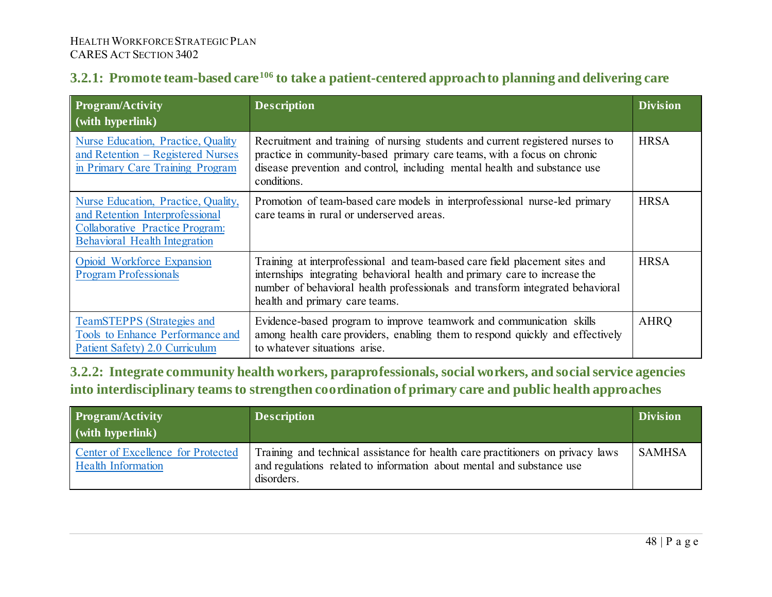# **3.2.1: Promote team-based care[106](#page-79-1) to take a patient-centered approach to planning and delivering care**

| <b>Program/Activity</b><br>(with hyperlink)                                                                                                              | <b>Description</b>                                                                                                                                                                                                                                                           | <b>Division</b> |
|----------------------------------------------------------------------------------------------------------------------------------------------------------|------------------------------------------------------------------------------------------------------------------------------------------------------------------------------------------------------------------------------------------------------------------------------|-----------------|
| Nurse Education, Practice, Quality<br>and Retention – Registered Nurses<br>in Primary Care Training Program                                              | Recruitment and training of nursing students and current registered nurses to<br>practice in community-based primary care teams, with a focus on chronic<br>disease prevention and control, including mental health and substance use<br>conditions.                         | <b>HRSA</b>     |
| Nurse Education, Practice, Quality,<br>and Retention Interprofessional<br><b>Collaborative Practice Program:</b><br><b>Behavioral Health Integration</b> | Promotion of team-based care models in interprofessional nurse-led primary<br>care teams in rural or underserved areas.                                                                                                                                                      | <b>HRSA</b>     |
| Opioid Workforce Expansion<br><b>Program Professionals</b>                                                                                               | Training at interprofessional and team-based care field placement sites and<br>internships integrating behavioral health and primary care to increase the<br>number of behavioral health professionals and transform integrated behavioral<br>health and primary care teams. | <b>HRSA</b>     |
| <b>TeamSTEPPS</b> (Strategies and<br><b>Tools to Enhance Performance and</b><br>Patient Safety) 2.0 Curriculum                                           | Evidence-based program to improve teamwork and communication skills<br>among health care providers, enabling them to respond quickly and effectively<br>to whatever situations arise.                                                                                        | <b>AHRQ</b>     |

**3.2.2: Integrate community health workers, paraprofessionals, social workers, and social service agencies into interdisciplinary teams to strengthen coordination of primary care and public health approaches**

| <b>Program/Activity</b><br>$\vert$ (with hyperlink)                    | <b>Description</b>                                                                                                                                                     | <b>Division</b> |
|------------------------------------------------------------------------|------------------------------------------------------------------------------------------------------------------------------------------------------------------------|-----------------|
| <b>Center of Excellence for Protected</b><br><b>Health Information</b> | Training and technical assistance for health care practitioners on privacy laws<br>and regulations related to information about mental and substance use<br>disorders. | <b>SAMHSA</b>   |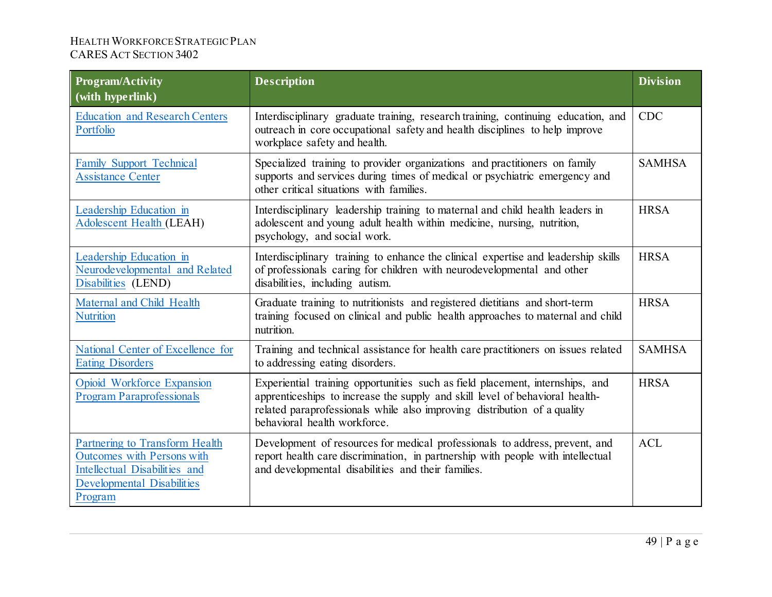| <b>Program/Activity</b><br>(with hyperlink)                                                                                            | <b>Description</b>                                                                                                                                                                                                                                                        | <b>Division</b> |
|----------------------------------------------------------------------------------------------------------------------------------------|---------------------------------------------------------------------------------------------------------------------------------------------------------------------------------------------------------------------------------------------------------------------------|-----------------|
| <b>Education and Research Centers</b><br>Portfolio                                                                                     | Interdisciplinary graduate training, research training, continuing education, and<br>outreach in core occupational safety and health disciplines to help improve<br>workplace safety and health.                                                                          | <b>CDC</b>      |
| <b>Family Support Technical</b><br><b>Assistance Center</b>                                                                            | Specialized training to provider organizations and practitioners on family<br>supports and services during times of medical or psychiatric emergency and<br>other critical situations with families.                                                                      | <b>SAMHSA</b>   |
| Leadership Education in<br><b>Adolescent Health (LEAH)</b>                                                                             | Interdisciplinary leadership training to maternal and child health leaders in<br>adolescent and young adult health within medicine, nursing, nutrition,<br>psychology, and social work.                                                                                   | <b>HRSA</b>     |
| Leadership Education in<br>Neurodevelopmental and Related<br>Disabilities (LEND)                                                       | Interdisciplinary training to enhance the clinical expertise and leadership skills<br>of professionals caring for children with neurodevelopmental and other<br>disabilities, including autism.                                                                           | <b>HRSA</b>     |
| Maternal and Child Health<br><b>Nutrition</b>                                                                                          | Graduate training to nutritionists and registered dietitians and short-term<br>training focused on clinical and public health approaches to maternal and child<br>nutrition.                                                                                              | <b>HRSA</b>     |
| National Center of Excellence for<br><b>Eating Disorders</b>                                                                           | Training and technical assistance for health care practitioners on issues related<br>to addressing eating disorders.                                                                                                                                                      | <b>SAMHSA</b>   |
| Opioid Workforce Expansion<br><b>Program Paraprofessionals</b>                                                                         | Experiential training opportunities such as field placement, internships, and<br>apprenticeships to increase the supply and skill level of behavioral health-<br>related paraprofessionals while also improving distribution of a quality<br>behavioral health workforce. | <b>HRSA</b>     |
| Partnering to Transform Health<br>Outcomes with Persons with<br>Intellectual Disabilities and<br>Developmental Disabilities<br>Program | Development of resources for medical professionals to address, prevent, and<br>report health care discrimination, in partnership with people with intellectual<br>and developmental disabilities and their families.                                                      | <b>ACL</b>      |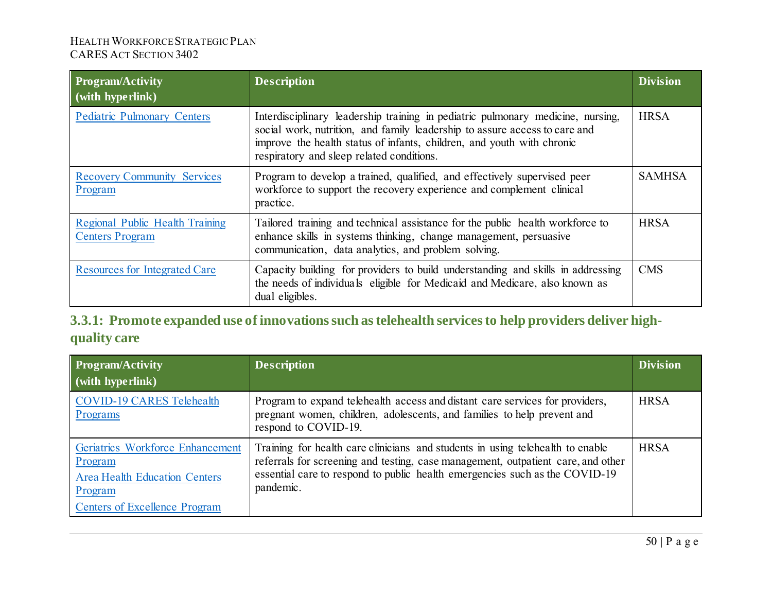| <b>Program/Activity</b><br>(with hyperlink)               | <b>Description</b>                                                                                                                                                                                                                                                                   | <b>Division</b> |
|-----------------------------------------------------------|--------------------------------------------------------------------------------------------------------------------------------------------------------------------------------------------------------------------------------------------------------------------------------------|-----------------|
| <b>Pediatric Pulmonary Centers</b>                        | Interdisciplinary leadership training in pediatric pulmonary medicine, nursing,<br>social work, nutrition, and family leadership to assure access to care and<br>improve the health status of infants, children, and youth with chronic<br>respiratory and sleep related conditions. | <b>HRSA</b>     |
| <b>Recovery Community Services</b><br>Program             | Program to develop a trained, qualified, and effectively supervised peer<br>workforce to support the recovery experience and complement clinical<br>practice.                                                                                                                        | <b>SAMHSA</b>   |
| Regional Public Health Training<br><b>Centers Program</b> | Tailored training and technical assistance for the public health workforce to<br>enhance skills in systems thinking, change management, persuasive<br>communication, data analytics, and problem solving.                                                                            | <b>HRSA</b>     |
| <b>Resources for Integrated Care</b>                      | Capacity building for providers to build understanding and skills in addressing<br>the needs of individuals eligible for Medicaid and Medicare, also known as<br>dual eligibles.                                                                                                     | <b>CMS</b>      |

**3.3.1: Promote expanded use of innovations such as telehealth services to help providers deliver highquality care**

| <b>Program/Activity</b><br>$\mid$ (with hyperlink)                                                                                     | <b>Description</b>                                                                                                                                                                                                                                             | <b>Division</b> |
|----------------------------------------------------------------------------------------------------------------------------------------|----------------------------------------------------------------------------------------------------------------------------------------------------------------------------------------------------------------------------------------------------------------|-----------------|
| <b>COVID-19 CARES Telehealth</b><br>Programs                                                                                           | Program to expand telehealth access and distant care services for providers,<br>pregnant women, children, adolescents, and families to help prevent and<br>respond to COVID-19.                                                                                | <b>HRSA</b>     |
| Geriatrics Workforce Enhancement<br>Program<br><b>Area Health Education Centers</b><br>Program<br><b>Centers of Excellence Program</b> | Training for health care clinicians and students in using telehealth to enable<br>referrals for screening and testing, case management, outpatient care, and other<br>essential care to respond to public health emergencies such as the COVID-19<br>pandemic. | <b>HRSA</b>     |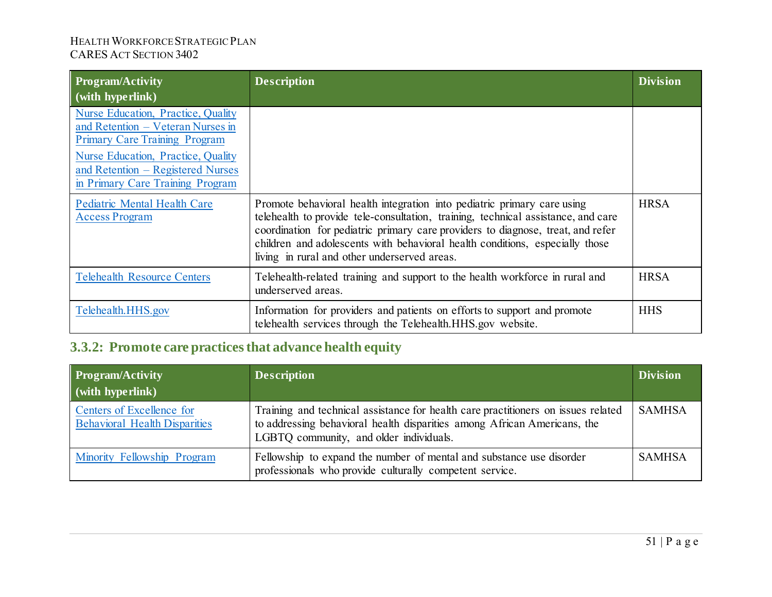| <b>Program/Activity</b><br>$\mid$ (with hyperlink)                                                                                                                                                                             | <b>Description</b>                                                                                                                                                                                                                                                                                                                                                              | <b>Division</b> |
|--------------------------------------------------------------------------------------------------------------------------------------------------------------------------------------------------------------------------------|---------------------------------------------------------------------------------------------------------------------------------------------------------------------------------------------------------------------------------------------------------------------------------------------------------------------------------------------------------------------------------|-----------------|
| Nurse Education, Practice, Quality<br>and Retention - Veteran Nurses in<br><b>Primary Care Training Program</b><br>Nurse Education, Practice, Quality<br>and Retention – Registered Nurses<br>in Primary Care Training Program |                                                                                                                                                                                                                                                                                                                                                                                 |                 |
| <b>Pediatric Mental Health Care</b><br><b>Access Program</b>                                                                                                                                                                   | Promote behavioral health integration into pediatric primary care using<br>telehealth to provide tele-consultation, training, technical assistance, and care<br>coordination for pediatric primary care providers to diagnose, treat, and refer<br>children and adolescents with behavioral health conditions, especially those<br>living in rural and other underserved areas. | <b>HRSA</b>     |
| <b>Telehealth Resource Centers</b>                                                                                                                                                                                             | Telehealth-related training and support to the health workforce in rural and<br>underserved areas.                                                                                                                                                                                                                                                                              | <b>HRSA</b>     |
| Telehealth.HHS.gov                                                                                                                                                                                                             | Information for providers and patients on efforts to support and promote<br>telehealth services through the Telehealth.HHS.gov website.                                                                                                                                                                                                                                         | <b>HHS</b>      |

# **3.3.2: Promote care practices that advance health equity**

| <b>Program/Activity</b><br>(with hyperlink)                       | <b>Description</b>                                                                                                                                                                                       | <b>Division</b> |
|-------------------------------------------------------------------|----------------------------------------------------------------------------------------------------------------------------------------------------------------------------------------------------------|-----------------|
| Centers of Excellence for<br><b>Behavioral Health Disparities</b> | Training and technical assistance for health care practitioners on issues related<br>to addressing behavioral health disparities among African Americans, the<br>LGBTQ community, and older individuals. | <b>SAMHSA</b>   |
| Minority Fellowship Program                                       | Fellowship to expand the number of mental and substance use disorder<br>professionals who provide culturally competent service.                                                                          | <b>SAMHSA</b>   |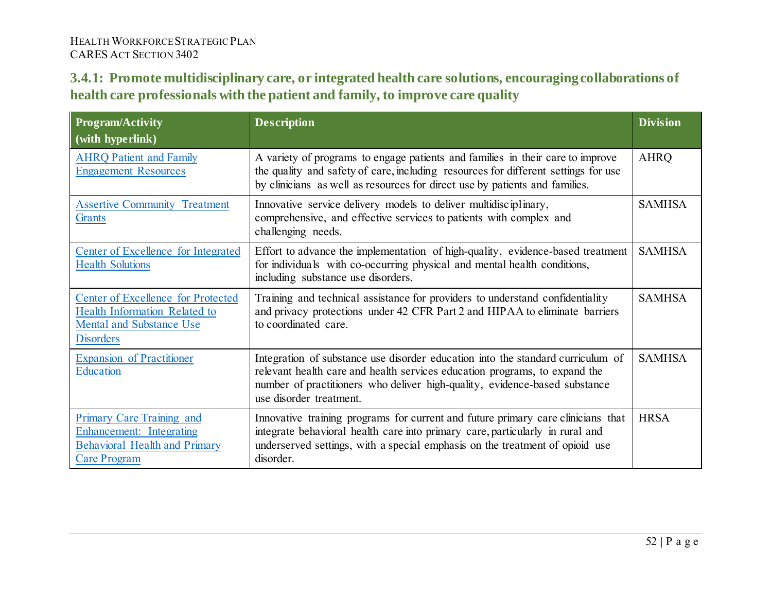## **3.4.1: Promote multidisciplinary care, or integrated health care solutions, encouraging collaborations of health care professionals with the patient and family, to improve care quality**

| <b>Program/Activity</b><br>$\sqrt{\frac{1}{1-\frac{1}{1-\frac{1}{1-\frac{1}{1-\frac{1}{1-\frac{1}{1-\frac{1}{1-\frac{1}{1-\frac{1}{1-\frac{1}{1-\frac{1}{1-\frac{1}{1-\frac{1}{1-\frac{1}{1-\frac{1}{1-\frac{1}{1-\frac{1}{1-\frac{1}{1-\frac{1}{1-\frac{1}{1-\frac{1}{1-\frac{1}{1-\frac{1}{1-\frac{1}{1-\frac{1}{1-\frac{1}{1-\frac{1}{1-\frac{1}{1-\frac{1}{1-\frac{1}{1-\frac{1}{1-\frac{1}{1-\frac{1}{1-\frac{1}{1-\frac{1}{1-\frac{1}{1-\frac$ | <b>Description</b>                                                                                                                                                                                                                                                     | <b>Division</b> |
|------------------------------------------------------------------------------------------------------------------------------------------------------------------------------------------------------------------------------------------------------------------------------------------------------------------------------------------------------------------------------------------------------------------------------------------------------|------------------------------------------------------------------------------------------------------------------------------------------------------------------------------------------------------------------------------------------------------------------------|-----------------|
| <b>AHRQ Patient and Family</b><br><b>Engagement Resources</b>                                                                                                                                                                                                                                                                                                                                                                                        | A variety of programs to engage patients and families in their care to improve<br>the quality and safety of care, including resources for different settings for use<br>by clinicians as well as resources for direct use by patients and families.                    | <b>AHRQ</b>     |
| <b>Assertive Community Treatment</b><br><b>Grants</b>                                                                                                                                                                                                                                                                                                                                                                                                | Innovative service delivery models to deliver multidisciplinary,<br>comprehensive, and effective services to patients with complex and<br>challenging needs.                                                                                                           | <b>SAMHSA</b>   |
| Center of Excellence for Integrated<br><b>Health Solutions</b>                                                                                                                                                                                                                                                                                                                                                                                       | Effort to advance the implementation of high-quality, evidence-based treatment<br>for individuals with co-occurring physical and mental health conditions,<br>including substance use disorders.                                                                       | <b>SAMHSA</b>   |
| <b>Center of Excellence for Protected</b><br>Health Information Related to<br><b>Mental and Substance Use</b><br><b>Disorders</b>                                                                                                                                                                                                                                                                                                                    | Training and technical assistance for providers to understand confidentiality<br>and privacy protections under 42 CFR Part 2 and HIPAA to eliminate barriers<br>to coordinated care.                                                                                   | <b>SAMHSA</b>   |
| <b>Expansion of Practitioner</b><br><b>Education</b>                                                                                                                                                                                                                                                                                                                                                                                                 | Integration of substance use disorder education into the standard curriculum of<br>relevant health care and health services education programs, to expand the<br>number of practitioners who deliver high-quality, evidence-based substance<br>use disorder treatment. | <b>SAMHSA</b>   |
| Primary Care Training and<br>Enhancement: Integrating<br><b>Behavioral Health and Primary</b><br><b>Care Program</b>                                                                                                                                                                                                                                                                                                                                 | Innovative training programs for current and future primary care clinicians that<br>integrate behavioral health care into primary care, particularly in rural and<br>underserved settings, with a special emphasis on the treatment of opioid use<br>disorder.         | <b>HRSA</b>     |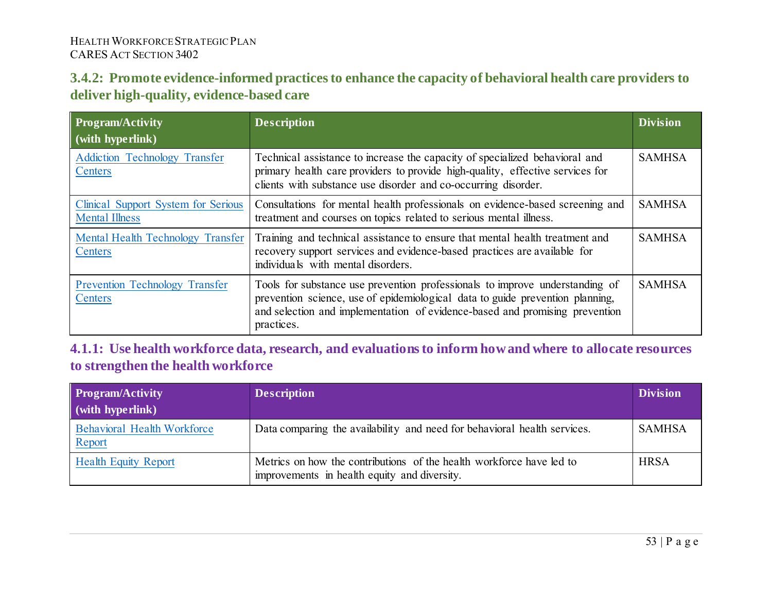### **3.4.2: Promote evidence-informed practices to enhance the capacity of behavioral health care providers to deliver high-quality, evidence-based care**

| <b>Program/Activity</b><br>$\mid$ (with hyperlink)           | <b>Description</b>                                                                                                                                                                                                                                         | <b>Division</b> |
|--------------------------------------------------------------|------------------------------------------------------------------------------------------------------------------------------------------------------------------------------------------------------------------------------------------------------------|-----------------|
| <b>Addiction Technology Transfer</b><br>Centers              | Technical assistance to increase the capacity of specialized behavioral and<br>primary health care providers to provide high-quality, effective services for<br>clients with substance use disorder and co-occurring disorder.                             | <b>SAMHSA</b>   |
| Clinical Support System for Serious<br><b>Mental Illness</b> | Consultations for mental health professionals on evidence-based screening and<br>treatment and courses on topics related to serious mental illness.                                                                                                        | <b>SAMHSA</b>   |
| Mental Health Technology Transfer<br>Centers                 | Training and technical assistance to ensure that mental health treatment and<br>recovery support services and evidence-based practices are available for<br>individuals with mental disorders.                                                             | <b>SAMHSA</b>   |
| <b>Prevention Technology Transfer</b><br>Centers             | Tools for substance use prevention professionals to improve understanding of<br>prevention science, use of epidemiological data to guide prevention planning,<br>and selection and implementation of evidence-based and promising prevention<br>practices. | <b>SAMHSA</b>   |

**4.1.1: Use health workforce data, research, and evaluations to inform how and where to allocate resources to strengthen the health workforce**

| <b>Program/Activity</b><br>$\mid$ (with hyperlink) | <b>Description</b>                                                                                                   | <b>Division</b> |
|----------------------------------------------------|----------------------------------------------------------------------------------------------------------------------|-----------------|
| <b>Behavioral Health Workforce</b><br>Report       | Data comparing the availability and need for behavioral health services.                                             | <b>SAMHSA</b>   |
| <b>Health Equity Report</b>                        | Metrics on how the contributions of the health workforce have led to<br>improvements in health equity and diversity. | <b>HRSA</b>     |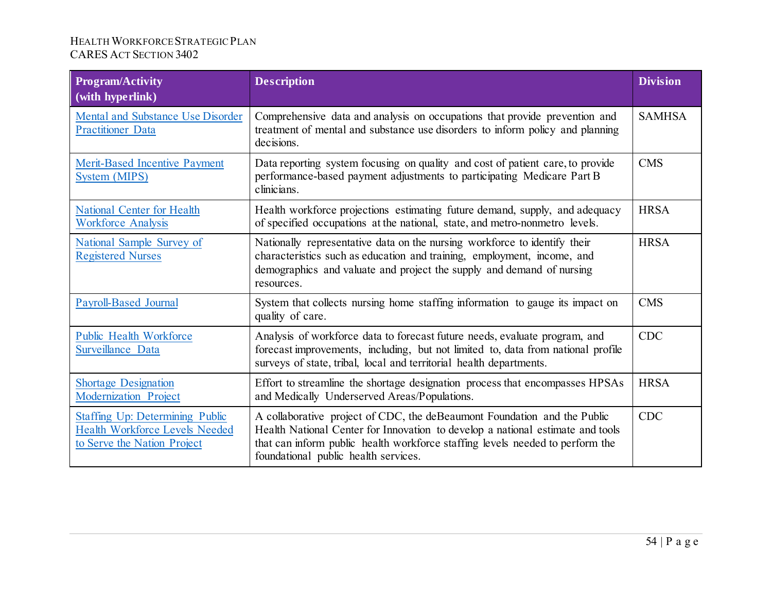| <b>Program/Activity</b><br>(with hyperlink)                                                             | <b>Description</b>                                                                                                                                                                                                                                                                  | <b>Division</b> |
|---------------------------------------------------------------------------------------------------------|-------------------------------------------------------------------------------------------------------------------------------------------------------------------------------------------------------------------------------------------------------------------------------------|-----------------|
| <b>Mental and Substance Use Disorder</b><br><b>Practitioner Data</b>                                    | Comprehensive data and analysis on occupations that provide prevention and<br>treatment of mental and substance use disorders to inform policy and planning<br>decisions.                                                                                                           | <b>SAMHSA</b>   |
| <b>Merit-Based Incentive Payment</b><br><b>System (MIPS)</b>                                            | Data reporting system focusing on quality and cost of patient care, to provide<br>performance-based payment adjustments to participating Medicare Part B<br>clinicians.                                                                                                             | <b>CMS</b>      |
| <b>National Center for Health</b><br><b>Workforce Analysis</b>                                          | Health workforce projections estimating future demand, supply, and adequacy<br>of specified occupations at the national, state, and metro-nonmetro levels.                                                                                                                          | <b>HRSA</b>     |
| National Sample Survey of<br><b>Registered Nurses</b>                                                   | Nationally representative data on the nursing workforce to identify their<br>characteristics such as education and training, employment, income, and<br>demographics and valuate and project the supply and demand of nursing<br>resources.                                         | <b>HRSA</b>     |
| <b>Payroll-Based Journal</b>                                                                            | System that collects nursing home staffing information to gauge its impact on<br>quality of care.                                                                                                                                                                                   | <b>CMS</b>      |
| <b>Public Health Workforce</b><br>Surveillance Data                                                     | Analysis of workforce data to forecast future needs, evaluate program, and<br>forecast improvements, including, but not limited to, data from national profile<br>surveys of state, tribal, local and territorial health departments.                                               | <b>CDC</b>      |
| <b>Shortage Designation</b><br><b>Modernization Project</b>                                             | Effort to streamline the shortage designation process that encompasses HPSAs<br>and Medically Underserved Areas/Populations.                                                                                                                                                        | <b>HRSA</b>     |
| <b>Staffing Up: Determining Public</b><br>Health Workforce Levels Needed<br>to Serve the Nation Project | A collaborative project of CDC, the deBeaumont Foundation and the Public<br>Health National Center for Innovation to develop a national estimate and tools<br>that can inform public health workforce staffing levels needed to perform the<br>foundational public health services. | <b>CDC</b>      |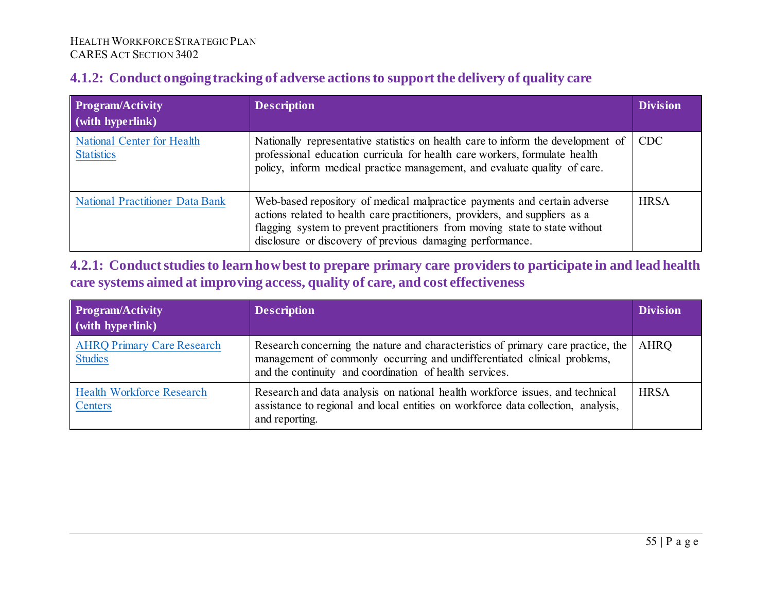### **4.1.2: Conduct ongoing tracking of adverse actions to support the delivery of quality care**

| Program/Activity<br>$\sqrt{\frac{1}{1-\frac{1}{1-\frac{1}{1-\frac{1}{1-\frac{1}{1-\frac{1}{1-\frac{1}{1-\frac{1}{1-\frac{1}{1-\frac{1}{1-\frac{1}{1-\frac{1}{1-\frac{1}{1-\frac{1}{1-\frac{1}{1-\frac{1}{1-\frac{1}{1-\frac{1}{1-\frac{1}{1-\frac{1}{1-\frac{1}{1-\frac{1}{1-\frac{1}{1-\frac{1}{1-\frac{1}{1-\frac{1}{1-\frac{1}{1-\frac{1}{1-\frac{1}{1-\frac{1}{1-\frac{1}{1-\frac{1}{1-\frac{1}{1-\frac{1}{1-\frac{1}{1-\frac{1}{1-\frac$ | <b>Description</b>                                                                                                                                                                                                                                                                                  | <b>Division</b> |
|-----------------------------------------------------------------------------------------------------------------------------------------------------------------------------------------------------------------------------------------------------------------------------------------------------------------------------------------------------------------------------------------------------------------------------------------------|-----------------------------------------------------------------------------------------------------------------------------------------------------------------------------------------------------------------------------------------------------------------------------------------------------|-----------------|
| <b>National Center for Health</b><br><b>Statistics</b>                                                                                                                                                                                                                                                                                                                                                                                        | Nationally representative statistics on health care to inform the development of<br>professional education curricula for health care workers, formulate health<br>policy, inform medical practice management, and evaluate quality of care.                                                         | <b>CDC</b>      |
| <b>National Practitioner Data Bank</b>                                                                                                                                                                                                                                                                                                                                                                                                        | Web-based repository of medical malpractice payments and certain adverse<br>actions related to health care practitioners, providers, and suppliers as a<br>flagging system to prevent practitioners from moving state to state without<br>disclosure or discovery of previous damaging performance. | <b>HRSA</b>     |

### **4.2.1: Conduct studies to learn how best to prepare primary care providers to participate in and lead health care systems aimed at improving access, quality of care, and cost effectiveness**

| Program/Activity<br>(with hyperlink)                | <b>Description</b>                                                                                                                                                                                                      | <b>Division</b> |
|-----------------------------------------------------|-------------------------------------------------------------------------------------------------------------------------------------------------------------------------------------------------------------------------|-----------------|
| <b>AHRQ Primary Care Research</b><br><b>Studies</b> | Research concerning the nature and characteristics of primary care practice, the<br>management of commonly occurring and undifferentiated clinical problems,<br>and the continuity and coordination of health services. | AHRQ            |
| <b>Health Workforce Research</b><br>Centers         | Research and data analysis on national health workforce issues, and technical<br>assistance to regional and local entities on workforce data collection, analysis,<br>and reporting.                                    | <b>HRSA</b>     |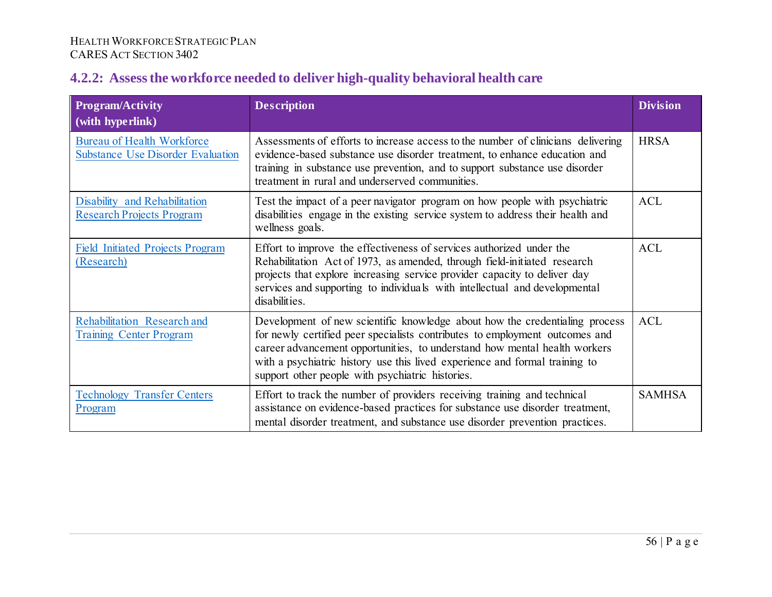# **4.2.2: Assess the workforce needed to deliver high-quality behavioral health care**

| <b>Program/Activity</b><br>$\sim$ (with hyperlink)                            | <b>Description</b>                                                                                                                                                                                                                                                                                                                                                         | <b>Division</b> |
|-------------------------------------------------------------------------------|----------------------------------------------------------------------------------------------------------------------------------------------------------------------------------------------------------------------------------------------------------------------------------------------------------------------------------------------------------------------------|-----------------|
| <b>Bureau of Health Workforce</b><br><b>Substance Use Disorder Evaluation</b> | Assessments of efforts to increase access to the number of clinicians delivering<br>evidence-based substance use disorder treatment, to enhance education and<br>training in substance use prevention, and to support substance use disorder<br>treatment in rural and underserved communities.                                                                            | <b>HRSA</b>     |
| Disability and Rehabilitation<br><b>Research Projects Program</b>             | Test the impact of a peer navigator program on how people with psychiatric<br>disabilities engage in the existing service system to address their health and<br>wellness goals.                                                                                                                                                                                            | <b>ACL</b>      |
| <b>Field Initiated Projects Program</b><br>(Research)                         | Effort to improve the effectiveness of services authorized under the<br>Rehabilitation Act of 1973, as amended, through field-initiated research<br>projects that explore increasing service provider capacity to deliver day<br>services and supporting to individuals with intellectual and developmental<br>disabilities.                                               | <b>ACL</b>      |
| Rehabilitation Research and<br><b>Training Center Program</b>                 | Development of new scientific knowledge about how the credentialing process<br>for newly certified peer specialists contributes to employment outcomes and<br>career advancement opportunities, to understand how mental health workers<br>with a psychiatric history use this lived experience and formal training to<br>support other people with psychiatric histories. | <b>ACL</b>      |
| <b>Technology Transfer Centers</b><br>Program                                 | Effort to track the number of providers receiving training and technical<br>assistance on evidence-based practices for substance use disorder treatment,<br>mental disorder treatment, and substance use disorder prevention practices.                                                                                                                                    | <b>SAMHSA</b>   |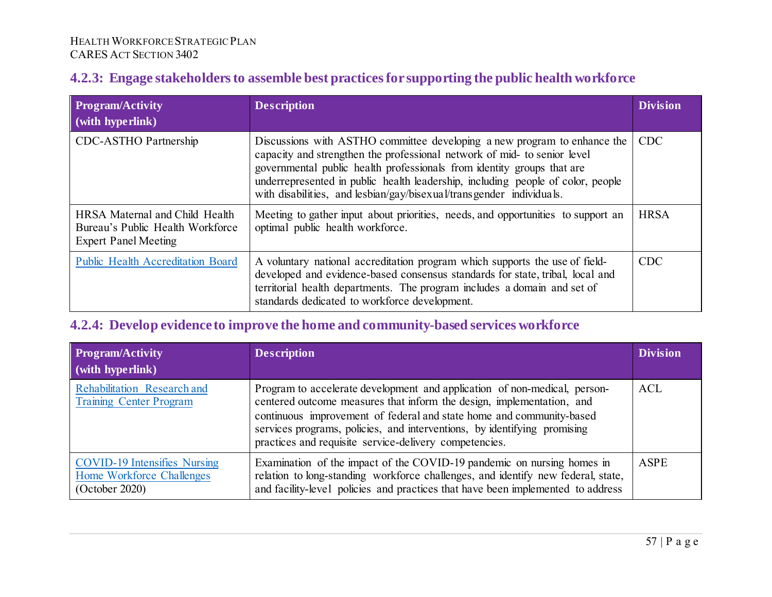### **4.2.3: Engage stakeholders to assemble best practices for supporting the public health workforce**

| Program/Activity<br>$\vert$ (with hyperlink)                                                      | <b>Description</b>                                                                                                                                                                                                                                                                                                                                                                        | <b>Division</b> |
|---------------------------------------------------------------------------------------------------|-------------------------------------------------------------------------------------------------------------------------------------------------------------------------------------------------------------------------------------------------------------------------------------------------------------------------------------------------------------------------------------------|-----------------|
| CDC-ASTHO Partnership                                                                             | Discussions with ASTHO committee developing a new program to enhance the<br>capacity and strengthen the professional network of mid- to senior level<br>governmental public health professionals from identity groups that are<br>underrepresented in public health leadership, including people of color, people<br>with disabilities, and lesbian/gay/bisexual/transgender individuals. | <b>CDC</b>      |
| HRSA Maternal and Child Health<br>Bureau's Public Health Workforce<br><b>Expert Panel Meeting</b> | Meeting to gather input about priorities, needs, and opportunities to support an<br>optimal public health workforce.                                                                                                                                                                                                                                                                      | <b>HRSA</b>     |
| <b>Public Health Accreditation Board</b>                                                          | A voluntary national accreditation program which supports the use of field-<br>developed and evidence-based consensus standards for state, tribal, local and<br>territorial health departments. The program includes a domain and set of<br>standards dedicated to workforce development.                                                                                                 | <b>CDC</b>      |

### **4.2.4: Develop evidence to improve the home and community-based services workforce**

| <b>Program/Activity</b><br>$\mid$ (with hyperlink)                                 | <b>Description</b>                                                                                                                                                                                                                                                                                                                                               | <b>Division</b> |
|------------------------------------------------------------------------------------|------------------------------------------------------------------------------------------------------------------------------------------------------------------------------------------------------------------------------------------------------------------------------------------------------------------------------------------------------------------|-----------------|
| Rehabilitation Research and<br><b>Training Center Program</b>                      | Program to accelerate development and application of non-medical, person-<br>centered outcome measures that inform the design, implementation, and<br>continuous improvement of federal and state home and community-based<br>services programs, policies, and interventions, by identifying promising<br>practices and requisite service-delivery competencies. | <b>ACL</b>      |
| <b>COVID-19 Intensifies Nursing</b><br>Home Workforce Challenges<br>(October 2020) | Examination of the impact of the COVID-19 pandemic on nursing homes in<br>relation to long-standing workforce challenges, and identify new federal, state,<br>and facility-level policies and practices that have been implemented to address                                                                                                                    | <b>ASPE</b>     |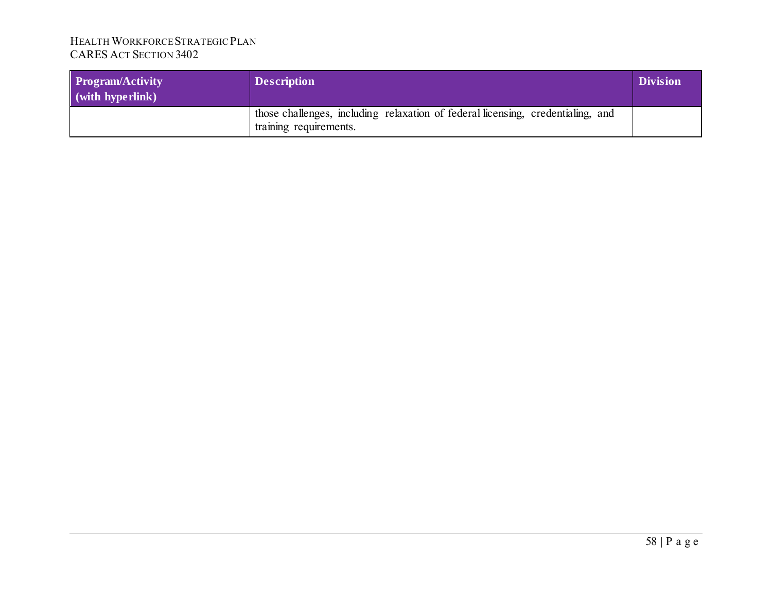| <b>Program/Activity</b><br>$\mathbf{v}$ (with hyperlink) | <b>Description</b>                                                                                        | <b>Division</b> |
|----------------------------------------------------------|-----------------------------------------------------------------------------------------------------------|-----------------|
|                                                          | those challenges, including relaxation of federal licensing, credentialing, and<br>training requirements. |                 |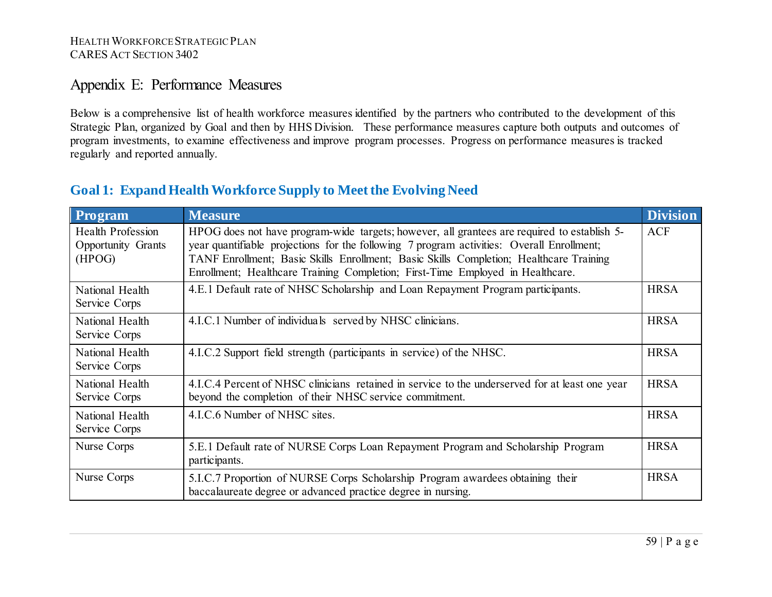# Appendix E: Performance Measures

Below is a comprehensive list of health workforce measures identified by the partners who contributed to the development of this Strategic Plan, organized by Goal and then by HHS Division. These performance measures capture both outputs and outcomes of program investments, to examine effectiveness and improve program processes. Progress on performance measures is tracked regularly and reported annually.

|  | <b>Goal 1: Expand Health Workforce Supply to Meet the Evolving Need</b> |  |
|--|-------------------------------------------------------------------------|--|
|  |                                                                         |  |

| Program                                                  | <b>Measure</b>                                                                                                                                                                                                                                                                                                                                                       | <b>Division</b> |
|----------------------------------------------------------|----------------------------------------------------------------------------------------------------------------------------------------------------------------------------------------------------------------------------------------------------------------------------------------------------------------------------------------------------------------------|-----------------|
| Health Profession<br><b>Opportunity Grants</b><br>(HPOG) | HPOG does not have program-wide targets; however, all grantees are required to establish 5-<br>year quantifiable projections for the following 7 program activities: Overall Enrollment;<br>TANF Enrollment; Basic Skills Enrollment; Basic Skills Completion; Healthcare Training<br>Enrollment; Healthcare Training Completion; First-Time Employed in Healthcare. | <b>ACF</b>      |
| National Health<br>Service Corps                         | 4.E.1 Default rate of NHSC Scholarship and Loan Repayment Program participants.                                                                                                                                                                                                                                                                                      | <b>HRSA</b>     |
| National Health<br>Service Corps                         | 4.I.C.1 Number of individuals served by NHSC clinicians.                                                                                                                                                                                                                                                                                                             | <b>HRSA</b>     |
| National Health<br>Service Corps                         | 4.I.C.2 Support field strength (participants in service) of the NHSC.                                                                                                                                                                                                                                                                                                | <b>HRSA</b>     |
| National Health<br>Service Corps                         | 4.I.C.4 Percent of NHSC clinicians retained in service to the underserved for at least one year<br>beyond the completion of their NHSC service commitment.                                                                                                                                                                                                           | <b>HRSA</b>     |
| National Health<br>Service Corps                         | 4.I.C.6 Number of NHSC sites.                                                                                                                                                                                                                                                                                                                                        | <b>HRSA</b>     |
| Nurse Corps                                              | 5.E.1 Default rate of NURSE Corps Loan Repayment Program and Scholarship Program<br>participants.                                                                                                                                                                                                                                                                    | <b>HRSA</b>     |
| Nurse Corps                                              | 5.I.C.7 Proportion of NURSE Corps Scholarship Program awardees obtaining their<br>baccalaureate degree or advanced practice degree in nursing.                                                                                                                                                                                                                       | <b>HRSA</b>     |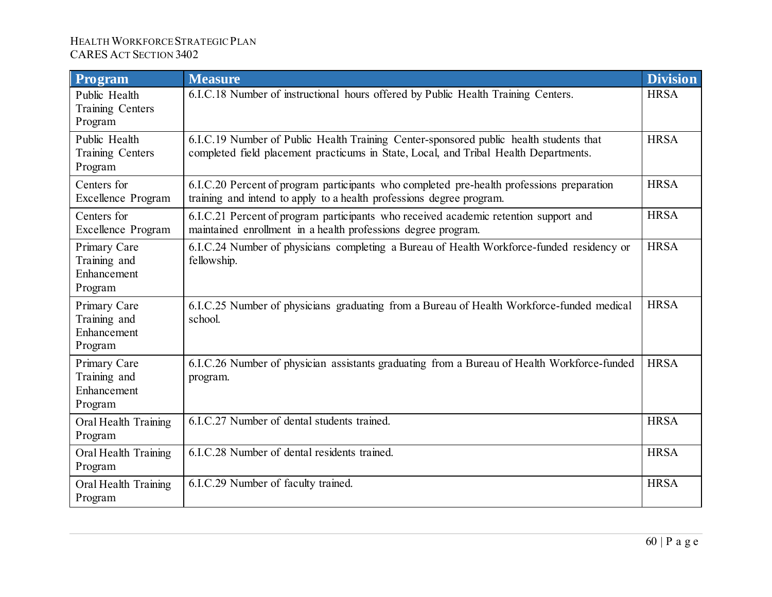| Program                                                | <b>Measure</b>                                                                                                                                                                 | <b>Division</b> |
|--------------------------------------------------------|--------------------------------------------------------------------------------------------------------------------------------------------------------------------------------|-----------------|
| Public Health<br>Training Centers<br>Program           | 6.I.C.18 Number of instructional hours offered by Public Health Training Centers.                                                                                              | <b>HRSA</b>     |
| Public Health<br>Training Centers<br>Program           | 6.I.C.19 Number of Public Health Training Center-sponsored public health students that<br>completed field placement practicums in State, Local, and Tribal Health Departments. | <b>HRSA</b>     |
| Centers for<br><b>Excellence Program</b>               | 6.I.C.20 Percent of program participants who completed pre-health professions preparation<br>training and intend to apply to a health professions degree program.              | <b>HRSA</b>     |
| Centers for<br><b>Excellence Program</b>               | 6.I.C.21 Percent of program participants who received academic retention support and<br>maintained enrollment in a health professions degree program.                          | <b>HRSA</b>     |
| Primary Care<br>Training and<br>Enhancement<br>Program | 6.I.C.24 Number of physicians completing a Bureau of Health Workforce-funded residency or<br>fellowship.                                                                       | <b>HRSA</b>     |
| Primary Care<br>Training and<br>Enhancement<br>Program | 6.I.C.25 Number of physicians graduating from a Bureau of Health Workforce-funded medical<br>school.                                                                           | <b>HRSA</b>     |
| Primary Care<br>Training and<br>Enhancement<br>Program | 6.I.C.26 Number of physician assistants graduating from a Bureau of Health Workforce-funded<br>program.                                                                        | <b>HRSA</b>     |
| Oral Health Training<br>Program                        | 6.I.C.27 Number of dental students trained.                                                                                                                                    | <b>HRSA</b>     |
| Oral Health Training<br>Program                        | 6.I.C.28 Number of dental residents trained.                                                                                                                                   | <b>HRSA</b>     |
| Oral Health Training<br>Program                        | 6.I.C.29 Number of faculty trained.                                                                                                                                            | <b>HRSA</b>     |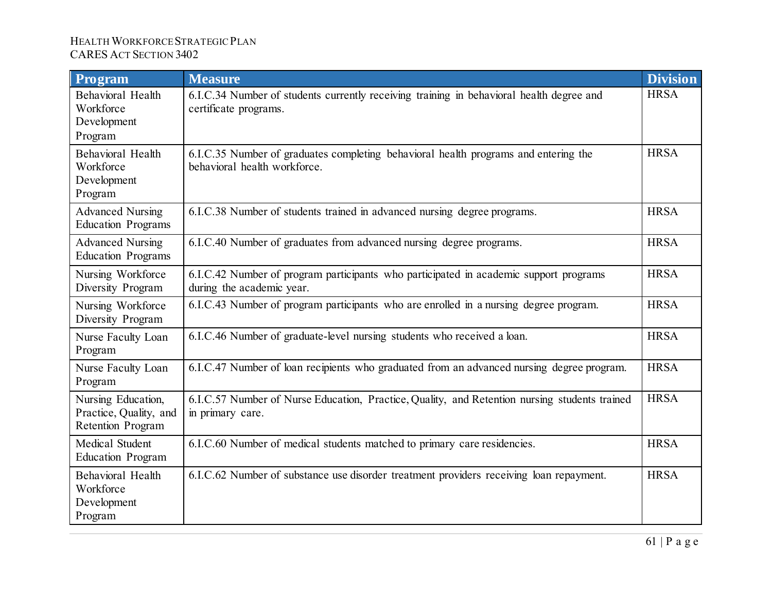| Program                                                                  | <b>Measure</b>                                                                                                      | <b>Division</b> |
|--------------------------------------------------------------------------|---------------------------------------------------------------------------------------------------------------------|-----------------|
| <b>Behavioral Health</b><br>Workforce<br>Development<br>Program          | 6.I.C.34 Number of students currently receiving training in behavioral health degree and<br>certificate programs.   | <b>HRSA</b>     |
| <b>Behavioral Health</b><br>Workforce<br>Development<br>Program          | 6.I.C.35 Number of graduates completing behavioral health programs and entering the<br>behavioral health workforce. | <b>HRSA</b>     |
| <b>Advanced Nursing</b><br><b>Education Programs</b>                     | 6.I.C.38 Number of students trained in advanced nursing degree programs.                                            | <b>HRSA</b>     |
| <b>Advanced Nursing</b><br><b>Education Programs</b>                     | 6.I.C.40 Number of graduates from advanced nursing degree programs.                                                 | <b>HRSA</b>     |
| Nursing Workforce<br>Diversity Program                                   | 6.I.C.42 Number of program participants who participated in academic support programs<br>during the academic year.  | <b>HRSA</b>     |
| Nursing Workforce<br>Diversity Program                                   | 6.I.C.43 Number of program participants who are enrolled in a nursing degree program.                               | <b>HRSA</b>     |
| Nurse Faculty Loan<br>Program                                            | 6.I.C.46 Number of graduate-level nursing students who received a loan.                                             | <b>HRSA</b>     |
| Nurse Faculty Loan<br>Program                                            | 6.I.C.47 Number of loan recipients who graduated from an advanced nursing degree program.                           | <b>HRSA</b>     |
| Nursing Education,<br>Practice, Quality, and<br><b>Retention Program</b> | 6.I.C.57 Number of Nurse Education, Practice, Quality, and Retention nursing students trained<br>in primary care.   | <b>HRSA</b>     |
| Medical Student<br><b>Education Program</b>                              | 6.I.C.60 Number of medical students matched to primary care residencies.                                            | <b>HRSA</b>     |
| <b>Behavioral Health</b><br>Workforce<br>Development<br>Program          | 6.I.C.62 Number of substance use disorder treatment providers receiving loan repayment.                             | <b>HRSA</b>     |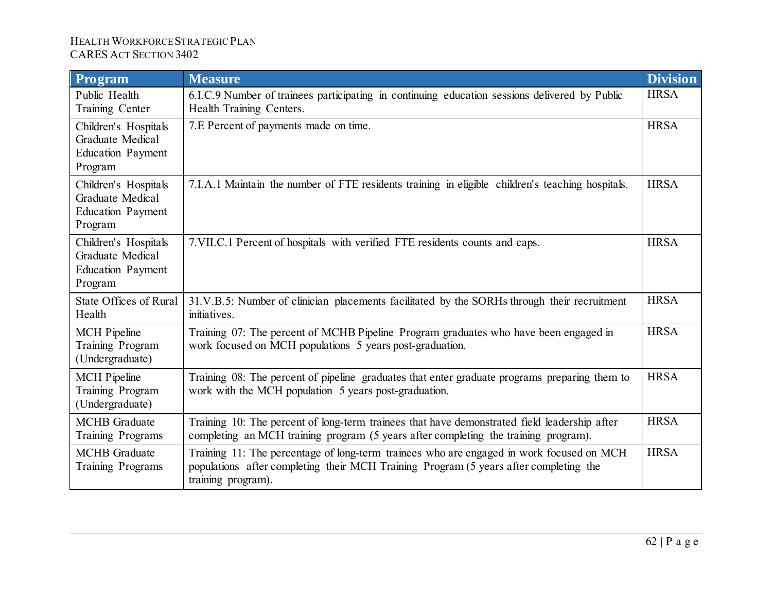| Program                                                                         | <b>Measure</b>                                                                                                                                                                                          | <b>Division</b> |
|---------------------------------------------------------------------------------|---------------------------------------------------------------------------------------------------------------------------------------------------------------------------------------------------------|-----------------|
| Public Health<br>Training Center                                                | 6.I.C.9 Number of trainees participating in continuing education sessions delivered by Public<br>Health Training Centers.                                                                               | <b>HRSA</b>     |
| Children's Hospitals<br>Graduate Medical<br><b>Education Payment</b><br>Program | 7.E Percent of payments made on time.                                                                                                                                                                   | <b>HRSA</b>     |
| Children's Hospitals<br>Graduate Medical<br><b>Education Payment</b><br>Program | 7.I.A.1 Maintain the number of FTE residents training in eligible children's teaching hospitals.                                                                                                        | <b>HRSA</b>     |
| Children's Hospitals<br>Graduate Medical<br><b>Education Payment</b><br>Program | 7. VII.C.1 Percent of hospitals with verified FTE residents counts and caps.                                                                                                                            | <b>HRSA</b>     |
| <b>State Offices of Rural</b><br>Health                                         | 31.V.B.5: Number of clinician placements facilitated by the SORHs through their recruitment<br>initiatives.                                                                                             | <b>HRSA</b>     |
| <b>MCH</b> Pipeline<br>Training Program<br>(Undergraduate)                      | Training 07: The percent of MCHB Pipeline Program graduates who have been engaged in<br>work focused on MCH populations 5 years post-graduation.                                                        | <b>HRSA</b>     |
| <b>MCH</b> Pipeline<br>Training Program<br>(Undergraduate)                      | Training 08: The percent of pipeline graduates that enter graduate programs preparing them to<br>work with the MCH population 5 years post-graduation.                                                  | <b>HRSA</b>     |
| <b>MCHB</b> Graduate<br>Training Programs                                       | Training 10: The percent of long-term trainees that have demonstrated field leadership after<br>completing an MCH training program (5 years after completing the training program).                     | <b>HRSA</b>     |
| <b>MCHB</b> Graduate<br>Training Programs                                       | Training 11: The percentage of long-term trainees who are engaged in work focused on MCH<br>populations after completing their MCH Training Program (5 years after completing the<br>training program). | <b>HRSA</b>     |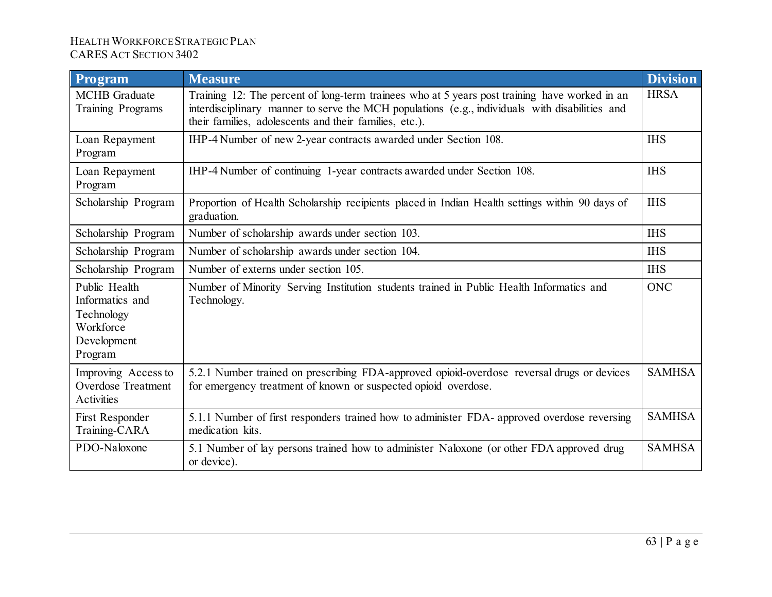| Program                                                                               | <b>Measure</b>                                                                                                                                                                                                                                            | <b>Division</b> |
|---------------------------------------------------------------------------------------|-----------------------------------------------------------------------------------------------------------------------------------------------------------------------------------------------------------------------------------------------------------|-----------------|
| <b>MCHB</b> Graduate<br>Training Programs                                             | Training 12: The percent of long-term trainees who at 5 years post training have worked in an<br>interdisciplinary manner to serve the MCH populations (e.g., individuals with disabilities and<br>their families, adolescents and their families, etc.). | <b>HRSA</b>     |
| Loan Repayment<br>Program                                                             | IHP-4 Number of new 2-year contracts awarded under Section 108.                                                                                                                                                                                           | <b>IHS</b>      |
| Loan Repayment<br>Program                                                             | IHP-4 Number of continuing 1-year contracts awarded under Section 108.                                                                                                                                                                                    | <b>IHS</b>      |
| Scholarship Program                                                                   | Proportion of Health Scholarship recipients placed in Indian Health settings within 90 days of<br>graduation.                                                                                                                                             | <b>IHS</b>      |
| Scholarship Program                                                                   | Number of scholarship awards under section 103.                                                                                                                                                                                                           | <b>IHS</b>      |
| Scholarship Program                                                                   | Number of scholarship awards under section 104.                                                                                                                                                                                                           | <b>IHS</b>      |
| Scholarship Program                                                                   | Number of externs under section 105.                                                                                                                                                                                                                      | <b>IHS</b>      |
| Public Health<br>Informatics and<br>Technology<br>Workforce<br>Development<br>Program | Number of Minority Serving Institution students trained in Public Health Informatics and<br>Technology.                                                                                                                                                   | <b>ONC</b>      |
| Improving Access to<br><b>Overdose Treatment</b><br>Activities                        | 5.2.1 Number trained on prescribing FDA-approved opioid-overdose reversal drugs or devices<br>for emergency treatment of known or suspected opioid overdose.                                                                                              | <b>SAMHSA</b>   |
| First Responder<br>Training-CARA                                                      | 5.1.1 Number of first responders trained how to administer FDA- approved overdose reversing<br>medication kits.                                                                                                                                           | <b>SAMHSA</b>   |
| PDO-Naloxone                                                                          | 5.1 Number of lay persons trained how to administer Naloxone (or other FDA approved drug<br>or device).                                                                                                                                                   | <b>SAMHSA</b>   |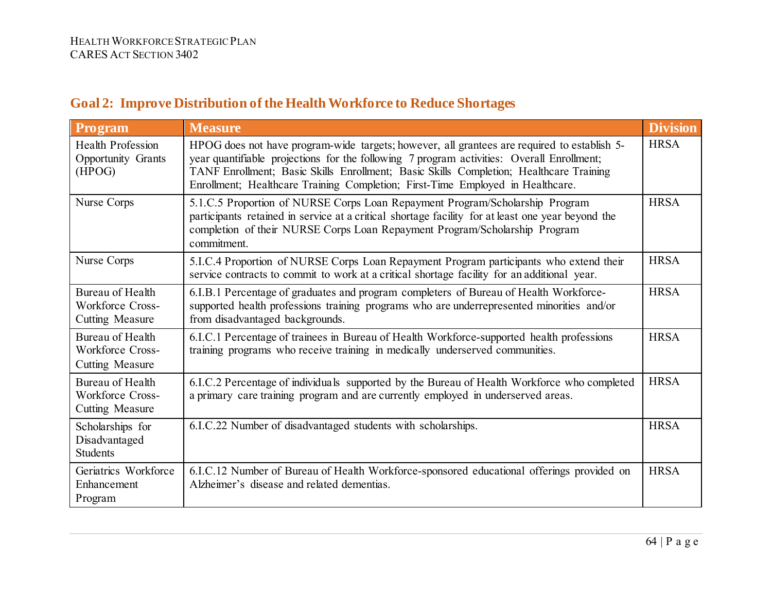| Program                                                                      | <b>Measure</b>                                                                                                                                                                                                                                                                                                                                                       | <b>Division</b> |
|------------------------------------------------------------------------------|----------------------------------------------------------------------------------------------------------------------------------------------------------------------------------------------------------------------------------------------------------------------------------------------------------------------------------------------------------------------|-----------------|
| <b>Health Profession</b><br>Opportunity Grants<br>(HPOG)                     | HPOG does not have program-wide targets; however, all grantees are required to establish 5-<br>year quantifiable projections for the following 7 program activities: Overall Enrollment;<br>TANF Enrollment; Basic Skills Enrollment; Basic Skills Completion; Healthcare Training<br>Enrollment; Healthcare Training Completion; First-Time Employed in Healthcare. | <b>HRSA</b>     |
| Nurse Corps                                                                  | 5.1.C.5 Proportion of NURSE Corps Loan Repayment Program/Scholarship Program<br>participants retained in service at a critical shortage facility for at least one year beyond the<br>completion of their NURSE Corps Loan Repayment Program/Scholarship Program<br>commitment.                                                                                       | <b>HRSA</b>     |
| Nurse Corps                                                                  | 5.I.C.4 Proportion of NURSE Corps Loan Repayment Program participants who extend their<br>service contracts to commit to work at a critical shortage facility for an additional year.                                                                                                                                                                                | <b>HRSA</b>     |
| <b>Bureau of Health</b><br><b>Workforce Cross-</b><br><b>Cutting Measure</b> | 6.I.B.1 Percentage of graduates and program completers of Bureau of Health Workforce-<br>supported health professions training programs who are underrepresented minorities and/or<br>from disadvantaged backgrounds.                                                                                                                                                | <b>HRSA</b>     |
| Bureau of Health<br><b>Workforce Cross-</b><br><b>Cutting Measure</b>        | 6.I.C.1 Percentage of trainees in Bureau of Health Workforce-supported health professions<br>training programs who receive training in medically underserved communities.                                                                                                                                                                                            | <b>HRSA</b>     |
| Bureau of Health<br><b>Workforce Cross-</b><br><b>Cutting Measure</b>        | 6.I.C.2 Percentage of individuals supported by the Bureau of Health Workforce who completed<br>a primary care training program and are currently employed in underserved areas.                                                                                                                                                                                      | <b>HRSA</b>     |
| Scholarships for<br>Disadvantaged<br><b>Students</b>                         | 6.I.C.22 Number of disadvantaged students with scholarships.                                                                                                                                                                                                                                                                                                         | <b>HRSA</b>     |
| Geriatrics Workforce<br>Enhancement<br>Program                               | 6.I.C.12 Number of Bureau of Health Workforce-sponsored educational offerings provided on<br>Alzheimer's disease and related dementias.                                                                                                                                                                                                                              | <b>HRSA</b>     |

# **Goal 2: Improve Distribution of the Health Workforce to Reduce Shortages**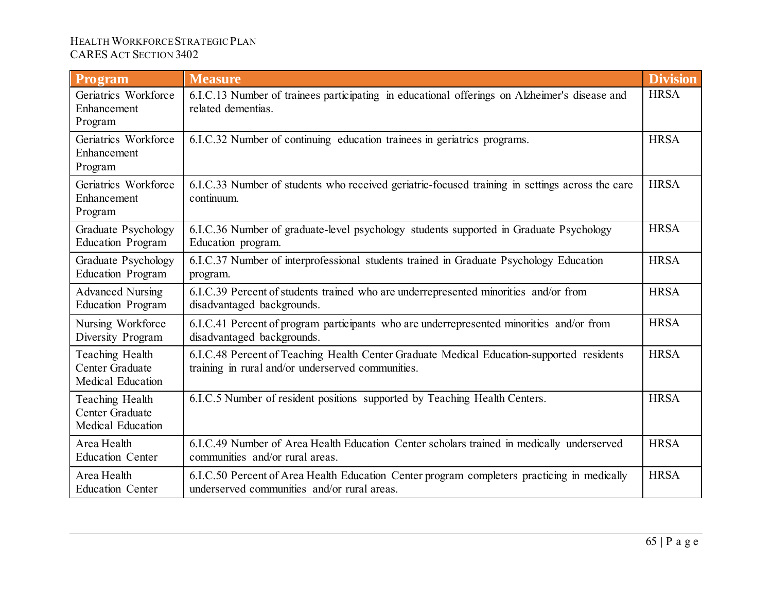| Program                                                 | <b>Measure</b>                                                                                                                                 | <b>Division</b> |
|---------------------------------------------------------|------------------------------------------------------------------------------------------------------------------------------------------------|-----------------|
| Geriatrics Workforce<br>Enhancement<br>Program          | 6.I.C.13 Number of trainees participating in educational offerings on Alzheimer's disease and<br>related dementias.                            | <b>HRSA</b>     |
| Geriatrics Workforce<br>Enhancement<br>Program          | 6.I.C.32 Number of continuing education trainees in geriatrics programs.                                                                       | <b>HRSA</b>     |
| Geriatrics Workforce<br>Enhancement<br>Program          | 6.I.C.33 Number of students who received geriatric-focused training in settings across the care<br>continuum.                                  | <b>HRSA</b>     |
| Graduate Psychology<br><b>Education Program</b>         | 6.I.C.36 Number of graduate-level psychology students supported in Graduate Psychology<br>Education program.                                   | <b>HRSA</b>     |
| Graduate Psychology<br><b>Education Program</b>         | 6.I.C.37 Number of interprofessional students trained in Graduate Psychology Education<br>program.                                             | <b>HRSA</b>     |
| <b>Advanced Nursing</b><br><b>Education Program</b>     | 6.I.C.39 Percent of students trained who are underrepresented minorities and/or from<br>disadvantaged backgrounds.                             | <b>HRSA</b>     |
| Nursing Workforce<br>Diversity Program                  | 6.I.C.41 Percent of program participants who are underrepresented minorities and/or from<br>disadvantaged backgrounds.                         | <b>HRSA</b>     |
| Teaching Health<br>Center Graduate<br>Medical Education | 6.I.C.48 Percent of Teaching Health Center Graduate Medical Education-supported residents<br>training in rural and/or underserved communities. | <b>HRSA</b>     |
| Teaching Health<br>Center Graduate<br>Medical Education | 6.I.C.5 Number of resident positions supported by Teaching Health Centers.                                                                     | <b>HRSA</b>     |
| Area Health<br><b>Education Center</b>                  | 6.I.C.49 Number of Area Health Education Center scholars trained in medically underserved<br>communities and/or rural areas.                   | <b>HRSA</b>     |
| Area Health<br><b>Education Center</b>                  | 6.I.C.50 Percent of Area Health Education Center program completers practicing in medically<br>underserved communities and/or rural areas.     | <b>HRSA</b>     |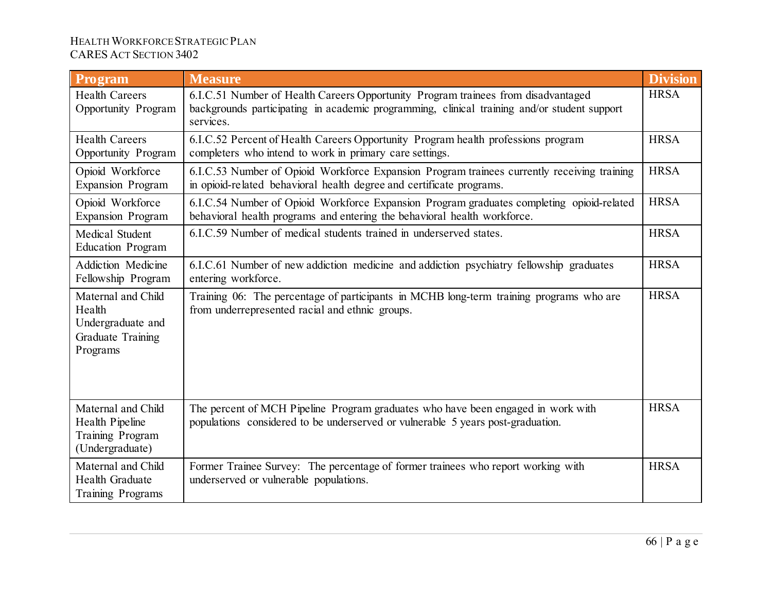| Program                                                                            | <b>Measure</b>                                                                                                                                                                                | <b>Division</b> |
|------------------------------------------------------------------------------------|-----------------------------------------------------------------------------------------------------------------------------------------------------------------------------------------------|-----------------|
| <b>Health Careers</b><br>Opportunity Program                                       | 6.I.C.51 Number of Health Careers Opportunity Program trainees from disadvantaged<br>backgrounds participating in academic programming, clinical training and/or student support<br>services. | <b>HRSA</b>     |
| <b>Health Careers</b><br>Opportunity Program                                       | 6.I.C.52 Percent of Health Careers Opportunity Program health professions program<br>completers who intend to work in primary care settings.                                                  | <b>HRSA</b>     |
| Opioid Workforce<br><b>Expansion Program</b>                                       | 6.I.C.53 Number of Opioid Workforce Expansion Program trainees currently receiving training<br>in opioid-related behavioral health degree and certificate programs.                           | <b>HRSA</b>     |
| Opioid Workforce<br><b>Expansion Program</b>                                       | 6.I.C.54 Number of Opioid Workforce Expansion Program graduates completing opioid-related<br>behavioral health programs and entering the behavioral health workforce.                         | <b>HRSA</b>     |
| Medical Student<br><b>Education Program</b>                                        | 6.I.C.59 Number of medical students trained in underserved states.                                                                                                                            | <b>HRSA</b>     |
| <b>Addiction Medicine</b><br>Fellowship Program                                    | 6.I.C.61 Number of new addiction medicine and addiction psychiatry fellowship graduates<br>entering workforce.                                                                                | <b>HRSA</b>     |
| Maternal and Child<br>Health<br>Undergraduate and<br>Graduate Training<br>Programs | Training 06: The percentage of participants in MCHB long-term training programs who are<br>from underrepresented racial and ethnic groups.                                                    | <b>HRSA</b>     |
| Maternal and Child<br>Health Pipeline<br>Training Program<br>(Undergraduate)       | The percent of MCH Pipeline Program graduates who have been engaged in work with<br>populations considered to be underserved or vulnerable 5 years post-graduation.                           | <b>HRSA</b>     |
| Maternal and Child<br>Health Graduate<br>Training Programs                         | Former Trainee Survey: The percentage of former trainees who report working with<br>underserved or vulnerable populations.                                                                    | <b>HRSA</b>     |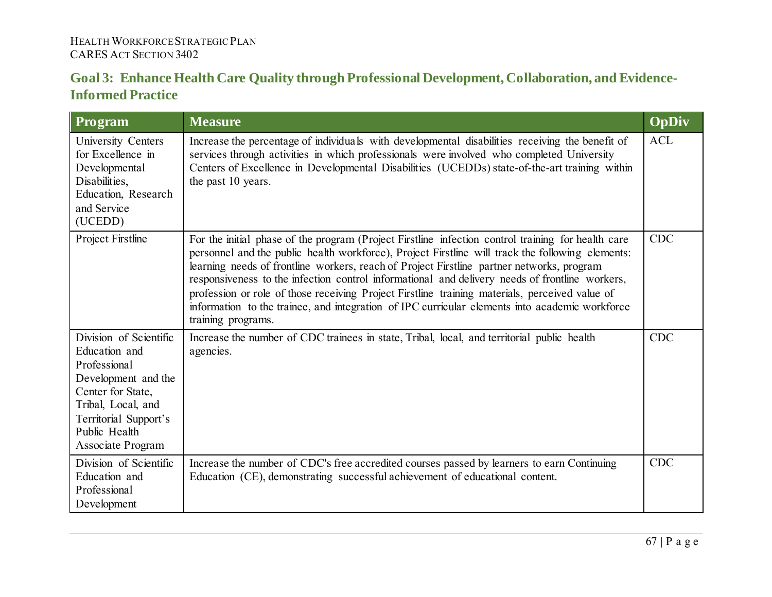## **Goal 3: Enhance Health Care Quality through Professional Development, Collaboration, and Evidence-Informed Practice**

| <b>Program</b>                                                                                                                                                                           | <b>Measure</b>                                                                                                                                                                                                                                                                                                                                                                                                                                                                                                                                                                                                                  | <b>OpDiv</b> |
|------------------------------------------------------------------------------------------------------------------------------------------------------------------------------------------|---------------------------------------------------------------------------------------------------------------------------------------------------------------------------------------------------------------------------------------------------------------------------------------------------------------------------------------------------------------------------------------------------------------------------------------------------------------------------------------------------------------------------------------------------------------------------------------------------------------------------------|--------------|
| University Centers<br>for Excellence in<br>Developmental<br>Disabilities,<br>Education, Research<br>and Service<br>(UCEDD)                                                               | Increase the percentage of individuals with developmental disabilities receiving the benefit of<br>services through activities in which professionals were involved who completed University<br>Centers of Excellence in Developmental Disabilities (UCEDDs) state-of-the-art training within<br>the past 10 years.                                                                                                                                                                                                                                                                                                             | <b>ACL</b>   |
| Project Firstline                                                                                                                                                                        | For the initial phase of the program (Project Firstline infection control training for health care<br>personnel and the public health workforce), Project Firstline will track the following elements:<br>learning needs of frontline workers, reach of Project Firstline partner networks, program<br>responsiveness to the infection control informational and delivery needs of frontline workers,<br>profession or role of those receiving Project Firstline training materials, perceived value of<br>information to the trainee, and integration of IPC curricular elements into academic workforce<br>training programs. | <b>CDC</b>   |
| Division of Scientific<br>Education and<br>Professional<br>Development and the<br>Center for State,<br>Tribal, Local, and<br>Territorial Support's<br>Public Health<br>Associate Program | Increase the number of CDC trainees in state, Tribal, local, and territorial public health<br>agencies.                                                                                                                                                                                                                                                                                                                                                                                                                                                                                                                         | <b>CDC</b>   |
| Division of Scientific<br>Education and<br>Professional<br>Development                                                                                                                   | Increase the number of CDC's free accredited courses passed by learners to earn Continuing<br>Education (CE), demonstrating successful achievement of educational content.                                                                                                                                                                                                                                                                                                                                                                                                                                                      | <b>CDC</b>   |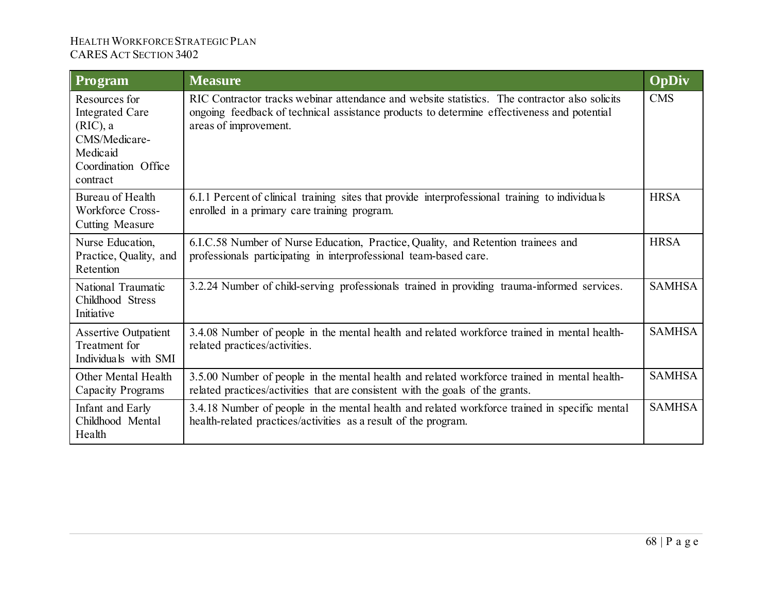| Program                                                                                                                | <b>Measure</b>                                                                                                                                                                                                      | OpDiv         |
|------------------------------------------------------------------------------------------------------------------------|---------------------------------------------------------------------------------------------------------------------------------------------------------------------------------------------------------------------|---------------|
| Resources for<br><b>Integrated Care</b><br>$(RIC)$ , a<br>CMS/Medicare-<br>Medicaid<br>Coordination Office<br>contract | RIC Contractor tracks webmar attendance and website statistics. The contractor also solicits<br>ongoing feedback of technical assistance products to determine effectiveness and potential<br>areas of improvement. | <b>CMS</b>    |
| Bureau of Health<br>Workforce Cross-<br><b>Cutting Measure</b>                                                         | 6.I.1 Percent of clinical training sites that provide interprofessional training to individuals<br>enrolled in a primary care training program.                                                                     | <b>HRSA</b>   |
| Nurse Education,<br>Practice, Quality, and<br>Retention                                                                | 6.I.C.58 Number of Nurse Education, Practice, Quality, and Retention trainees and<br>professionals participating in interprofessional team-based care.                                                              | <b>HRSA</b>   |
| National Traumatic<br>Childhood Stress<br>Initiative                                                                   | 3.2.24 Number of child-serving professionals trained in providing trauma-informed services.                                                                                                                         | <b>SAMHSA</b> |
| <b>Assertive Outpatient</b><br>Treatment for<br>Individuals with SMI                                                   | 3.4.08 Number of people in the mental health and related workforce trained in mental health-<br>related practices/activities.                                                                                       | <b>SAMHSA</b> |
| Other Mental Health<br>Capacity Programs                                                                               | 3.5.00 Number of people in the mental health and related workforce trained in mental health-<br>related practices/activities that are consistent with the goals of the grants.                                      | <b>SAMHSA</b> |
| Infant and Early<br>Childhood Mental<br>Health                                                                         | 3.4.18 Number of people in the mental health and related workforce trained in specific mental<br>health-related practices/activities as a result of the program.                                                    | <b>SAMHSA</b> |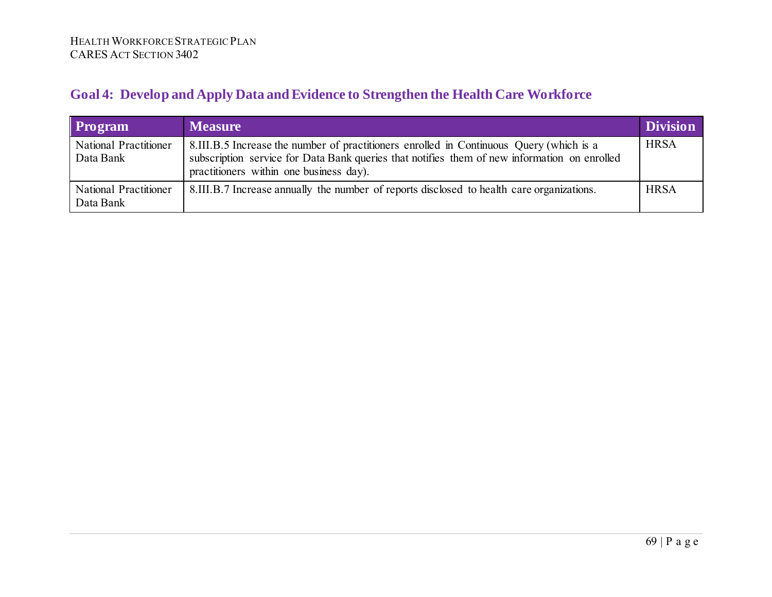# **Goal 4: Develop and Apply Data and Evidence to Strengthen the Health Care Workforce**

| <b>Program</b>                            | <b>Measure</b>                                                                                                                                                                                                                     | <b>Division</b> |
|-------------------------------------------|------------------------------------------------------------------------------------------------------------------------------------------------------------------------------------------------------------------------------------|-----------------|
| <b>National Practitioner</b><br>Data Bank | 8.III.B.5 Increase the number of practitioners enrolled in Continuous Query (which is a<br>subscription service for Data Bank queries that notifies them of new information on enrolled<br>practitioners within one business day). | <b>HRSA</b>     |
| <b>National Practitioner</b><br>Data Bank | 8.III.B.7 Increase annually the number of reports disclosed to health care organizations.                                                                                                                                          | <b>HRSA</b>     |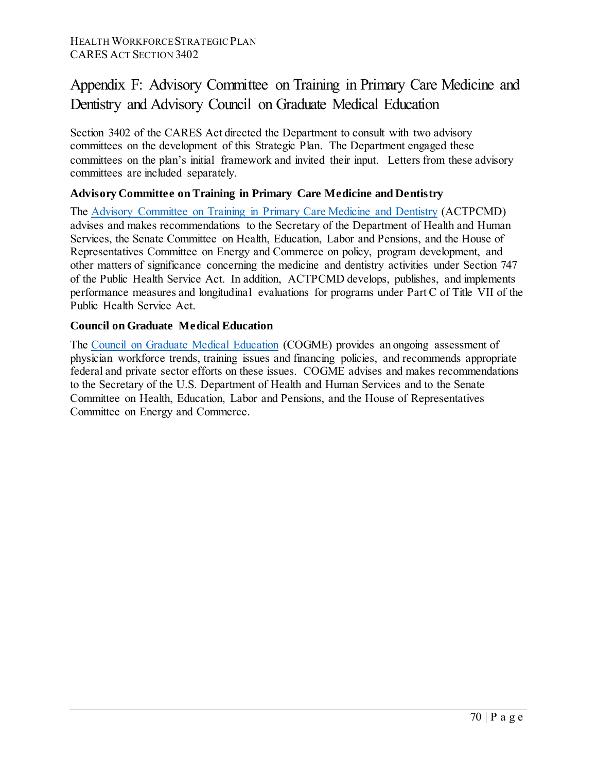# Appendix F: Advisory Committee on Training in Primary Care Medicine and Dentistry and Advisory Council on Graduate Medical Education

Section 3402 of the CARES Act directed the Department to consult with two advisory committees on the development of this Strategic Plan. The Department engaged these committees on the plan's initial framework and invited their input. Letters from these advisory committees are included separately.

### **Advisory Committee on Training in Primary Care Medicine and Dentistry**

The [Advisory Committee on Training in Primary Care Medicine and Dentistry](https://www.hrsa.gov/advisory-committees/primarycare-dentist/index.html) (ACTPCMD) advises and makes recommendations to the Secretary of the Department of Health and Human Services, the Senate Committee on Health, Education, Labor and Pensions, and the House of Representatives Committee on Energy and Commerce on policy, program development, and other matters of significance concerning the medicine and dentistry activities under Section 747 of the Public Health Service Act. In addition, ACTPCMD develops, publishes, and implements performance measures and longitudinal evaluations for programs under Part C of Title VII of the Public Health Service Act.

### **Council on Graduate Medical Education**

The [Council on Graduate Medical Education](https://www.hrsa.gov/advisory-committees/graduate-medical-edu/index.html) (COGME) provides an ongoing assessment of physician workforce trends, training issues and financing policies, and recommends appropriate federal and private sector efforts on these issues. COGME advises and makes recommendations to the Secretary of the U.S. Department of Health and Human Services and to the Senate Committee on Health, Education, Labor and Pensions, and the House of Representatives Committee on Energy and Commerce.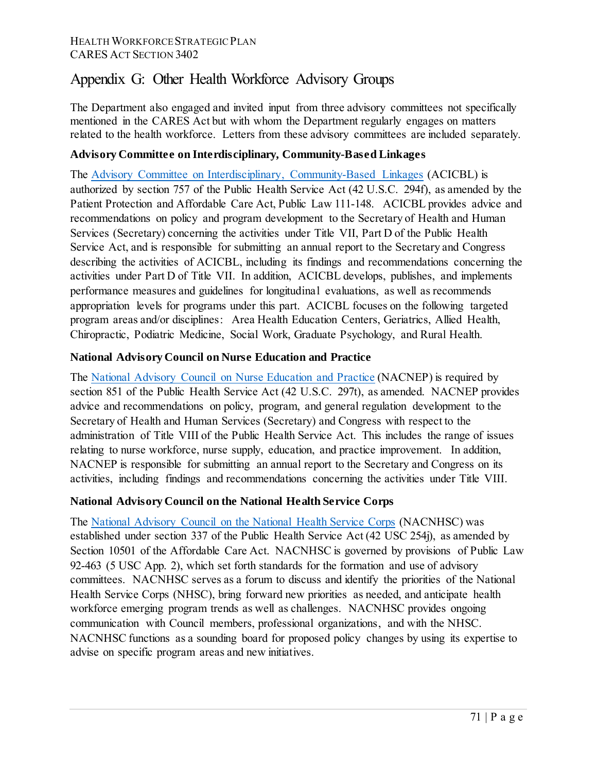## Appendix G: Other Health Workforce Advisory Groups

The Department also engaged and invited input from three advisory committees not specifically mentioned in the CARES Act but with whom the Department regularly engages on matters related to the health workforce. Letters from these advisory committees are included separately.

### **Advisory Committee [on Interdisciplinary, Community-Based Linkages](https://www.hrsa.gov/advisory-committees/interdisciplinary-community-linkages/index.htmlv)**

The Advisory Committee on Interdisciplinary, [Community-Based](https://www.hrsa.gov/advisory-committees/interdisciplinary-community-linkages/index.html) Linkages (ACICBL) is authorized by section 757 of the Public Health Service Act (42 U.S.C. 294f), as amended by the Patient Protection and Affordable Care Act, Public Law 111-148. ACICBL provides advice and recommendations on policy and program development to the Secretary of Health and Human Services (Secretary) concerning the activities under Title VII, Part D of the Public Health Service Act, and is responsible for submitting an annual report to the Secretary and Congress describing the activities of ACICBL, including its findings and recommendations concerning the activities under Part D of Title VII. In addition, ACICBL develops, publishes, and implements performance measures and guidelines for longitudinal evaluations, as well as recommends appropriation levels for programs under this part. ACICBL focuses on the following targeted program areas and/or disciplines: Area Health Education Centers, Geriatrics, Allied Health, Chiropractic, Podiatric Medicine, Social Work, Graduate Psychology, and Rural Health.

### **[National Advisory Council on Nurse Education and Practice](https://www.hrsa.gov/advisory-committees/nursing/index.html)**

The National Advisory Council on Nurse [Education](https://www.hrsa.gov/advisory-committees/nursing/index.html) and Practice (NACNEP) is required by section 851 of the Public Health Service Act (42 U.S.C. 297t), as amended. NACNEP provides advice and recommendations on policy, program, and general regulation development to the Secretary of Health and Human Services (Secretary) and Congress with respect to the administration of Title VIII of the Public Health Service Act. This includes the range of issues relating to nurse workforce, nurse supply, education, and practice improvement. In addition, NACNEP is responsible for submitting an annual report to the Secretary and Congress on its activities, including findings and recommendations concerning the activities under Title VIII.

### **[National Advisory Council on the National Health Service Corps](https://nhsc.hrsa.gov/about/national-advisory-council-nhsc/index.html)**

The National [Advisory](https://nhsc.hrsa.gov/about/national-advisory-council-nhsc/index.html) Council on the National Health Service Corps (NACNHSC) was established under section 337 of the Public Health Service Act (42 USC 254j), as amended by Section 10501 of the Affordable Care Act. NACNHSC is governed by provisions of Public Law 92-463 (5 USC App. 2), which set forth standards for the formation and use of advisory committees. NACNHSC serves as a forum to discuss and identify the priorities of the National Health Service Corps (NHSC), bring forward new priorities as needed, and anticipate health workforce emerging program trends as well as challenges. NACNHSC provides ongoing communication with Council members, professional organizations, and with the NHSC. NACNHSC functions as a sounding board for proposed policy changes by using its expertise to advise on specific program areas and new initiatives.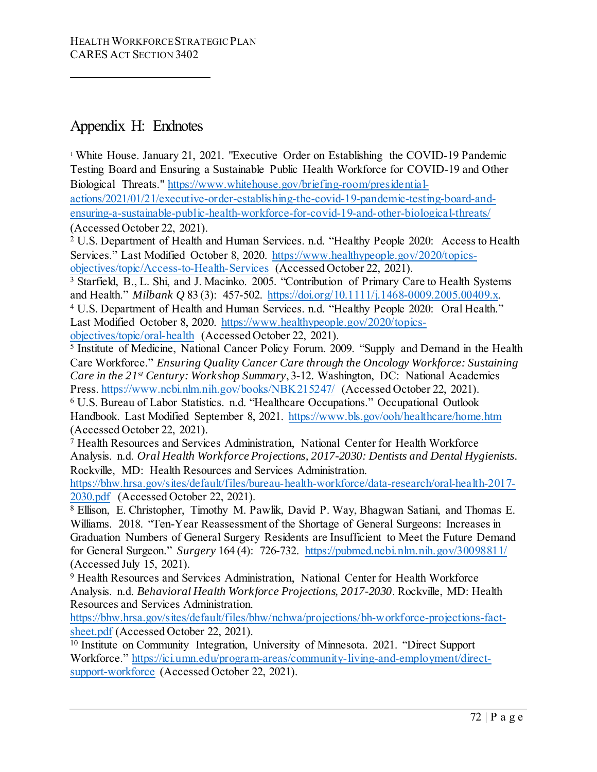### Appendix H: Endnotes

<sup>1</sup> White House. January 21, 2021. "Executive Order on Establishing the COVID-19 Pandemic Testing Board and Ensuring a Sustainable Public Health Workforce for COVID-19 and Other Biological Threats." [https://www.whitehouse.gov/briefing-room/presidential](https://www.whitehouse.gov/briefing-room/presidential-actions/2021/01/21/executive-order-establishing-the-covid-19-pandemic-testing-board-and-ensuring-a-sustainable-public-health-workforce-for-covid-19-and-other-biological-threats/)[actions/2021/01/21/executive-order-establishing-the-covid-19-pandemic-testing-board-and](https://www.whitehouse.gov/briefing-room/presidential-actions/2021/01/21/executive-order-establishing-the-covid-19-pandemic-testing-board-and-ensuring-a-sustainable-public-health-workforce-for-covid-19-and-other-biological-threats/)[ensuring-a-sustainable-public-health-workforce-for-covid-19-and-other-biological-threats/](https://www.whitehouse.gov/briefing-room/presidential-actions/2021/01/21/executive-order-establishing-the-covid-19-pandemic-testing-board-and-ensuring-a-sustainable-public-health-workforce-for-covid-19-and-other-biological-threats/) (Accessed October 22, 2021).

<sup>2</sup> U.S. Department of Health and Human Services. n.d. "Healthy People 2020: Access to Health Services." Last Modified October 8, 2020. [https://www.healthypeople.gov/2020/topics](https://www.healthypeople.gov/2020/topics-objectives/topic/Access-to-Health-Services)[objectives/topic/Access-to-Health-Services](https://www.healthypeople.gov/2020/topics-objectives/topic/Access-to-Health-Services) (Accessed October 22, 2021).

<sup>3</sup> Starfield, B., L. Shi, and J. Macinko. 2005. "Contribution of Primary Care to Health Systems and Health." *Milbank Q* 83 (3): 457-502. [https://doi.org/10.1111/j.1468-0009.2005.00409.x.](https://doi.org/10.1111/j.1468-0009.2005.00409.x) 4 U.S. Department of Health and Human Services. n.d. "Healthy People 2020: Oral Health."

Last Modified October 8, 2020. [https://www.healthypeople.gov/2020/topics-](https://www.healthypeople.gov/2020/topics-objectives/topic/oral-health)

[objectives/topic/oral-health](https://www.healthypeople.gov/2020/topics-objectives/topic/oral-health) (Accessed October 22, 2021).

<sup>5</sup> Institute of Medicine, National Cancer Policy Forum. 2009. "Supply and Demand in the Health Care Workforce." *Ensuring Quality Cancer Care through the Oncology Workforce: Sustaining Care in the 21st Century: Workshop Summary*, 3-12. Washington, DC: National Academies Press[. https://www.ncbi.nlm.nih.gov/books/NBK215247/](https://www.ncbi.nlm.nih.gov/books/NBK215247/) (Accessed October 22, 2021).

<sup>6</sup> U.S. Bureau of Labor Statistics. n.d. "Healthcare Occupations." Occupational Outlook Handbook. Last Modified September 8, 2021.<https://www.bls.gov/ooh/healthcare/home.htm> (Accessed October 22, 2021).

<sup>7</sup> Health Resources and Services Administration, National Center for Health Workforce Analysis. n.d. *Oral Health Workforce Projections, 2017-2030: Dentists and Dental Hygienists.*  Rockville, MD: Health Resources and Services Administration.

[https://bhw.hrsa.gov/sites/default/files/bureau-health-workforce/data-research/oral-health-2017-](https://bhw.hrsa.gov/sites/default/files/bureau-health-workforce/data-research/oral-health-2017-2030.pdf) [2030.pdf](https://bhw.hrsa.gov/sites/default/files/bureau-health-workforce/data-research/oral-health-2017-2030.pdf) (Accessed October 22, 2021).

<sup>8</sup> Ellison, E. Christopher, Timothy M. Pawlik, David P. Way, Bhagwan Satiani, and Thomas E. Williams. 2018. "Ten-Year Reassessment of the Shortage of General Surgeons: Increases in Graduation Numbers of General Surgery Residents are Insufficient to Meet the Future Demand for General Surgeon." *Surgery* 164 (4): 726-732.<https://pubmed.ncbi.nlm.nih.gov/30098811/> (Accessed July 15, 2021).

<sup>9</sup> Health Resources and Services Administration, National Center for Health Workforce Analysis. n.d. *Behavioral Health Workforce Projections, 2017-2030*. Rockville, MD: Health Resources and Services Administration.

[https://bhw.hrsa.gov/sites/default/files/bhw/nchwa/projections/bh-workforce-projections-fact](https://bhw.hrsa.gov/sites/default/files/bhw/nchwa/projections/bh-workforce-projections-fact-sheet.pdf)[sheet.pdf](https://bhw.hrsa.gov/sites/default/files/bhw/nchwa/projections/bh-workforce-projections-fact-sheet.pdf) (Accessed October 22, 2021).

<sup>10</sup> Institute on Community Integration, University of Minnesota. 2021. "Direct Support Workforce." [https://ici.umn.edu/program-areas/community-living-and-employment/direct](https://ici.umn.edu/program-areas/community-living-and-employment/direct-support-workforce)[support-workforce](https://ici.umn.edu/program-areas/community-living-and-employment/direct-support-workforce) (Accessed October 22, 2021).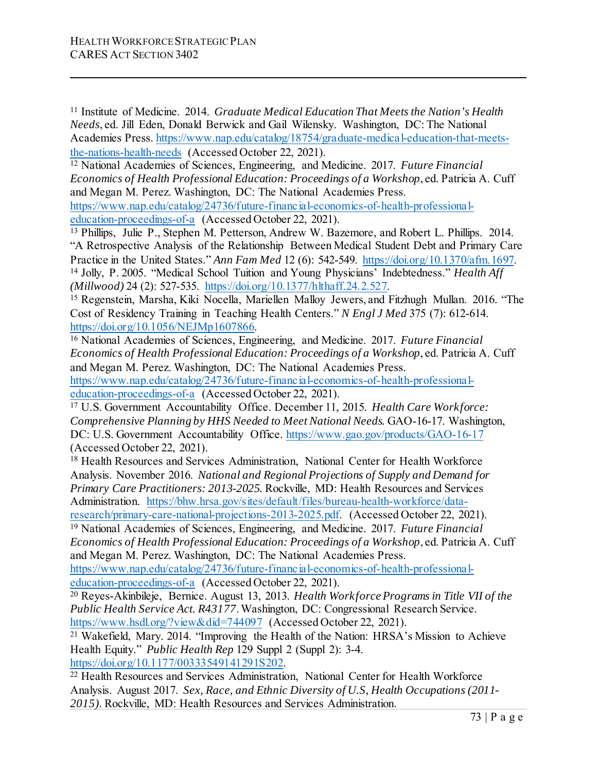<sup>11</sup> Institute of Medicine. 2014. *Graduate Medical Education That Meets the Nation's Health Needs*, ed. Jill Eden, Donald Berwick and Gail Wilensky. Washington, DC: The National Academies Press[. https://www.nap.edu/catalog/18754/graduate-medical-education-that-meets](https://www.nap.edu/catalog/18754/graduate-medical-education-that-meets-the-nations-health-needs)[the-nations-health-needs](https://www.nap.edu/catalog/18754/graduate-medical-education-that-meets-the-nations-health-needs) (Accessed October 22, 2021).

<sup>12</sup> National Academies of Sciences, Engineering, and Medicine. 2017. *Future Financial Economics of Health Professional Education: Proceedings of a Workshop*, ed. Patricia A. Cuff and Megan M. Perez. Washington, DC: The National Academies Press.

[https://www.nap.edu/catalog/24736/future-financial-economics-of-health-professional](https://www.nap.edu/catalog/24736/future-financial-economics-of-health-professional-education-proceedings-of-a)[education-proceedings-of-a](https://www.nap.edu/catalog/24736/future-financial-economics-of-health-professional-education-proceedings-of-a) (Accessed October 22, 2021).

<sup>13</sup> Phillips, Julie P., Stephen M. Petterson, Andrew W. Bazemore, and Robert L. Phillips. 2014. "A Retrospective Analysis of the Relationship Between Medical Student Debt and Primary Care Practice in the United States." *Ann Fam Med* 12 (6): 542-549. https://doi.org/10.1370/afm.1697.<br><sup>14</sup> Jolly, P. 2005. "Medical School Tuition and Young Physicians' Indebtedness." *Health Aff (Millwood)* 24 (2): 527-535. https://doi.org/10.1377/hlthaff.24.2.527.<br><sup>15</sup> Regenstein, Marsha, Kiki Nocella, Mariellen Malloy Jewers, and Fitzhugh Mullan. 2016. "The

Cost of Residency Training in Teaching Health Centers." *N Engl J Med* 375 (7): 612-614. [https://doi.org/10.1056/NEJMp1607866.](https://doi.org/10.1056/NEJMp1607866) 16 National Academies of Sciences, Engineering, and Medicine. 2017. *Future Financial* 

*Economics of Health Professional Education: Proceedings of a Workshop*, ed. Patricia A. Cuff and Megan M. Perez. Washington, DC: The National Academies Press. [https://www.nap.edu/catalog/24736/future-financial-economics-of-health-professional](https://www.nap.edu/catalog/24736/future-financial-economics-of-health-professional-education-proceedings-of-a)[education-proceedings-of-a](https://www.nap.edu/catalog/24736/future-financial-economics-of-health-professional-education-proceedings-of-a) (Accessed October 22, 2021).

<sup>17</sup> U.S. Government Accountability Office. December 11, 2015. *Health Care Workforce: Comprehensive Planning by HHS Needed to Meet National Needs.* GAO-16-17. Washington, DC: U.S. Government Accountability Office.<https://www.gao.gov/products/GAO-16-17> (Accessed October 22, 2021).

<sup>18</sup> Health Resources and Services Administration, National Center for Health Workforce Analysis. November 2016. *National and Regional Projections of Supply and Demand for Primary Care Practitioners: 2013-2025.* Rockville, MD: Health Resources and Services Administration. [https://bhw.hrsa.gov/sites/default/files/bureau-health-workforce/data-](https://bhw.hrsa.gov/sites/default/files/bureau-health-workforce/data-research/primary-care-national-projections-2013-2025.pdf)

[research/primary-care-national-projections-2013-2025.pdf.](https://bhw.hrsa.gov/sites/default/files/bureau-health-workforce/data-research/primary-care-national-projections-2013-2025.pdf) (Accessed October 22, 2021). <sup>19</sup> National Academies of Sciences, Engineering, and Medicine. 2017. *Future Financial* 

*Economics of Health Professional Education: Proceedings of a Workshop*, ed. Patricia A. Cuff and Megan M. Perez. Washington, DC: The National Academies Press.

[https://www.nap.edu/catalog/24736/future-financial-economics-of-health-professional](https://www.nap.edu/catalog/24736/future-financial-economics-of-health-professional-education-proceedings-of-a)[education-proceedings-of-a](https://www.nap.edu/catalog/24736/future-financial-economics-of-health-professional-education-proceedings-of-a) (Accessed October 22, 2021).

<sup>20</sup> Reyes-Akinbileje, Bernice. August 13, 2013. *Health Workforce Programs in Title VII of the Public Health Service Act. R43177*. Washington, DC: Congressional Research Service. <https://www.hsdl.org/?view&did=744097> (Accessed October 22, 2021).

<sup>21</sup> Wakefield, Mary. 2014. "Improving the Health of the Nation: HRSA's Mission to Achieve Health Equity." *Public Health Rep* 129 Suppl 2 (Suppl 2): 3-4.

https://doi.org/10.1177/00333549141291S202.<br><sup>22</sup> Health Resources and Services Administration, National Center for Health Workforce Analysis. August 2017. *Sex, Race, and Ethnic Diversity of U.S, Health Occupations (2011- 2015)*. Rockville, MD: Health Resources and Services Administration.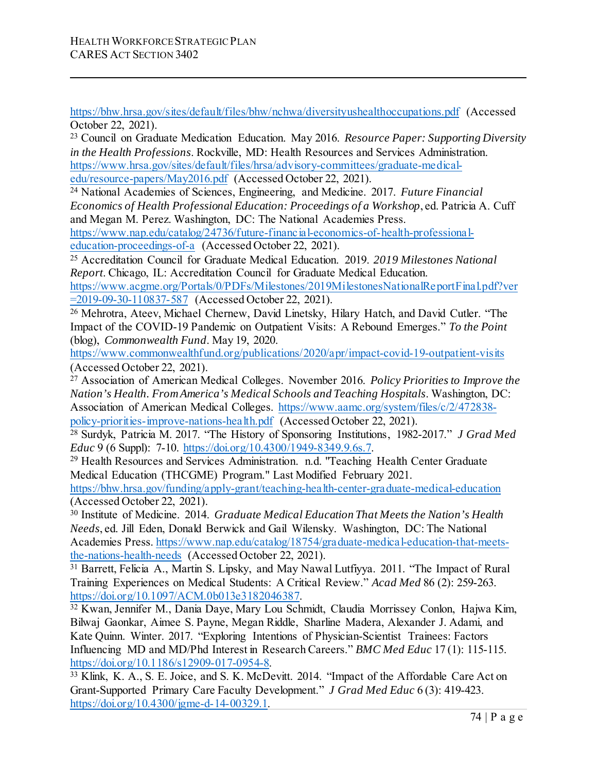<https://bhw.hrsa.gov/sites/default/files/bhw/nchwa/diversityushealthoccupations.pdf> (Accessed October 22, 2021).

<sup>23</sup> Council on Graduate Medication Education. May 2016. *Resource Paper: Supporting Diversity in the Health Professions*. Rockville, MD: Health Resources and Services Administration. [https://www.hrsa.gov/sites/default/files/hrsa/advisory-committees/graduate-medical](https://www.hrsa.gov/sites/default/files/hrsa/advisory-committees/graduate-medical-edu/resource-papers/May2016.pdf)[edu/resource-papers/May2016.pdf](https://www.hrsa.gov/sites/default/files/hrsa/advisory-committees/graduate-medical-edu/resource-papers/May2016.pdf) (Accessed October 22, 2021).

<sup>24</sup> National Academies of Sciences, Engineering, and Medicine. 2017. *Future Financial Economics of Health Professional Education: Proceedings of a Workshop*, ed. Patricia A. Cuff and Megan M. Perez. Washington, DC: The National Academies Press.

[https://www.nap.edu/catalog/24736/future-financial-economics-of-health-professional](https://www.nap.edu/catalog/24736/future-financial-economics-of-health-professional-education-proceedings-of-a)[education-proceedings-of-a](https://www.nap.edu/catalog/24736/future-financial-economics-of-health-professional-education-proceedings-of-a) (Accessed October 22, 2021).

<sup>25</sup> Accreditation Council for Graduate Medical Education. 2019. *2019 Milestones National Report*. Chicago, IL: Accreditation Council for Graduate Medical Education.

[https://www.acgme.org/Portals/0/PDFs/Milestones/2019MilestonesNationalReportFinal.pdf?ver](https://www.acgme.org/Portals/0/PDFs/Milestones/2019MilestonesNationalReportFinal.pdf?ver=2019-09-30-110837-587) [=2019-09-30-110837-587](https://www.acgme.org/Portals/0/PDFs/Milestones/2019MilestonesNationalReportFinal.pdf?ver=2019-09-30-110837-587) (Accessed October 22, 2021).

<sup>26</sup> Mehrotra, Ateev, Michael Chernew, David Linetsky, Hilary Hatch, and David Cutler. "The Impact of the COVID-19 Pandemic on Outpatient Visits: A Rebound Emerges." *To the Point* (blog), *Commonwealth Fund*. May 19, 2020.

<https://www.commonwealthfund.org/publications/2020/apr/impact-covid-19-outpatient-visits> (Accessed October 22, 2021).

<sup>27</sup> Association of American Medical Colleges. November 2016. *Policy Priorities to Improve the Nation's Health. From America's Medical Schools and Teaching Hospitals*. Washington, DC: Association of American Medical Colleges. [https://www.aamc.org/system/files/c/2/472838](https://www.aamc.org/system/files/c/2/472838-policy-priorities-improve-nations-health.pdf) [policy-priorities-improve-nations-health.pdf](https://www.aamc.org/system/files/c/2/472838-policy-priorities-improve-nations-health.pdf) (Accessed October 22, 2021).

<sup>28</sup> Surdyk, Patricia M. 2017. "The History of Sponsoring Institutions, 1982-2017." *J Grad Med Educ* 9 (6 Suppl): 7-10. https://doi.org/10.4300/1949-8349.9.6s.7.

<sup>29</sup> Health Resources and Services Administration. n.d. "Teaching Health Center Graduate Medical Education (THCGME) Program." Last Modified February 2021.

<https://bhw.hrsa.gov/funding/apply-grant/teaching-health-center-graduate-medical-education> (Accessed October 22, 2021).

<sup>30</sup> Institute of Medicine. 2014. *Graduate Medical Education That Meets the Nation's Health Needs*, ed. Jill Eden, Donald Berwick and Gail Wilensky. Washington, DC: The National Academies Press[. https://www.nap.edu/catalog/18754/graduate-medical-education-that-meets](https://www.nap.edu/catalog/18754/graduate-medical-education-that-meets-the-nations-health-needs)[the-nations-health-needs](https://www.nap.edu/catalog/18754/graduate-medical-education-that-meets-the-nations-health-needs) (Accessed October 22, 2021).

<sup>31</sup> Barrett, Felicia A., Martin S. Lipsky, and May Nawal Lutfiyya. 2011. "The Impact of Rural Training Experiences on Medical Students: A Critical Review." *Acad Med* 86 (2): 259-263. [https://doi.org/10.1097/ACM.0b013e3182046387.](https://doi.org/10.1097/ACM.0b013e3182046387) 32 Kwan, Jennifer M., Dania Daye, Mary Lou Schmidt, Claudia Morrissey Conlon, Hajwa Kim,

Bilwaj Gaonkar, Aimee S. Payne, Megan Riddle, Sharline Madera, Alexander J. Adami, and Kate Quinn. Winter. 2017. "Exploring Intentions of Physician-Scientist Trainees: Factors Influencing MD and MD/Phd Interest in Research Careers." *BMC Med Educ* 17 (1): 115-115.

https://doi.org/10.1186/s12909-017-0954-8.<br><sup>33</sup> Klink, K. A., S. E. Joice, and S. K. McDevitt. 2014. "Impact of the Affordable Care Act on Grant-Supported Primary Care Faculty Development." *J Grad Med Educ* 6 (3): 419-423. [https://doi.org/10.4300/jgme-d-14-00329.1.](https://doi.org/10.4300/jgme-d-14-00329.1)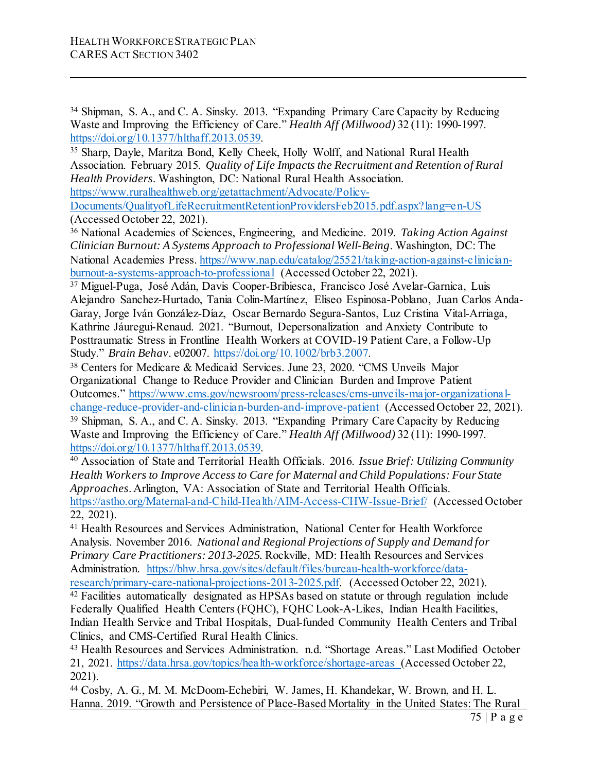<sup>34</sup> Shipman, S. A., and C. A. Sinsky. 2013. "Expanding Primary Care Capacity by Reducing Waste and Improving the Efficiency of Care." *Health Aff (Millwood)* 32 (11): 1990-1997.

https://doi.org/10.1377/hlthaff.2013.0539.<br><sup>35</sup> Sharp, Dayle, Maritza Bond, Kelly Cheek, Holly Wolff, and National Rural Health Association. February 2015. *Quality of Life Impacts the Recruitment and Retention of Rural Health Providers*. Washington, DC: National Rural Health Association.

[https://www.ruralhealthweb.org/getattachment/Advocate/Policy-](https://www.ruralhealthweb.org/getattachment/Advocate/Policy-Documents/QualityofLifeRecruitmentRetentionProvidersFeb2015.pdf.aspx?lang=en-US)

[Documents/QualityofLifeRecruitmentRetentionProvidersFeb2015.pdf.aspx?lang=en-US](https://www.ruralhealthweb.org/getattachment/Advocate/Policy-Documents/QualityofLifeRecruitmentRetentionProvidersFeb2015.pdf.aspx?lang=en-US) (Accessed October 22, 2021).

<sup>36</sup> National Academies of Sciences, Engineering, and Medicine. 2019. *Taking Action Against Clinician Burnout: A Systems Approach to Professional Well-Being*. Washington, DC: The National Academies Press[. https://www.nap.edu/catalog/25521/taking-action-against-clinician](https://www.nap.edu/catalog/25521/taking-action-against-clinician-burnout-a-systems-approach-to-professional)[burnout-a-systems-approach-to-professional](https://www.nap.edu/catalog/25521/taking-action-against-clinician-burnout-a-systems-approach-to-professional) (Accessed October 22, 2021).

<sup>37</sup> Miguel-Puga, José Adán, Davis Cooper-Bribiesca, Francisco José Avelar-Garnica, Luis Alejandro Sanchez-Hurtado, Tania Colin-Martínez, Eliseo Espinosa-Poblano, Juan Carlos Anda-Garay, Jorge Iván González-Díaz, Oscar Bernardo Segura-Santos, Luz Cristina Vital-Arriaga, Kathrine Jáuregui-Renaud. 2021. "Burnout, Depersonalization and Anxiety Contribute to Posttraumatic Stress in Frontline Health Workers at COVID‐19 Patient Care, a Follow‐Up Study." *Brain Behav*. e02007. [https://doi.org/10.1002/brb3.2007.](https://doi.org/10.1002/brb3.2007) 38 Centers for Medicare & Medicaid Services. June 23, 2020. "CMS Unveils Major

Organizational Change to Reduce Provider and Clinician Burden and Improve Patient Outcomes." [https://www.cms.gov/newsroom/press-releases/cms-unveils-major-organizational](https://www.cms.gov/newsroom/press-releases/cms-unveils-major-organizational-change-reduce-provider-and-clinician-burden-and-improve-patient)[change-reduce-provider-and-clinician-burden-and-improve-patient](https://www.cms.gov/newsroom/press-releases/cms-unveils-major-organizational-change-reduce-provider-and-clinician-burden-and-improve-patient) (Accessed October 22, 2021). <sup>39</sup> Shipman, S. A., and C. A. Sinsky. 2013. "Expanding Primary Care Capacity by Reducing Waste and Improving the Efficiency of Care." *Health Aff (Millwood)* 32 (11): 1990-1997.<br>https://doi.org/10.1377/hlthaff.2013.0539.

<sup>40</sup> Association of State and Territorial Health Officials. 2016. *Issue Brief: Utilizing Community Health Workers to Improve Access to Care for Maternal and Child Populations: Four State Approaches*. Arlington, VA: Association of State and Territorial Health Officials. <https://astho.org/Maternal-and-Child-Health/AIM-Access-CHW-Issue-Brief/> (Accessed October 22, 2021).

<sup>41</sup> Health Resources and Services Administration, National Center for Health Workforce Analysis. November 2016. *National and Regional Projections of Supply and Demand for Primary Care Practitioners: 2013-2025.* Rockville, MD: Health Resources and Services Administration. [https://bhw.hrsa.gov/sites/default/files/bureau-health-workforce/data](https://bhw.hrsa.gov/sites/default/files/bureau-health-workforce/data-research/primary-care-national-projections-2013-2025.pdf)[research/primary-care-national-projections-2013-2025.pdf.](https://bhw.hrsa.gov/sites/default/files/bureau-health-workforce/data-research/primary-care-national-projections-2013-2025.pdf) (Accessed October 22, 2021).

<sup>42</sup> Facilities automatically designated as HPSAs based on statute or through regulation include Federally Qualified Health Centers (FQHC), FQHC Look-A-Likes, Indian Health Facilities, Indian Health Service and Tribal Hospitals, Dual-funded Community Health Centers and Tribal Clinics, and CMS-Certified Rural Health Clinics.

<sup>43</sup> Health Resources and Services Administration. n.d. "Shortage Areas." Last Modified October 21, 2021.<https://data.hrsa.gov/topics/health-workforce/shortage-areas> (Accessed October 22, 2021).

<sup>44</sup> Cosby, A. G., M. M. McDoom-Echebiri, W. James, H. Khandekar, W. Brown, and H. L. Hanna. 2019. "Growth and Persistence of Place-Based Mortality in the United States: The Rural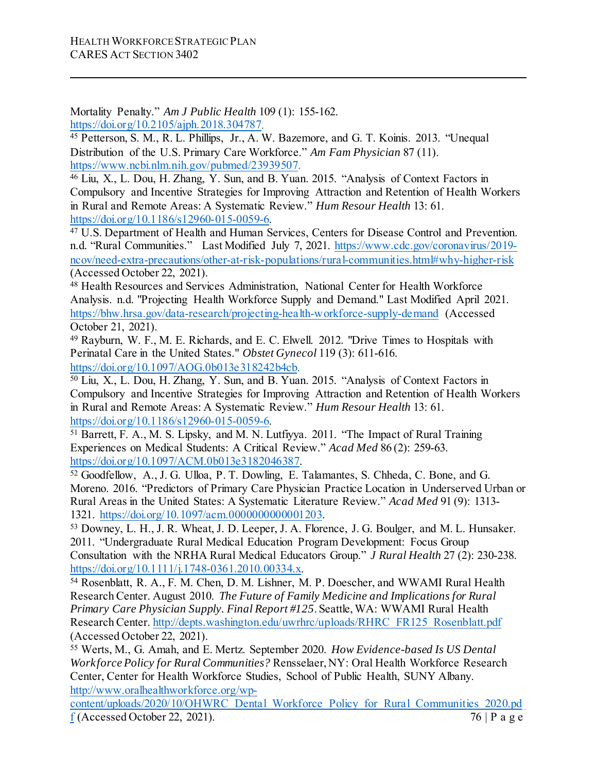Mortality Penalty." *Am J Public Health* 109 (1): 155-162.

[https://doi.org/10.2105/ajph.2018.304787.](https://doi.org/10.2105/ajph.2018.304787)

<sup>45</sup> Petterson, S. M., R. L. Phillips, Jr., A. W. Bazemore, and G. T. Koinis. 2013. "Unequal Distribution of the U.S. Primary Care Workforce." *Am Fam Physician* 87 (11). [https://www.ncbi.nlm.nih.gov/pubmed/23939507.](https://www.ncbi.nlm.nih.gov/pubmed/23939507)

<sup>46</sup> Liu, X., L. Dou, H. Zhang, Y. Sun, and B. Yuan. 2015. "Analysis of Context Factors in Compulsory and Incentive Strategies for Improving Attraction and Retention of Health Workers in Rural and Remote Areas: A Systematic Review." *Hum Resour Health* 13: 61. [https://doi.org/10.1186/s12960-015-0059-6.](https://doi.org/10.1186/s12960-015-0059-6) 47 U.S. Department of Health and Human Services, Centers for Disease Control and Prevention.

n.d. "Rural Communities." Last Modified July 7, 2021. [https://www.cdc.gov/coronavirus/2019](https://www.cdc.gov/coronavirus/2019-ncov/need-extra-precautions/other-at-risk-populations/rural-communities.html#why-higher-risk) [ncov/need-extra-precautions/other-at-risk-populations/rural-communities.html#why-higher-risk](https://www.cdc.gov/coronavirus/2019-ncov/need-extra-precautions/other-at-risk-populations/rural-communities.html#why-higher-risk) (Accessed October 22, 2021).

<sup>48</sup> Health Resources and Services Administration, National Center for Health Workforce Analysis. n.d. "Projecting Health Workforce Supply and Demand." Last Modified April 2021. <https://bhw.hrsa.gov/data-research/projecting-health-workforce-supply-demand> (Accessed October 21, 2021).

<sup>49</sup> Rayburn, W. F., M. E. Richards, and E. C. Elwell. 2012. "Drive Times to Hospitals with Perinatal Care in the United States." *Obstet Gynecol* 119 (3): 611-616. [https://doi.org/10.1097/AOG.0b013e318242b4cb.](https://doi.org/10.1097/AOG.0b013e318242b4cb)

<sup>50</sup> Liu, X., L. Dou, H. Zhang, Y. Sun, and B. Yuan. 2015. "Analysis of Context Factors in Compulsory and Incentive Strategies for Improving Attraction and Retention of Health Workers in Rural and Remote Areas: A Systematic Review." *Hum Resour Health* 13: 61.

[https://doi.org/10.1186/s12960-015-0059-6.](https://doi.org/10.1186/s12960-015-0059-6) 51 Barrett, F. A., M. S. Lipsky, and M. N. Lutfiyya. 2011. "The Impact of Rural Training Experiences on Medical Students: A Critical Review." *Acad Med* 86 (2): 259-63. https://doi.org/10.1097/ACM.0b013e3182046387.<br><sup>52</sup> Goodfellow, A., J. G. Ulloa, P. T. Dowling, E. Talamantes, S. Chheda, C. Bone, and G.

Moreno. 2016. "Predictors of Primary Care Physician Practice Location in Underserved Urban or Rural Areas in the United States: A Systematic Literature Review." *Acad Med* 91 (9): 1313- 1321. https://doi.org/10.1097/acm.000000000001203.<br><sup>53</sup> Downey, L. H., J. R. Wheat, J. D. Leeper, J. A. Florence, J. G. Boulger, and M. L. Hunsaker.

2011. "Undergraduate Rural Medical Education Program Development: Focus Group Consultation with the NRHA Rural Medical Educators Group." *J Rural Health* 27 (2): 230-238. [https://doi.org/10.1111/j.1748-0361.2010.00334.x.](https://doi.org/10.1111/j.1748-0361.2010.00334.x) 54 Rosenblatt, R. A., F. M. Chen, D. M. Lishner, M. P. Doescher, and WWAMI Rural Health

Research Center. August 2010. *The Future of Family Medicine and Implications for Rural Primary Care Physician Supply. Final Report #125*. Seattle, WA: WWAMI Rural Health Research Center. [http://depts.washington.edu/uwrhrc/uploads/RHRC\\_FR125\\_Rosenblatt.pdf](http://depts.washington.edu/uwrhrc/uploads/RHRC_FR125_Rosenblatt.pdf) (Accessed October 22, 2021).

<sup>55</sup> Werts, M., G. Amah, and E. Mertz. September 2020. *How Evidence-based Is US Dental Workforce Policy for Rural Communities?* Rensselaer, NY: Oral Health Workforce Research Center, Center for Health Workforce Studies, School of Public Health, SUNY Albany. [http://www.oralhealthworkforce.org/wp-](http://www.oralhealthworkforce.org/wp-content/uploads/2020/10/OHWRC_Dental_Workforce_Policy_for_Rural_Communities_2020.pdf)

 $76$  | P a g e [content/uploads/2020/10/OHWRC\\_Dental\\_Workforce\\_Policy\\_for\\_Rural\\_Communities\\_2020.pd](http://www.oralhealthworkforce.org/wp-content/uploads/2020/10/OHWRC_Dental_Workforce_Policy_for_Rural_Communities_2020.pdf) [f](http://www.oralhealthworkforce.org/wp-content/uploads/2020/10/OHWRC_Dental_Workforce_Policy_for_Rural_Communities_2020.pdf) (Accessed October 22, 2021).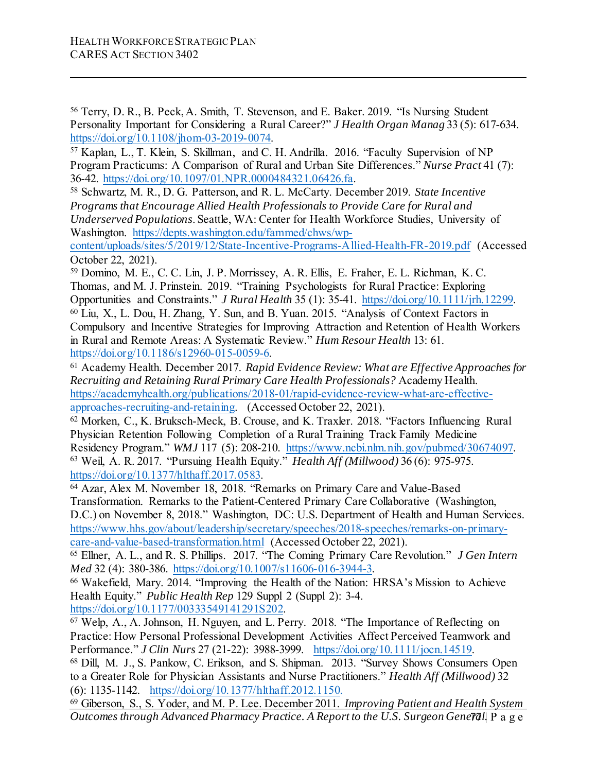<sup>56</sup> Terry, D. R., B. Peck, A. Smith, T. Stevenson, and E. Baker. 2019. "Is Nursing Student Personality Important for Considering a Rural Career?" *J Health Organ Manag* 33 (5): 617-634. https://doi.org/10.1108/jhom-03-2019-0074.<br><sup>57</sup> Kaplan, L., T. Klein, S. Skillman, and C. H. Andrilla. 2016. "Faculty Supervision of NP

Program Practicums: A Comparison of Rural and Urban Site Differences." *Nurse Pract* 41 (7): 36-42. [https://doi.org/10.1097/01.NPR.0000484321.06426.fa.](https://doi.org/10.1097/01.NPR.0000484321.06426.fa)

<sup>58</sup> Schwartz, M. R., D. G. Patterson, and R. L. McCarty. December 2019. *State Incentive Programs that Encourage Allied Health Professionals to Provide Care for Rural and Underserved Populations*. Seattle, WA: Center for Health Workforce Studies, University of Washington. [https://depts.washington.edu/fammed/chws/wp-](https://depts.washington.edu/fammed/chws/wp-content/uploads/sites/5/2019/12/State-Incentive-Programs-Allied-Health-FR-2019.pdf)

[content/uploads/sites/5/2019/12/State-Incentive-Programs-Allied-Health-FR-2019.pdf](https://depts.washington.edu/fammed/chws/wp-content/uploads/sites/5/2019/12/State-Incentive-Programs-Allied-Health-FR-2019.pdf) (Accessed October 22, 2021).

<sup>59</sup> Domino, M. E., C. C. Lin, J. P. Morrissey, A. R. Ellis, E. Fraher, E. L. Richman, K. C. Thomas, and M. J. Prinstein. 2019. "Training Psychologists for Rural Practice: Exploring Opportunities and Constraints." *J Rural Health* 35 (1): 35-41. https://doi.org/10.1111/jrh.12299.<br><sup>60</sup> Liu, X., L. Dou, H. Zhang, Y. Sun, and B. Yuan. 2015. "Analysis of Context Factors in Compulsory and Incentive Strategies for Improving Attraction and Retention of Health Workers in Rural and Remote Areas: A Systematic Review." *Hum Resour Health* 13: 61.

[https://doi.org/10.1186/s12960-015-0059-6.](https://doi.org/10.1186/s12960-015-0059-6) 61 Academy Health. December 2017. *Rapid Evidence Review: What are Effective Approaches for Recruiting and Retaining Rural Primary Care Health Professionals?* Academy Health. [https://academyhealth.org/publications/2018-01/rapid-evidence-review-what-are-effective](https://academyhealth.org/publications/2018-01/rapid-evidence-review-what-are-effective-approaches-recruiting-and-retaining)[approaches-recruiting-and-retaining.](https://academyhealth.org/publications/2018-01/rapid-evidence-review-what-are-effective-approaches-recruiting-and-retaining) (Accessed October 22, 2021).

<sup>62</sup> Morken, C., K. Bruksch-Meck, B. Crouse, and K. Traxler. 2018. "Factors Influencing Rural Physician Retention Following Completion of a Rural Training Track Family Medicine Residency Program." *WMJ* 117 (5): 208-210. [https://www.ncbi.nlm.nih.gov/pubmed/30674097.](https://www.ncbi.nlm.nih.gov/pubmed/30674097) 63 Weil, A. R. 2017. "Pursuing Health Equity." *Health Aff (Millwood)* 36 (6): 975-975. [https://doi.org/10.1377/hlthaff.2017.0583.](https://doi.org/10.1377/hlthaff.2017.0583) 64 Azar, Alex M. November 18, 2018. "Remarks on Primary Care and Value-Based

Transformation. Remarks to the Patient-Centered Primary Care Collaborative (Washington, D.C.) on November 8, 2018." Washington, DC: U.S. Department of Health and Human Services. [https://www.hhs.gov/about/leadership/secretary/speeches/2018-speeches/remarks-on-primary](https://www.hhs.gov/about/leadership/secretary/speeches/2018-speeches/remarks-on-primary-care-and-value-based-transformation.html)[care-and-value-based-transformation.html](https://www.hhs.gov/about/leadership/secretary/speeches/2018-speeches/remarks-on-primary-care-and-value-based-transformation.html) (Accessed October 22, 2021).

<sup>65</sup> Ellner, A. L., and R. S. Phillips. 2017. "The Coming Primary Care Revolution." *J Gen Intern Med* 32 (4): 380-386. [https://doi.org/10.1007/s11606-016-3944-3.](https://doi.org/10.1007/s11606-016-3944-3)

<sup>66</sup> Wakefield, Mary. 2014. "Improving the Health of the Nation: HRSA's Mission to Achieve Health Equity." *Public Health Rep* 129 Suppl 2 (Suppl 2): 3-4.

[https://doi.org/10.1177/00333549141291S202.](https://doi.org/10.1177/00333549141291S202)

<sup>67</sup> Welp, A., A. Johnson, H. Nguyen, and L. Perry. 2018. "The Importance of Reflecting on Practice: How Personal Professional Development Activities Affect Perceived Teamwork and Performance." *J Clin Nurs* 27 (21-22): 3988-3999. [https://doi.org/10.1111/jocn.14519.](https://doi.org/10.1111/jocn.14519)

<sup>68</sup> Dill, M. J., S. Pankow, C. Erikson, and S. Shipman. 2013. "Survey Shows Consumers Open to a Greater Role for Physician Assistants and Nurse Practitioners." *Health Aff (Millwood)* 32 (6): 1135-1142. [https://doi.org/10.1377/hlthaff.2012.1150.](https://doi.org/10.1377/hlthaff.2012.1150)

Outcomes through Advanced Pharmacy Practice. A Report to the U.S. Surgeon General. P a g e <sup>69</sup> Giberson, S., S. Yoder, and M. P. Lee. December 2011. *Improving Patient and Health System*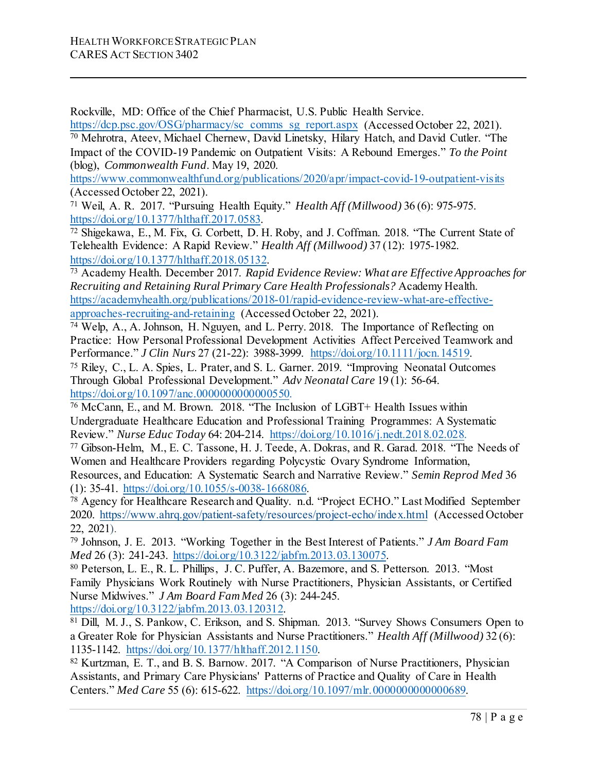Rockville, MD: Office of the Chief Pharmacist, U.S. Public Health Service.

[https://dcp.psc.gov/OSG/pharmacy/sc\\_comms\\_sg\\_report.aspx](https://dcp.psc.gov/OSG/pharmacy/sc_comms_sg_report.aspx) (Accessed October 22, 2021). <sup>70</sup> Mehrotra, Ateev, Michael Chernew, David Linetsky, Hilary Hatch, and David Cutler. "The Impact of the COVID-19 Pandemic on Outpatient Visits: A Rebound Emerges." *To the Point* (blog), *Commonwealth Fund*. May 19, 2020.

<https://www.commonwealthfund.org/publications/2020/apr/impact-covid-19-outpatient-visits> (Accessed October 22, 2021).

<sup>71</sup> Weil, A. R. 2017. "Pursuing Health Equity." *Health Aff (Millwood)* 36 (6): 975-975.

https://doi.org/10.1377/hlthaff.2017.0583.<br><sup>72</sup> Shigekawa, E., M. Fix, G. Corbett, D. H. Roby, and J. Coffman. 2018. "The Current State of Telehealth Evidence: A Rapid Review." *Health Aff (Millwood)* 37 (12): 1975-1982. [https://doi.org/10.1377/hlthaff.2018.05132.](https://doi.org/10.1377/hlthaff.2018.05132) 73 Academy Health. December 2017. *Rapid Evidence Review: What are Effective Approaches for* 

*Recruiting and Retaining Rural Primary Care Health Professionals?* Academy Health. [https://academyhealth.org/publications/2018-01/rapid-evidence-review-what-are-effective](https://academyhealth.org/publications/2018-01/rapid-evidence-review-what-are-effective-approaches-recruiting-and-retaining)[approaches-recruiting-and-retaining](https://academyhealth.org/publications/2018-01/rapid-evidence-review-what-are-effective-approaches-recruiting-and-retaining) (Accessed October 22, 2021).

<sup>74</sup> Welp, A., A. Johnson, H. Nguyen, and L. Perry. 2018. The Importance of Reflecting on Practice: How Personal Professional Development Activities Affect Perceived Teamwork and

Performance." *J Clin Nurs* 27 (21-22): 3988-3999. https://doi.org/10.1111/jocn.14519.<br><sup>75</sup> Riley, C., L. A. Spies, L. Prater, and S. L. Garner. 2019. "Improving Neonatal Outcomes" Through Global Professional Development." *Adv Neonatal Care* 19 (1): 56-64. https://doi.org/10.1097/anc.00000000000000550.

<sup>76</sup> McCann, E., and M. Brown. 2018. "The Inclusion of LGBT+ Health Issues within Undergraduate Healthcare Education and Professional Training Programmes: A Systematic Review." *Nurse Educ Today* 64: 204-214. [https://doi.org/10.1016/j.nedt.2018.02.028.](https://doi.org/10.1016/j.nedt.2018.02.028)

<sup>77</sup> Gibson-Helm, M., E. C. Tassone, H. J. Teede, A. Dokras, and R. Garad. 2018. "The Needs of Women and Healthcare Providers regarding Polycystic Ovary Syndrome Information, Resources, and Education: A Systematic Search and Narrative Review." *Semin Reprod Med* 36 (1): 35-41. https://doi.org/10.1055/s-0038-1668086.

<sup>78</sup> Agency for Healthcare Research and Quality. n.d. "Project ECHO." Last Modified September 2020.<https://www.ahrq.gov/patient-safety/resources/project-echo/index.html> (Accessed October 22, 2021).

<sup>79</sup> Johnson, J. E. 2013. "Working Together in the Best Interest of Patients." *J Am Board Fam* 

<sup>80</sup> Peterson, L. E., R. L. Phillips, J. C. Puffer, A. Bazemore, and S. Petterson. 2013. "Most Family Physicians Work Routinely with Nurse Practitioners, Physician Assistants, or Certified Nurse Midwives." *J Am Board Fam Med* 26 (3): 244-245.

https://doi.org/10.3122/jabfm.2013.03.120312.<br><sup>81</sup> Dill, M. J., S. Pankow, C. Erikson, and S. Shipman. 2013. "Survey Shows Consumers Open to a Greater Role for Physician Assistants and Nurse Practitioners." *Health Aff (Millwood)* 32 (6): 1135-1142. https://doi.org/10.1377/hlthaff.2012.1150.<br><sup>82</sup> Kurtzman, E. T., and B. S. Barnow. 2017. "A Comparison of Nurse Practitioners, Physician

Assistants, and Primary Care Physicians' Patterns of Practice and Quality of Care in Health Centers." *Med Care* 55 (6): 615-622. [https://doi.org/10.1097/mlr.0000000000000689.](https://doi.org/10.1097/mlr.0000000000000689)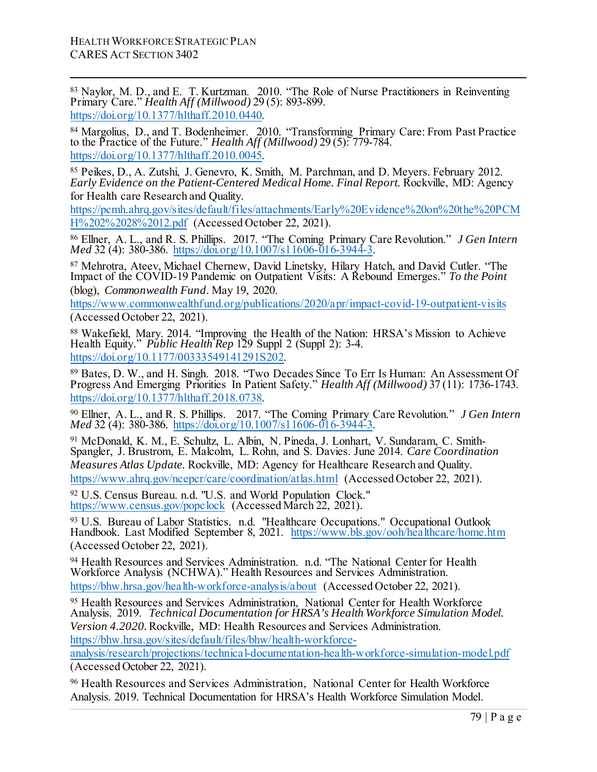<sup>83</sup> Naylor, M. D., and E. T. Kurtzman. 2010. "The Role of Nurse Practitioners in Reinventing Primary Care." *Health Aff (Millwood)* 29 (5): 893-899. https://doi.org/10.1377/hlthaff.2010.0440.

<sup>84</sup> Margolius, D., and T. Bodenheimer. 2010. "Transforming Primary Care: From Past Practice [to the Practice of the Future."](https://doi.org/10.1377/hlthaff.2010.0440) *Health Aff (Millwood)* 29 (5): 779-784. https://doi.org/10.1377/hlthaff.2010.0045.

<sup>85</sup> Peikes, D., A. Zutshi, J. Genevro, K. Smith, M. Parchman, and D. Meyers. February 2012. *[Early Evidence on the Patient-Centered M](https://doi.org/10.1377/hlthaff.2010.0045)edical Home. Final Report.* Rockville, MD: Agency for Health care Research and Quality.

https://pcmh.ahrq.gov/sites/default/files/attachments/Early%20Evidence%20on%20the%20PCM H%202%2028%2012.pdf (Accessed October 22, 2021).

<sup>86</sup> Ellner, A. L., and R. S. Phillips. [2017. "The Coming](https://pcmh.ahrq.gov/sites/default/files/attachments/Early%20Evidence%20on%20the%20PCMH%202%2028%2012.pdf) Primary Care Revolution." *J Gen Intern Med* 32 (4): [380-386.](https://pcmh.ahrq.gov/sites/default/files/attachments/Early%20Evidence%20on%20the%20PCMH%202%2028%2012.pdf) https://doi.org/10.1007/s11606-016-3944-3.

<sup>87</sup> Mehrotra, Ateev, Michael [Chernew, David Linetsky,](https://doi.org/10.1007/s11606-016-3944-3) Hilary Hatch, and David Cutler. "The Impact of the COVID-19 Pandemic on Outpatient Visits: A Rebound Emerges." *To the Point* (blog), *Commonwealth Fund*. May 19, 2020.

https://www.commonwealthfund.org/publications/2020/apr/impact-covid-19-outpatient-visits (Accessed October 22, 2021).

<sup>88</sup> Wakefield, Mary. 2014. ["Improving the Health of the Nation:](https://www.commonwealthfund.org/publications/2020/apr/impact-covid-19-outpatient-visits) HRSA's Mission to Achieve Health Equity." *Public Health Rep* 129 Suppl 2 (Suppl 2): 3-4. https://doi.org/10.1177/00333549141291S202.

<sup>89</sup> Bates, D. W., and H. Singh. 2018. "Two Decades Since To Err Is Human: An Assessment Of Progress [And Emerging](https://doi.org/10.1177/00333549141291S202) Priorities In Patient Safety." *Health Aff (Millwood)* 37 (11): 1736-1743. https://doi.org/10.1377/hlthaff.2018.0738.

<sup>90</sup> Ellner, A. L., and R. S. Phillips. 2017. "The Coming Primary Care Revolution." *J Gen Intern Med* 32 (4): 380-386. [https://doi.org/10.100](https://doi.org/10.1377/hlthaff.2018.0738)7/s11606-016-3944-3.

<sup>91</sup> McDonald, K. M., E. Schultz, L. Albin, N. Pineda, J. Lonhart, V. Sundaram, C. Smith-Spangler, J. Brustrom, E. Malcolm, L. Rohn, [and S. Davies. June](https://doi.org/10.1007/s11606-016-3944-3) 2014. *Care Coordination Measures Atlas Update.* Rockville, MD: Agency for Healthcare Research and Quality. https://www.ahrq.gov/ncepcr/care/coordination/atlas.html (Accessed October 22, 2021).

<sup>92</sup> U.S. Census Bureau. n.d. "U.S. and World Population Clock." [https://www.census.gov/popclock](https://www.ahrq.gov/ncepcr/care/coordination/atlas.html) (Accessed March 22, 2021).

93 U.S. Bureau of Labor Statistics. n.d. "Healthcare Occupations." Occupational Outlook Handbook. [Last Modified Septemb](https://www.census.gov/popclock)er 8, 2021. https://www.bls.gov/ooh/healthcare/home.htm (Accessed October 22, 2021).

<sup>94</sup> Health Resources and Services Administration. [n.d. "The](https://www.bls.gov/ooh/healthcare/home.htm) National Center for Health Workforce Analysis (NCHWA)." Health Resources and Services Administration. https://bhw.hrsa.gov/health-workforce-analysis/about (Accessed October 22, 2021).

<sup>95</sup> Health Resources and Services Administration, National Center for Health Workforce Analysis. 2019. *[Technical Documentation for HRSA'](https://bhw.hrsa.gov/health-workforce-analysis/about)s Health Workforce Simulation Model. Version 4.2020.*Rockville, MD: Health Resources and Services Administration. https://bhw.hrsa.gov/sites/default/files/bhw/health-workforce-

[analysis/research/projections/technical-documentation-health-workforce-simulation-model.pdf](https://bhw.hrsa.gov/sites/default/files/bhw/health-workforce-analysis/research/projections/technical-documentation-health-workforce-simulation-model.pdf) (Accessed October 22, 2021).

<sup>96</sup> [Health Resources and Services](https://bhw.hrsa.gov/sites/default/files/bhw/health-workforce-analysis/research/projections/technical-documentation-health-workforce-simulation-model.pdf) Administration, National Center for Health Workforce Analysis. 2019. Technical Documentation for HRSA's Health Workforce Simulation Model.